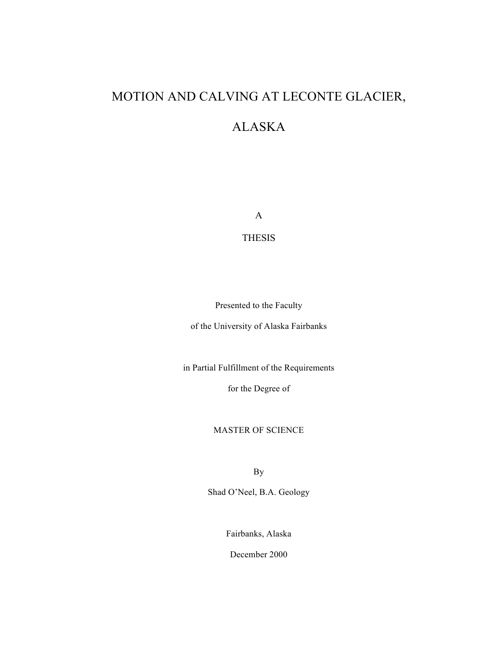# MOTION AND CALVING AT LECONTE GLACIER,

# ALASKA

A

THESIS

Presented to the Faculty

of the University of Alaska Fairbanks

in Partial Fulfillment of the Requirements

for the Degree of

MASTER OF SCIENCE

By

Shad O'Neel, B.A. Geology

Fairbanks, Alaska

December 2000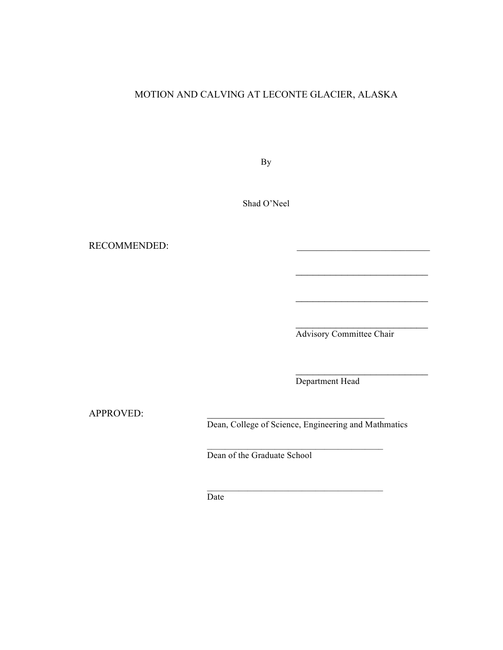## MOTION AND CALVING AT LECONTE GLACIER, ALASKA

By

Shad O'Neel

RECOMMENDED:

Advisory Committee Chair

 $\overline{\phantom{a}}$  , where  $\overline{\phantom{a}}$ 

 $\overline{\phantom{a}}$  , where  $\overline{\phantom{a}}$ 

Department Head

APPROVED:

Dean, College of Science, Engineering and Mathmatics

 $\mathcal{L}_\text{max} = \mathcal{L}_\text{max} = \mathcal{L}_\text{max} = \mathcal{L}_\text{max} = \mathcal{L}_\text{max}$ 

 $\mathcal{L}_\text{max} = \mathcal{L}_\text{max} = \mathcal{L}_\text{max} = \mathcal{L}_\text{max} = \mathcal{L}_\text{max}$ 

Dean of the Graduate School

Date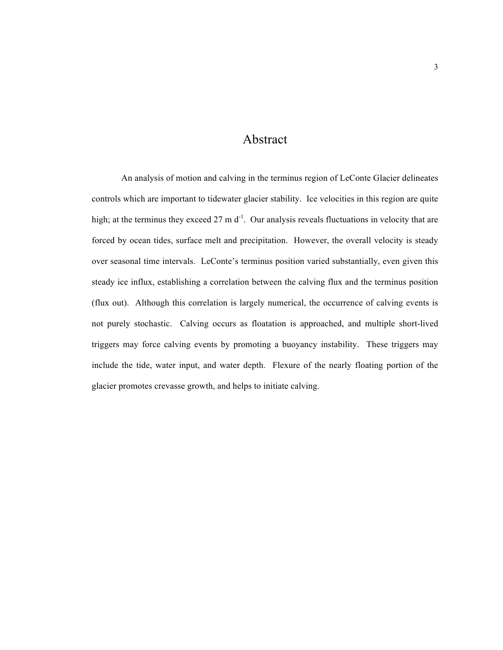# Abstract

An analysis of motion and calving in the terminus region of LeConte Glacier delineates controls which are important to tidewater glacier stability. Ice velocities in this region are quite high; at the terminus they exceed  $27 \text{ m d}^{-1}$ . Our analysis reveals fluctuations in velocity that are forced by ocean tides, surface melt and precipitation. However, the overall velocity is steady over seasonal time intervals. LeConte's terminus position varied substantially, even given this steady ice influx, establishing a correlation between the calving flux and the terminus position (flux out). Although this correlation is largely numerical, the occurrence of calving events is not purely stochastic. Calving occurs as floatation is approached, and multiple short-lived triggers may force calving events by promoting a buoyancy instability. These triggers may include the tide, water input, and water depth. Flexure of the nearly floating portion of the glacier promotes crevasse growth, and helps to initiate calving.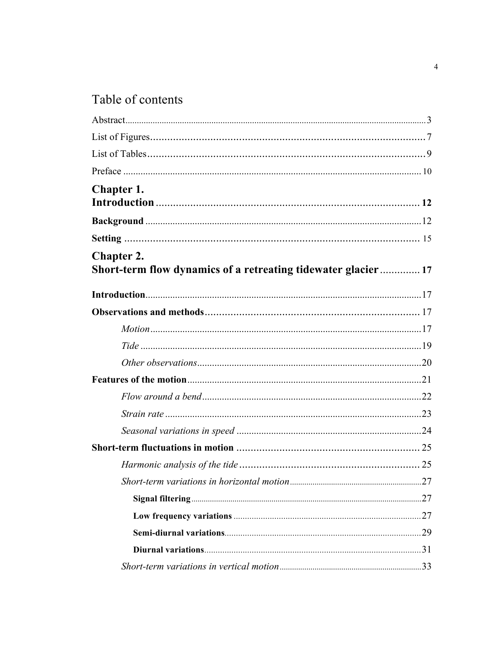# Table of contents

| Chapter 1.                                                                         |  |
|------------------------------------------------------------------------------------|--|
|                                                                                    |  |
|                                                                                    |  |
| <b>Chapter 2.</b><br>Short-term flow dynamics of a retreating tidewater glacier 17 |  |
|                                                                                    |  |
|                                                                                    |  |
|                                                                                    |  |
|                                                                                    |  |
|                                                                                    |  |
|                                                                                    |  |
|                                                                                    |  |
|                                                                                    |  |
|                                                                                    |  |
|                                                                                    |  |
|                                                                                    |  |
|                                                                                    |  |
|                                                                                    |  |
|                                                                                    |  |
|                                                                                    |  |
|                                                                                    |  |
|                                                                                    |  |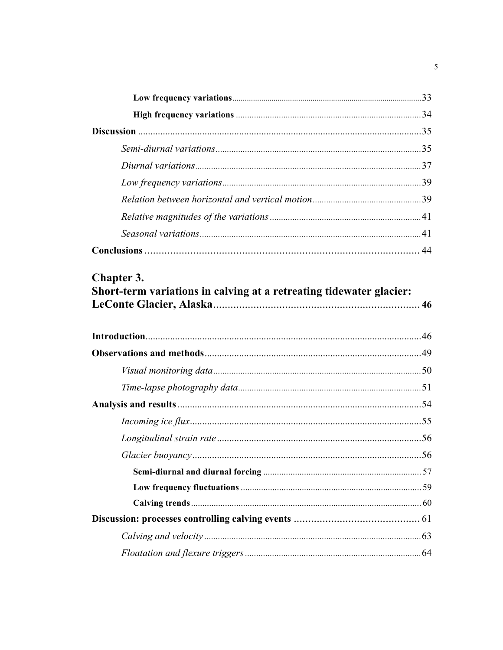| . 56 |
|------|
|      |
|      |
|      |
|      |
|      |
|      |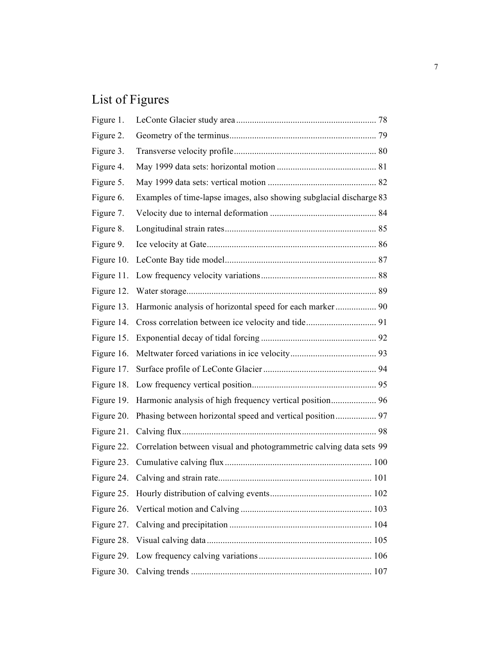# List of Figures

| Figure 1.  |                                                                     |  |
|------------|---------------------------------------------------------------------|--|
| Figure 2.  |                                                                     |  |
| Figure 3.  |                                                                     |  |
| Figure 4.  |                                                                     |  |
| Figure 5.  |                                                                     |  |
| Figure 6.  | Examples of time-lapse images, also showing subglacial discharge 83 |  |
| Figure 7.  |                                                                     |  |
| Figure 8.  |                                                                     |  |
| Figure 9.  |                                                                     |  |
| Figure 10. |                                                                     |  |
| Figure 11. |                                                                     |  |
| Figure 12. |                                                                     |  |
| Figure 13. |                                                                     |  |
| Figure 14. |                                                                     |  |
| Figure 15. |                                                                     |  |
| Figure 16. |                                                                     |  |
| Figure 17. |                                                                     |  |
| Figure 18. |                                                                     |  |
| Figure 19. | Harmonic analysis of high frequency vertical position 96            |  |
| Figure 20. |                                                                     |  |
| Figure 21. |                                                                     |  |
| Figure 22. | Correlation between visual and photogrammetric calving data sets 99 |  |
|            |                                                                     |  |
| Figure 24. |                                                                     |  |
|            |                                                                     |  |
| Figure 26. |                                                                     |  |
| Figure 27. |                                                                     |  |
| Figure 28. |                                                                     |  |
| Figure 29. |                                                                     |  |
|            |                                                                     |  |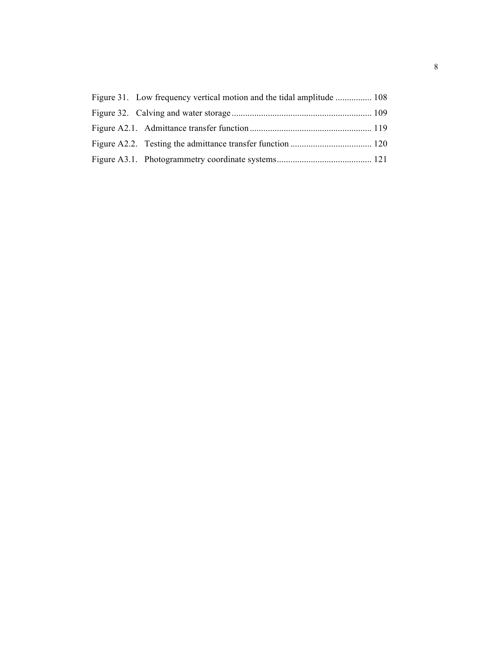| Figure 31. Low frequency vertical motion and the tidal amplitude  108 |  |
|-----------------------------------------------------------------------|--|
|                                                                       |  |
|                                                                       |  |
|                                                                       |  |
|                                                                       |  |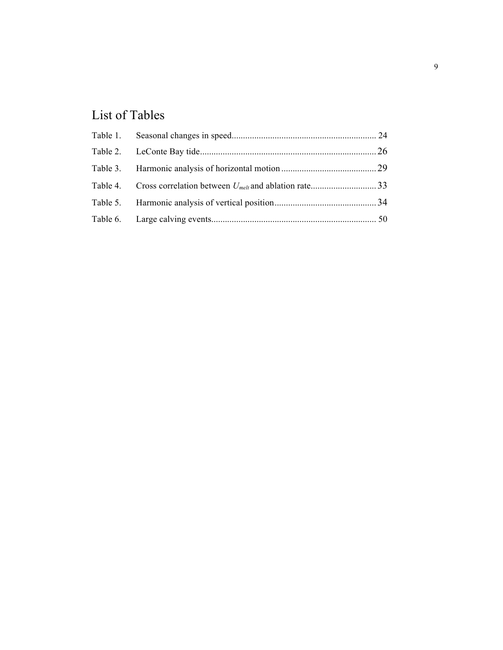# List of Tables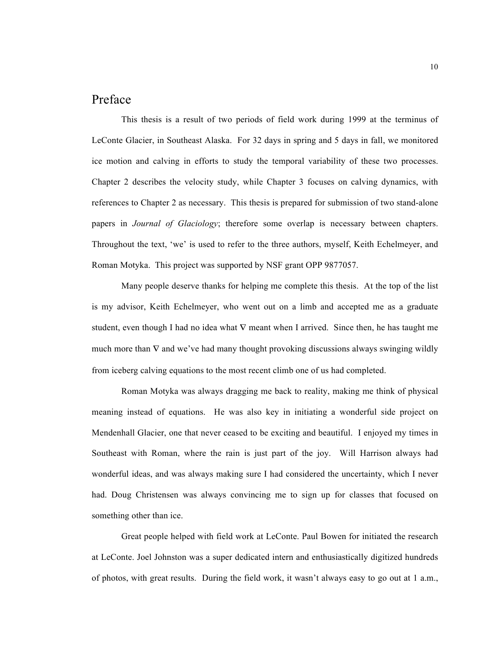# Preface

This thesis is a result of two periods of field work during 1999 at the terminus of LeConte Glacier, in Southeast Alaska. For 32 days in spring and 5 days in fall, we monitored ice motion and calving in efforts to study the temporal variability of these two processes. Chapter 2 describes the velocity study, while Chapter 3 focuses on calving dynamics, with references to Chapter 2 as necessary. This thesis is prepared for submission of two stand-alone papers in *Journal of Glaciology*; therefore some overlap is necessary between chapters. Throughout the text, 'we' is used to refer to the three authors, myself, Keith Echelmeyer, and Roman Motyka. This project was supported by NSF grant OPP 9877057.

Many people deserve thanks for helping me complete this thesis. At the top of the list is my advisor, Keith Echelmeyer, who went out on a limb and accepted me as a graduate student, even though I had no idea what  $\nabla$  meant when I arrived. Since then, he has taught me much more than  $\nabla$  and we've had many thought provoking discussions always swinging wildly from iceberg calving equations to the most recent climb one of us had completed.

Roman Motyka was always dragging me back to reality, making me think of physical meaning instead of equations. He was also key in initiating a wonderful side project on Mendenhall Glacier, one that never ceased to be exciting and beautiful. I enjoyed my times in Southeast with Roman, where the rain is just part of the joy. Will Harrison always had wonderful ideas, and was always making sure I had considered the uncertainty, which I never had. Doug Christensen was always convincing me to sign up for classes that focused on something other than ice.

Great people helped with field work at LeConte. Paul Bowen for initiated the research at LeConte. Joel Johnston was a super dedicated intern and enthusiastically digitized hundreds of photos, with great results. During the field work, it wasn't always easy to go out at 1 a.m.,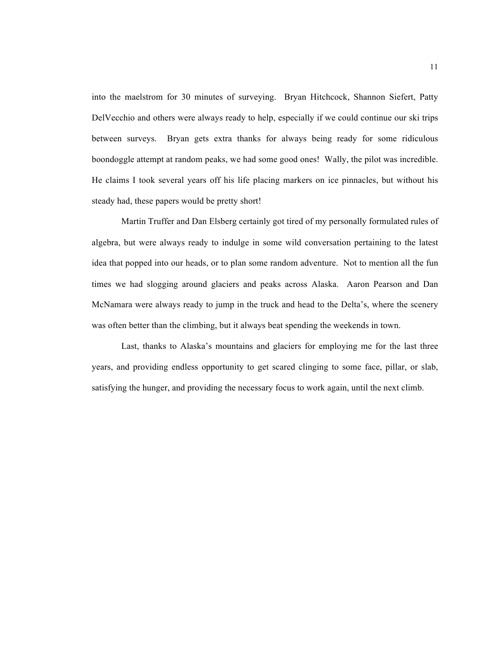into the maelstrom for 30 minutes of surveying. Bryan Hitchcock, Shannon Siefert, Patty DelVecchio and others were always ready to help, especially if we could continue our ski trips between surveys. Bryan gets extra thanks for always being ready for some ridiculous boondoggle attempt at random peaks, we had some good ones! Wally, the pilot was incredible. He claims I took several years off his life placing markers on ice pinnacles, but without his steady had, these papers would be pretty short!

Martin Truffer and Dan Elsberg certainly got tired of my personally formulated rules of algebra, but were always ready to indulge in some wild conversation pertaining to the latest idea that popped into our heads, or to plan some random adventure. Not to mention all the fun times we had slogging around glaciers and peaks across Alaska. Aaron Pearson and Dan McNamara were always ready to jump in the truck and head to the Delta's, where the scenery was often better than the climbing, but it always beat spending the weekends in town.

Last, thanks to Alaska's mountains and glaciers for employing me for the last three years, and providing endless opportunity to get scared clinging to some face, pillar, or slab, satisfying the hunger, and providing the necessary focus to work again, until the next climb.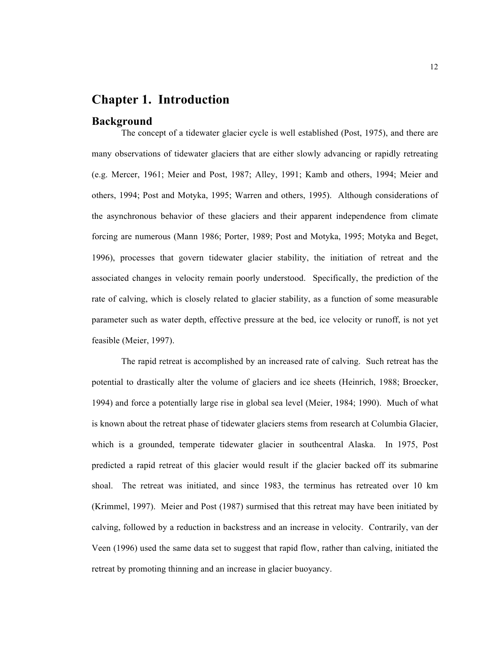## **Chapter 1. Introduction**

#### **Background**

The concept of a tidewater glacier cycle is well established (Post, 1975), and there are many observations of tidewater glaciers that are either slowly advancing or rapidly retreating (e.g. Mercer, 1961; Meier and Post, 1987; Alley, 1991; Kamb and others, 1994; Meier and others, 1994; Post and Motyka, 1995; Warren and others, 1995). Although considerations of the asynchronous behavior of these glaciers and their apparent independence from climate forcing are numerous (Mann 1986; Porter, 1989; Post and Motyka, 1995; Motyka and Beget, 1996), processes that govern tidewater glacier stability, the initiation of retreat and the associated changes in velocity remain poorly understood. Specifically, the prediction of the rate of calving, which is closely related to glacier stability, as a function of some measurable parameter such as water depth, effective pressure at the bed, ice velocity or runoff, is not yet feasible (Meier, 1997).

The rapid retreat is accomplished by an increased rate of calving. Such retreat has the potential to drastically alter the volume of glaciers and ice sheets (Heinrich, 1988; Broecker, 1994) and force a potentially large rise in global sea level (Meier, 1984; 1990). Much of what is known about the retreat phase of tidewater glaciers stems from research at Columbia Glacier, which is a grounded, temperate tidewater glacier in southcentral Alaska. In 1975, Post predicted a rapid retreat of this glacier would result if the glacier backed off its submarine shoal. The retreat was initiated, and since 1983, the terminus has retreated over 10 km (Krimmel, 1997). Meier and Post (1987) surmised that this retreat may have been initiated by calving, followed by a reduction in backstress and an increase in velocity. Contrarily, van der Veen (1996) used the same data set to suggest that rapid flow, rather than calving, initiated the retreat by promoting thinning and an increase in glacier buoyancy.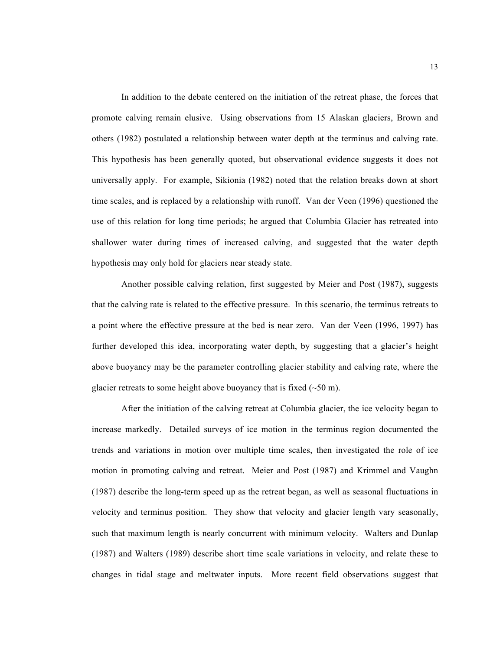In addition to the debate centered on the initiation of the retreat phase, the forces that promote calving remain elusive. Using observations from 15 Alaskan glaciers, Brown and others (1982) postulated a relationship between water depth at the terminus and calving rate. This hypothesis has been generally quoted, but observational evidence suggests it does not universally apply. For example, Sikionia (1982) noted that the relation breaks down at short time scales, and is replaced by a relationship with runoff. Van der Veen (1996) questioned the use of this relation for long time periods; he argued that Columbia Glacier has retreated into shallower water during times of increased calving, and suggested that the water depth hypothesis may only hold for glaciers near steady state.

Another possible calving relation, first suggested by Meier and Post (1987), suggests that the calving rate is related to the effective pressure. In this scenario, the terminus retreats to a point where the effective pressure at the bed is near zero. Van der Veen (1996, 1997) has further developed this idea, incorporating water depth, by suggesting that a glacier's height above buoyancy may be the parameter controlling glacier stability and calving rate, where the glacier retreats to some height above buoyancy that is fixed  $(\sim 50 \text{ m})$ .

After the initiation of the calving retreat at Columbia glacier, the ice velocity began to increase markedly. Detailed surveys of ice motion in the terminus region documented the trends and variations in motion over multiple time scales, then investigated the role of ice motion in promoting calving and retreat. Meier and Post (1987) and Krimmel and Vaughn (1987) describe the long-term speed up as the retreat began, as well as seasonal fluctuations in velocity and terminus position. They show that velocity and glacier length vary seasonally, such that maximum length is nearly concurrent with minimum velocity. Walters and Dunlap (1987) and Walters (1989) describe short time scale variations in velocity, and relate these to changes in tidal stage and meltwater inputs. More recent field observations suggest that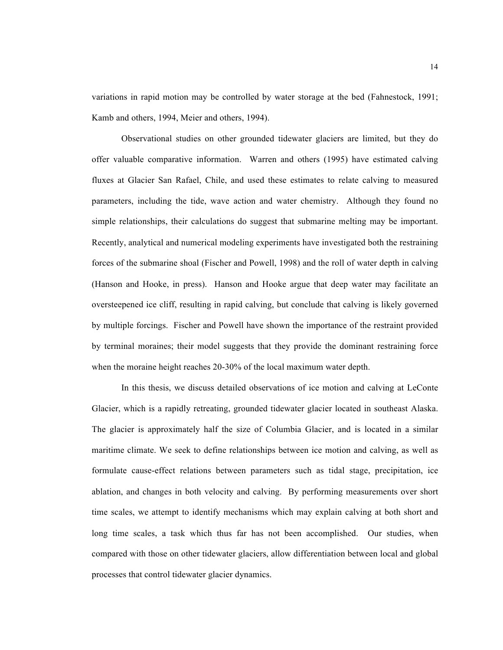variations in rapid motion may be controlled by water storage at the bed (Fahnestock, 1991; Kamb and others, 1994, Meier and others, 1994).

Observational studies on other grounded tidewater glaciers are limited, but they do offer valuable comparative information. Warren and others (1995) have estimated calving fluxes at Glacier San Rafael, Chile, and used these estimates to relate calving to measured parameters, including the tide, wave action and water chemistry. Although they found no simple relationships, their calculations do suggest that submarine melting may be important. Recently, analytical and numerical modeling experiments have investigated both the restraining forces of the submarine shoal (Fischer and Powell, 1998) and the roll of water depth in calving (Hanson and Hooke, in press). Hanson and Hooke argue that deep water may facilitate an oversteepened ice cliff, resulting in rapid calving, but conclude that calving is likely governed by multiple forcings. Fischer and Powell have shown the importance of the restraint provided by terminal moraines; their model suggests that they provide the dominant restraining force when the moraine height reaches 20-30% of the local maximum water depth.

In this thesis, we discuss detailed observations of ice motion and calving at LeConte Glacier, which is a rapidly retreating, grounded tidewater glacier located in southeast Alaska. The glacier is approximately half the size of Columbia Glacier, and is located in a similar maritime climate. We seek to define relationships between ice motion and calving, as well as formulate cause-effect relations between parameters such as tidal stage, precipitation, ice ablation, and changes in both velocity and calving. By performing measurements over short time scales, we attempt to identify mechanisms which may explain calving at both short and long time scales, a task which thus far has not been accomplished. Our studies, when compared with those on other tidewater glaciers, allow differentiation between local and global processes that control tidewater glacier dynamics.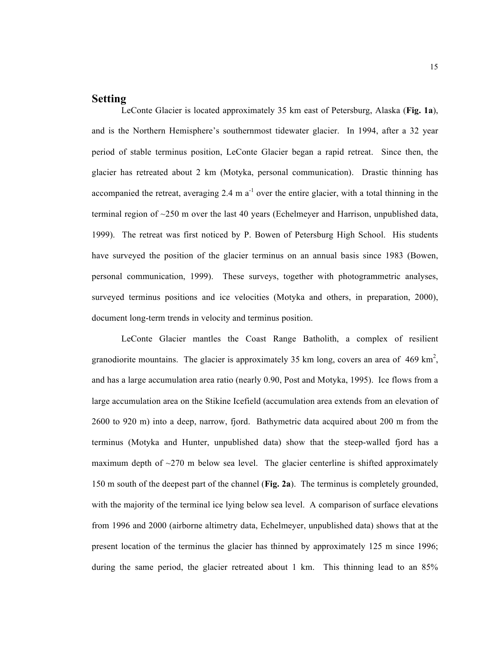## **Setting**

LeConte Glacier is located approximately 35 km east of Petersburg, Alaska (**Fig. 1a**), and is the Northern Hemisphere's southernmost tidewater glacier. In 1994, after a 32 year period of stable terminus position, LeConte Glacier began a rapid retreat. Since then, the glacier has retreated about 2 km (Motyka, personal communication). Drastic thinning has accompanied the retreat, averaging 2.4 m  $a^{-1}$  over the entire glacier, with a total thinning in the terminal region of  $\sim$ 250 m over the last 40 years (Echelmeyer and Harrison, unpublished data, 1999). The retreat was first noticed by P. Bowen of Petersburg High School. His students have surveyed the position of the glacier terminus on an annual basis since 1983 (Bowen, personal communication, 1999). These surveys, together with photogrammetric analyses, surveyed terminus positions and ice velocities (Motyka and others, in preparation, 2000), document long-term trends in velocity and terminus position.

LeConte Glacier mantles the Coast Range Batholith, a complex of resilient granodiorite mountains. The glacier is approximately 35 km long, covers an area of 469 km<sup>2</sup>, and has a large accumulation area ratio (nearly 0.90, Post and Motyka, 1995). Ice flows from a large accumulation area on the Stikine Icefield (accumulation area extends from an elevation of 2600 to 920 m) into a deep, narrow, fjord. Bathymetric data acquired about 200 m from the terminus (Motyka and Hunter, unpublished data) show that the steep-walled fjord has a maximum depth of  $\sim$ 270 m below sea level. The glacier centerline is shifted approximately 150 m south of the deepest part of the channel (**Fig. 2a**). The terminus is completely grounded, with the majority of the terminal ice lying below sea level. A comparison of surface elevations from 1996 and 2000 (airborne altimetry data, Echelmeyer, unpublished data) shows that at the present location of the terminus the glacier has thinned by approximately 125 m since 1996; during the same period, the glacier retreated about 1 km. This thinning lead to an 85%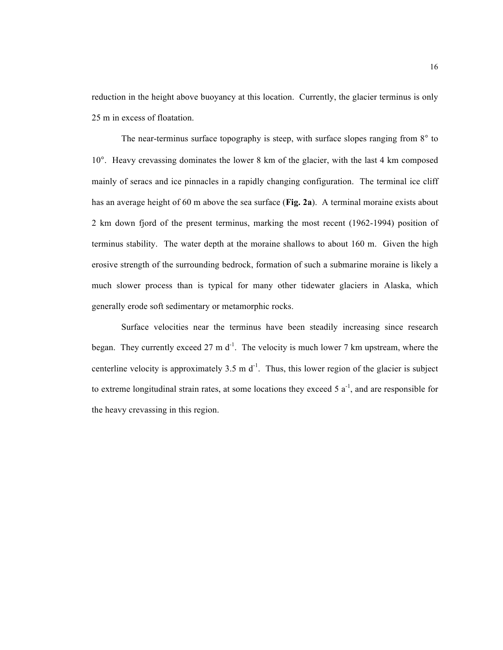reduction in the height above buoyancy at this location. Currently, the glacier terminus is only 25 m in excess of floatation.

The near-terminus surface topography is steep, with surface slopes ranging from 8° to 10°. Heavy crevassing dominates the lower 8 km of the glacier, with the last 4 km composed mainly of seracs and ice pinnacles in a rapidly changing configuration. The terminal ice cliff has an average height of 60 m above the sea surface (**Fig. 2a**). A terminal moraine exists about 2 km down fjord of the present terminus, marking the most recent (1962-1994) position of terminus stability. The water depth at the moraine shallows to about 160 m. Given the high erosive strength of the surrounding bedrock, formation of such a submarine moraine is likely a much slower process than is typical for many other tidewater glaciers in Alaska, which generally erode soft sedimentary or metamorphic rocks.

Surface velocities near the terminus have been steadily increasing since research began. They currently exceed 27 m  $d^{-1}$ . The velocity is much lower 7 km upstream, where the centerline velocity is approximately  $3.5 \text{ m d}^{-1}$ . Thus, this lower region of the glacier is subject to extreme longitudinal strain rates, at some locations they exceed  $5a^{-1}$ , and are responsible for the heavy crevassing in this region.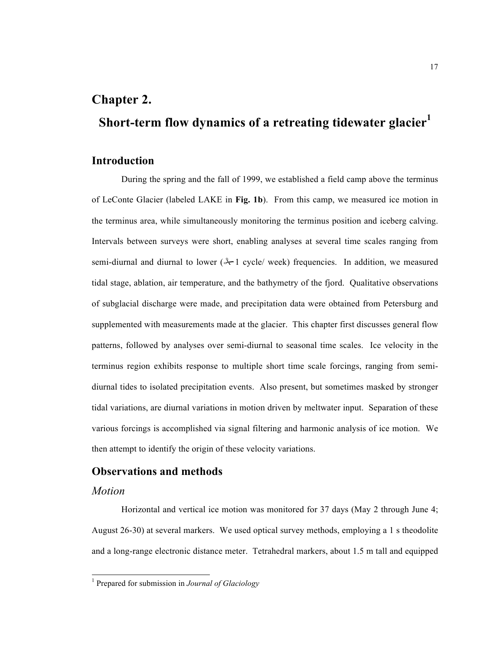# **Chapter 2.**

# **Short-term flow dynamics of a retreating tidewater glacier<sup>1</sup>**

#### **Introduction**

During the spring and the fall of 1999, we established a field camp above the terminus of LeConte Glacier (labeled LAKE in **Fig. 1b**). From this camp, we measured ice motion in the terminus area, while simultaneously monitoring the terminus position and iceberg calving. Intervals between surveys were short, enabling analyses at several time scales ranging from semi-diurnal and diurnal to lower  $(*$ -1 cycle/ week) frequencies. In addition, we measured tidal stage, ablation, air temperature, and the bathymetry of the fjord. Qualitative observations of subglacial discharge were made, and precipitation data were obtained from Petersburg and supplemented with measurements made at the glacier. This chapter first discusses general flow patterns, followed by analyses over semi-diurnal to seasonal time scales. Ice velocity in the terminus region exhibits response to multiple short time scale forcings, ranging from semidiurnal tides to isolated precipitation events. Also present, but sometimes masked by stronger tidal variations, are diurnal variations in motion driven by meltwater input. Separation of these various forcings is accomplished via signal filtering and harmonic analysis of ice motion. We then attempt to identify the origin of these velocity variations.

## **Observations and methods**

#### *Motion*

Horizontal and vertical ice motion was monitored for 37 days (May 2 through June 4; August 26-30) at several markers. We used optical survey methods, employing a 1 s theodolite and a long-range electronic distance meter. Tetrahedral markers, about 1.5 m tall and equipped

 <sup>1</sup> Prepared for submission in *Journal of Glaciology*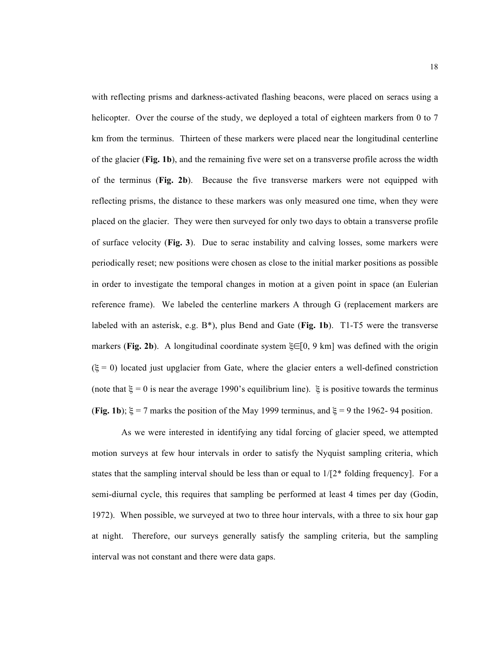with reflecting prisms and darkness-activated flashing beacons, were placed on seracs using a helicopter. Over the course of the study, we deployed a total of eighteen markers from 0 to 7 km from the terminus. Thirteen of these markers were placed near the longitudinal centerline of the glacier (**Fig. 1b**), and the remaining five were set on a transverse profile across the width of the terminus (**Fig. 2b**). Because the five transverse markers were not equipped with reflecting prisms, the distance to these markers was only measured one time, when they were placed on the glacier. They were then surveyed for only two days to obtain a transverse profile of surface velocity (**Fig. 3**). Due to serac instability and calving losses, some markers were periodically reset; new positions were chosen as close to the initial marker positions as possible in order to investigate the temporal changes in motion at a given point in space (an Eulerian reference frame). We labeled the centerline markers A through G (replacement markers are labeled with an asterisk, e.g. B\*), plus Bend and Gate (**Fig. 1b**). T1-T5 were the transverse markers (**Fig. 2b**). A longitudinal coordinate system ξ∈[0, 9 km] was defined with the origin  $(\xi = 0)$  located just upglacier from Gate, where the glacier enters a well-defined constriction (note that  $\xi = 0$  is near the average 1990's equilibrium line).  $\xi$  is positive towards the terminus (**Fig. 1b**);  $\xi = 7$  marks the position of the May 1999 terminus, and  $\xi = 9$  the 1962-94 position.

As we were interested in identifying any tidal forcing of glacier speed, we attempted motion surveys at few hour intervals in order to satisfy the Nyquist sampling criteria, which states that the sampling interval should be less than or equal to  $1/[2^*$  folding frequency]. For a semi-diurnal cycle, this requires that sampling be performed at least 4 times per day (Godin, 1972). When possible, we surveyed at two to three hour intervals, with a three to six hour gap at night. Therefore, our surveys generally satisfy the sampling criteria, but the sampling interval was not constant and there were data gaps.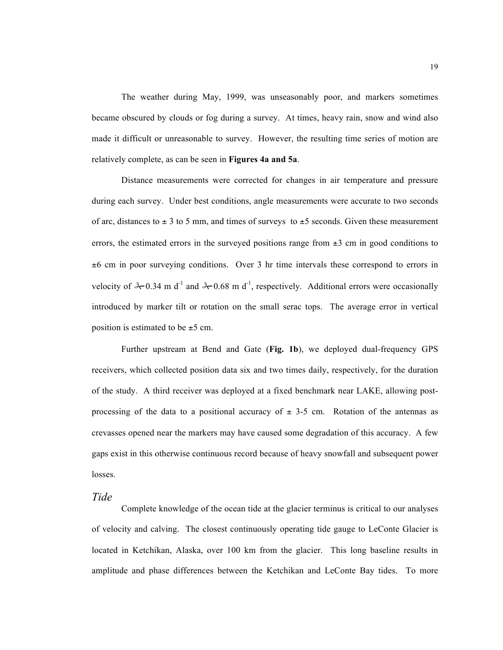The weather during May, 1999, was unseasonably poor, and markers sometimes became obscured by clouds or fog during a survey. At times, heavy rain, snow and wind also made it difficult or unreasonable to survey. However, the resulting time series of motion are relatively complete, as can be seen in **Figures 4a and 5a**.

Distance measurements were corrected for changes in air temperature and pressure during each survey. Under best conditions, angle measurements were accurate to two seconds of arc, distances to  $\pm$  3 to 5 mm, and times of surveys to  $\pm$ 5 seconds. Given these measurement errors, the estimated errors in the surveyed positions range from  $\pm 3$  cm in good conditions to  $\pm 6$  cm in poor surveying conditions. Over 3 hr time intervals these correspond to errors in velocity of  $\& 0.34$  m d<sup>-1</sup> and  $\& 0.68$  m d<sup>-1</sup>, respectively. Additional errors were occasionally introduced by marker tilt or rotation on the small serac tops. The average error in vertical position is estimated to be  $\pm$ 5 cm.

Further upstream at Bend and Gate (**Fig. 1b**), we deployed dual-frequency GPS receivers, which collected position data six and two times daily, respectively, for the duration of the study. A third receiver was deployed at a fixed benchmark near LAKE, allowing postprocessing of the data to a positional accuracy of  $\pm$  3-5 cm. Rotation of the antennas as crevasses opened near the markers may have caused some degradation of this accuracy. A few gaps exist in this otherwise continuous record because of heavy snowfall and subsequent power losses.

#### *Tide*

Complete knowledge of the ocean tide at the glacier terminus is critical to our analyses of velocity and calving. The closest continuously operating tide gauge to LeConte Glacier is located in Ketchikan, Alaska, over 100 km from the glacier. This long baseline results in amplitude and phase differences between the Ketchikan and LeConte Bay tides. To more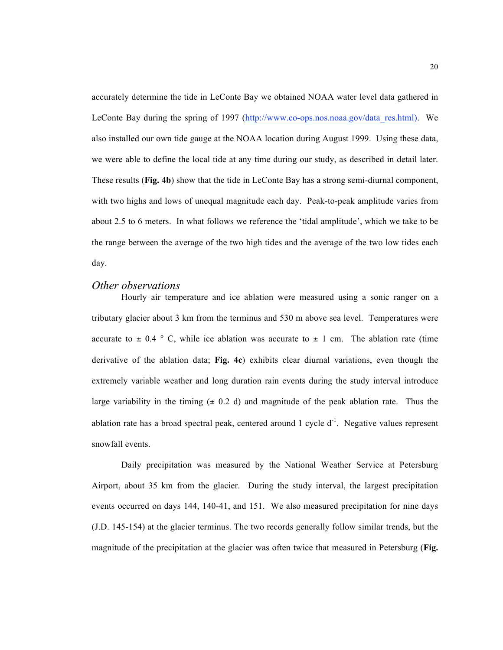accurately determine the tide in LeConte Bay we obtained NOAA water level data gathered in LeConte Bay during the spring of 1997 (http://www.co-ops.nos.noaa.gov/data\_res.html). We also installed our own tide gauge at the NOAA location during August 1999. Using these data, we were able to define the local tide at any time during our study, as described in detail later. These results (**Fig. 4b**) show that the tide in LeConte Bay has a strong semi-diurnal component, with two highs and lows of unequal magnitude each day. Peak-to-peak amplitude varies from about 2.5 to 6 meters. In what follows we reference the 'tidal amplitude', which we take to be the range between the average of the two high tides and the average of the two low tides each day.

#### *Other observations*

Hourly air temperature and ice ablation were measured using a sonic ranger on a tributary glacier about 3 km from the terminus and 530 m above sea level. Temperatures were accurate to  $\pm$  0.4 ° C, while ice ablation was accurate to  $\pm$  1 cm. The ablation rate (time derivative of the ablation data; **Fig. 4c**) exhibits clear diurnal variations, even though the extremely variable weather and long duration rain events during the study interval introduce large variability in the timing  $(± 0.2 d)$  and magnitude of the peak ablation rate. Thus the ablation rate has a broad spectral peak, centered around 1 cycle  $d^{-1}$ . Negative values represent snowfall events.

Daily precipitation was measured by the National Weather Service at Petersburg Airport, about 35 km from the glacier. During the study interval, the largest precipitation events occurred on days 144, 140-41, and 151. We also measured precipitation for nine days (J.D. 145-154) at the glacier terminus. The two records generally follow similar trends, but the magnitude of the precipitation at the glacier was often twice that measured in Petersburg (**Fig.**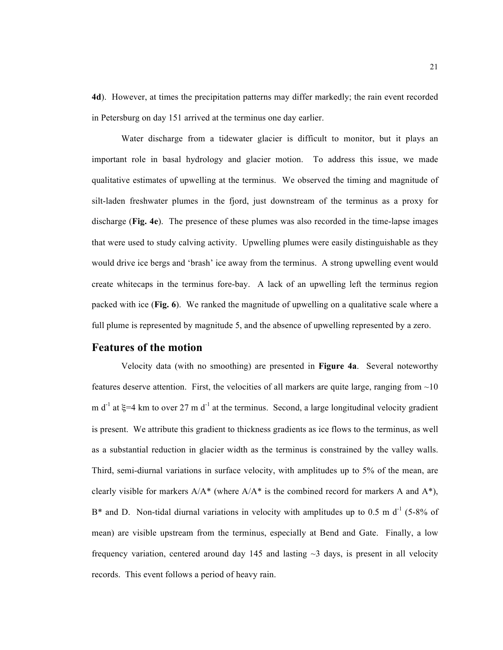**4d**). However, at times the precipitation patterns may differ markedly; the rain event recorded in Petersburg on day 151 arrived at the terminus one day earlier.

Water discharge from a tidewater glacier is difficult to monitor, but it plays an important role in basal hydrology and glacier motion. To address this issue, we made qualitative estimates of upwelling at the terminus. We observed the timing and magnitude of silt-laden freshwater plumes in the fjord, just downstream of the terminus as a proxy for discharge (**Fig. 4e**). The presence of these plumes was also recorded in the time-lapse images that were used to study calving activity. Upwelling plumes were easily distinguishable as they would drive ice bergs and 'brash' ice away from the terminus. A strong upwelling event would create whitecaps in the terminus fore-bay. A lack of an upwelling left the terminus region packed with ice (**Fig. 6**). We ranked the magnitude of upwelling on a qualitative scale where a full plume is represented by magnitude 5, and the absence of upwelling represented by a zero.

#### **Features of the motion**

Velocity data (with no smoothing) are presented in **Figure 4a**. Several noteworthy features deserve attention. First, the velocities of all markers are quite large, ranging from  $\sim 10$ m d<sup>-1</sup> at  $\xi$ =4 km to over 27 m d<sup>-1</sup> at the terminus. Second, a large longitudinal velocity gradient is present. We attribute this gradient to thickness gradients as ice flows to the terminus, as well as a substantial reduction in glacier width as the terminus is constrained by the valley walls. Third, semi-diurnal variations in surface velocity, with amplitudes up to 5% of the mean, are clearly visible for markers  $A/A^*$  (where  $A/A^*$  is the combined record for markers A and  $A^*$ ),  $B^*$  and D. Non-tidal diurnal variations in velocity with amplitudes up to 0.5 m d<sup>-1</sup> (5-8% of mean) are visible upstream from the terminus, especially at Bend and Gate. Finally, a low frequency variation, centered around day 145 and lasting  $\sim$ 3 days, is present in all velocity records. This event follows a period of heavy rain.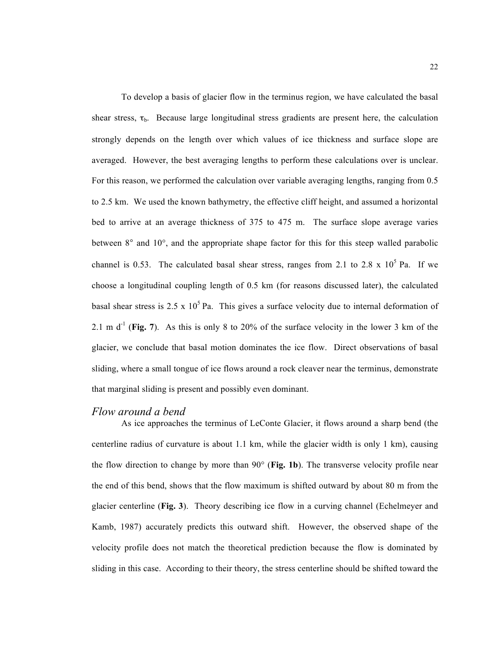To develop a basis of glacier flow in the terminus region, we have calculated the basal shear stress,  $\tau_{b}$ . Because large longitudinal stress gradients are present here, the calculation strongly depends on the length over which values of ice thickness and surface slope are averaged. However, the best averaging lengths to perform these calculations over is unclear. For this reason, we performed the calculation over variable averaging lengths, ranging from 0.5 to 2.5 km. We used the known bathymetry, the effective cliff height, and assumed a horizontal bed to arrive at an average thickness of 375 to 475 m. The surface slope average varies between 8° and 10°, and the appropriate shape factor for this for this steep walled parabolic channel is 0.53. The calculated basal shear stress, ranges from 2.1 to 2.8 x  $10^5$  Pa. If we choose a longitudinal coupling length of 0.5 km (for reasons discussed later), the calculated basal shear stress is  $2.5 \times 10^5$  Pa. This gives a surface velocity due to internal deformation of 2.1 m  $d^{-1}$  (Fig. 7). As this is only 8 to 20% of the surface velocity in the lower 3 km of the glacier, we conclude that basal motion dominates the ice flow. Direct observations of basal sliding, where a small tongue of ice flows around a rock cleaver near the terminus, demonstrate that marginal sliding is present and possibly even dominant.

#### *Flow around a bend*

As ice approaches the terminus of LeConte Glacier, it flows around a sharp bend (the centerline radius of curvature is about 1.1 km, while the glacier width is only 1 km), causing the flow direction to change by more than 90° (**Fig. 1b**). The transverse velocity profile near the end of this bend, shows that the flow maximum is shifted outward by about 80 m from the glacier centerline (**Fig. 3**). Theory describing ice flow in a curving channel (Echelmeyer and Kamb, 1987) accurately predicts this outward shift. However, the observed shape of the velocity profile does not match the theoretical prediction because the flow is dominated by sliding in this case. According to their theory, the stress centerline should be shifted toward the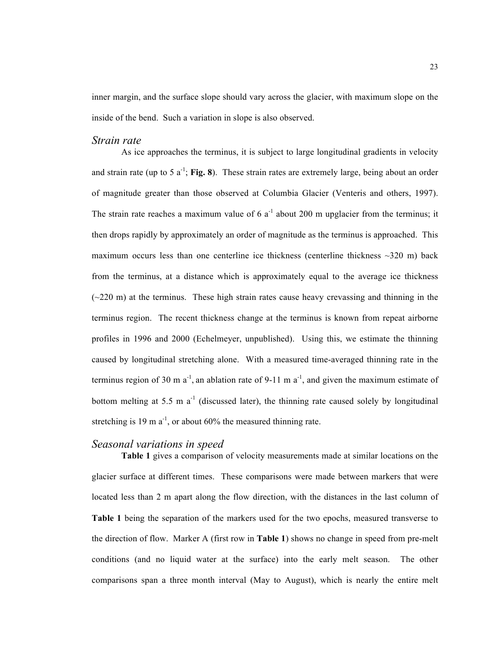inner margin, and the surface slope should vary across the glacier, with maximum slope on the inside of the bend. Such a variation in slope is also observed.

#### *Strain rate*

As ice approaches the terminus, it is subject to large longitudinal gradients in velocity and strain rate (up to 5  $a^{-1}$ ; **Fig. 8**). These strain rates are extremely large, being about an order of magnitude greater than those observed at Columbia Glacier (Venteris and others, 1997). The strain rate reaches a maximum value of 6  $a^{-1}$  about 200 m upglacier from the terminus; it then drops rapidly by approximately an order of magnitude as the terminus is approached. This maximum occurs less than one centerline ice thickness (centerline thickness  $\sim$ 320 m) back from the terminus, at a distance which is approximately equal to the average ice thickness  $(-220 \text{ m})$  at the terminus. These high strain rates cause heavy crevassing and thinning in the terminus region. The recent thickness change at the terminus is known from repeat airborne profiles in 1996 and 2000 (Echelmeyer, unpublished). Using this, we estimate the thinning caused by longitudinal stretching alone. With a measured time-averaged thinning rate in the terminus region of 30 m  $a^{-1}$ , an ablation rate of 9-11 m  $a^{-1}$ , and given the maximum estimate of bottom melting at 5.5 m  $a^{-1}$  (discussed later), the thinning rate caused solely by longitudinal stretching is 19 m  $a^{-1}$ , or about 60% the measured thinning rate.

#### *Seasonal variations in speed*

**Table 1** gives a comparison of velocity measurements made at similar locations on the glacier surface at different times. These comparisons were made between markers that were located less than 2 m apart along the flow direction, with the distances in the last column of **Table 1** being the separation of the markers used for the two epochs, measured transverse to the direction of flow. Marker A (first row in **Table 1**) shows no change in speed from pre-melt conditions (and no liquid water at the surface) into the early melt season. The other comparisons span a three month interval (May to August), which is nearly the entire melt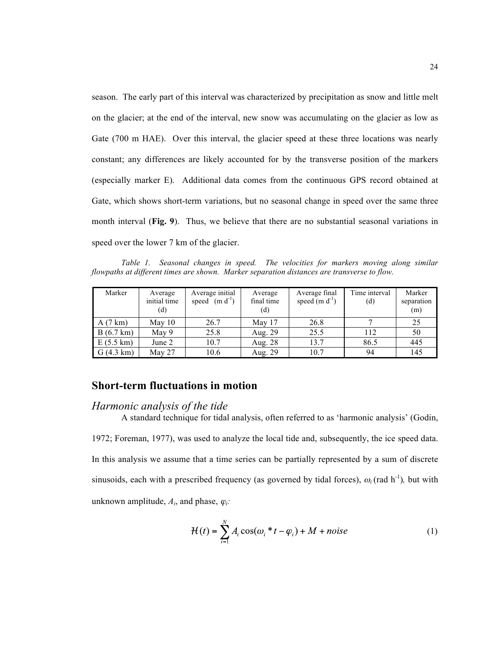season. The early part of this interval was characterized by precipitation as snow and little melt on the glacier; at the end of the interval, new snow was accumulating on the glacier as low as Gate (700 m HAE). Over this interval, the glacier speed at these three locations was nearly constant; any differences are likely accounted for by the transverse position of the markers (especially marker E). Additional data comes from the continuous GPS record obtained at Gate, which shows short-term variations, but no seasonal change in speed over the same three month interval (**Fig. 9**). Thus, we believe that there are no substantial seasonal variations in speed over the lower 7 km of the glacier.

*Table 1. Seasonal changes in speed. The velocities for markers moving along similar flowpaths at different times are shown. Marker separation distances are transverse to flow.*

| Marker              | Average<br>initial time<br>(d) | Average initial<br>speed $(m d-1)$ | Average<br>final time<br>(d) | Average final<br>speed $(m d-1)$ | Time interval<br>(d) | Marker<br>separation<br>(m) |
|---------------------|--------------------------------|------------------------------------|------------------------------|----------------------------------|----------------------|-----------------------------|
| A(7 km)             | May 10                         | 26.7                               | May 17                       | 26.8                             |                      | 25                          |
| $B(6.7 \text{ km})$ | May 9                          | 25.8                               | Aug. 29                      | 25.5                             | 112                  | 50                          |
| $E(5.5 \text{ km})$ | June 2                         | 10.7                               | Aug. 28                      | 13.7                             | 86.5                 | 445                         |
| $G(4.3 \text{ km})$ | May 27                         | 10.6                               | Aug. 29                      | 10.7                             | 94                   | 145                         |

## **Short-term fluctuations in motion**

#### *Harmonic analysis of the tide*

A standard technique for tidal analysis, often referred to as 'harmonic analysis' (Godin,

1972; Foreman, 1977), was used to analyze the local tide and, subsequently, the ice speed data. In this analysis we assume that a time series can be partially represented by a sum of discrete sinusoids, each with a prescribed frequency (as governed by tidal forces),  $\omega_i$  (rad h<sup>-1</sup>), but with unknown amplitude,  $A_i$ , and phase,  $\varphi_i$ :

$$
\mathcal{H}(t) = \sum_{i=1}^{N} A_i \cos(\omega_i * t - \varphi_i) + M + noise \tag{1}
$$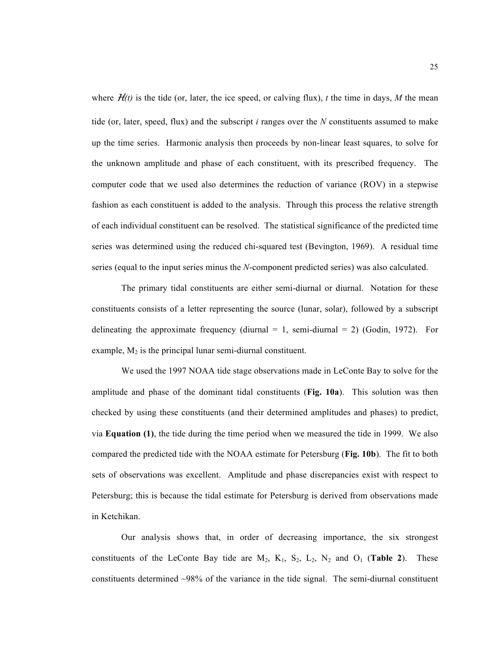where  $H(t)$  is the tide (or, later, the ice speed, or calving flux), *t* the time in days, *M* the mean tide (or, later, speed, flux) and the subscript *i* ranges over the *N* constituents assumed to make up the time series. Harmonic analysis then proceeds by non-linear least squares, to solve for the unknown amplitude and phase of each constituent, with its prescribed frequency. The computer code that we used also determines the reduction of variance (ROV) in a stepwise fashion as each constituent is added to the analysis. Through this process the relative strength of each individual constituent can be resolved. The statistical significance of the predicted time series was determined using the reduced chi-squared test (Bevington, 1969). A residual time series (equal to the input series minus the *N*-component predicted series) was also calculated.

The primary tidal constituents are either semi-diurnal or diurnal. Notation for these constituents consists of a letter representing the source (lunar, solar), followed by a subscript delineating the approximate frequency (diurnal  $= 1$ , semi-diurnal  $= 2$ ) (Godin, 1972). For example,  $M_2$  is the principal lunar semi-diurnal constituent.

We used the 1997 NOAA tide stage observations made in LeConte Bay to solve for the amplitude and phase of the dominant tidal constituents (**Fig. 10a**). This solution was then checked by using these constituents (and their determined amplitudes and phases) to predict, via **Equation (1)**, the tide during the time period when we measured the tide in 1999. We also compared the predicted tide with the NOAA estimate for Petersburg (**Fig. 10b**). The fit to both sets of observations was excellent. Amplitude and phase discrepancies exist with respect to Petersburg; this is because the tidal estimate for Petersburg is derived from observations made in Ketchikan.

Our analysis shows that, in order of decreasing importance, the six strongest constituents of the LeConte Bay tide are  $M_2$ ,  $K_1$ ,  $S_2$ ,  $L_2$ ,  $N_2$  and  $O_1$  (**Table 2**). These constituents determined ~98% of the variance in the tide signal. The semi-diurnal constituent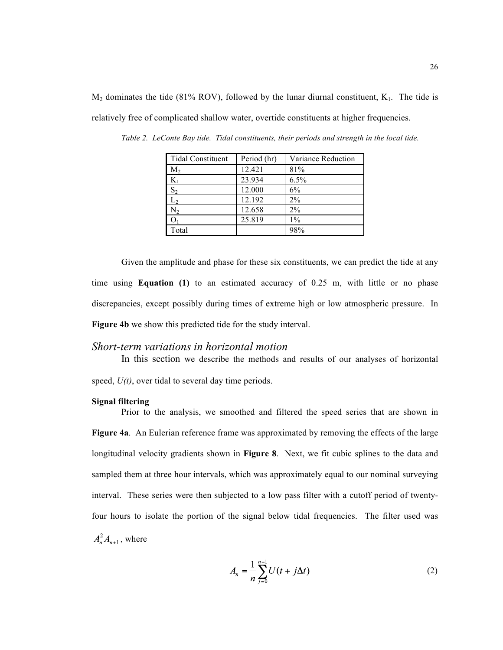$M_2$  dominates the tide (81% ROV), followed by the lunar diurnal constituent,  $K_1$ . The tide is relatively free of complicated shallow water, overtide constituents at higher frequencies.

| <b>Tidal Constituent</b> | Period (hr) | Variance Reduction |
|--------------------------|-------------|--------------------|
| $M_2$                    | 12.421      | 81%                |
| $K_1$                    | 23.934      | 6.5%               |
| $S_2$                    | 12.000      | 6%                 |
| L <sub>2</sub>           | 12.192      | $2\%$              |
| $\rm N_2$                | 12.658      | $2\%$              |
|                          | 25.819      | $1\%$              |
| Total                    |             | 98%                |

*Table 2. LeConte Bay tide. Tidal constituents, their periods and strength in the local tide.*

Given the amplitude and phase for these six constituents, we can predict the tide at any time using **Equation (1)** to an estimated accuracy of 0.25 m, with little or no phase discrepancies, except possibly during times of extreme high or low atmospheric pressure. In **Figure 4b** we show this predicted tide for the study interval.

#### *Short-term variations in horizontal motion*

In this section we describe the methods and results of our analyses of horizontal

speed,  $U(t)$ , over tidal to several day time periods.

#### **Signal filtering**

Prior to the analysis, we smoothed and filtered the speed series that are shown in **Figure 4a**. An Eulerian reference frame was approximated by removing the effects of the large longitudinal velocity gradients shown in **Figure 8**. Next, we fit cubic splines to the data and sampled them at three hour intervals, which was approximately equal to our nominal surveying interval. These series were then subjected to a low pass filter with a cutoff period of twentyfour hours to isolate the portion of the signal below tidal frequencies. The filter used was  $A_n^2 A_{n+1}$ , where

$$
A_n = \frac{1}{n} \sum_{j=0}^{n-1} U(t + j\Delta t)
$$
 (2)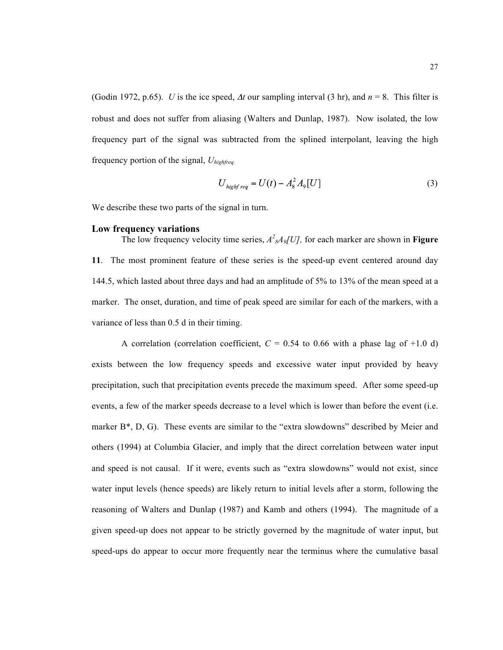(Godin 1972, p.65). *U* is the ice speed, Δ*t* our sampling interval (3 hr), and *n* = 8. This filter is robust and does not suffer from aliasing (Walters and Dunlap, 1987). Now isolated, the low frequency part of the signal was subtracted from the splined interpolant, leaving the high frequency portion of the signal, *Uhighfreq.*

$$
U_{\text{highfreq}} = U(t) - A_8^2 A_9[U] \tag{3}
$$

We describe these two parts of the signal in turn.

#### **Low frequency variations**

The low frequency velocity time series,  $A^2_{\mathcal{A}}A_9[U]$ , for each marker are shown in **Figure 11**. The most prominent feature of these series is the speed-up event centered around day 144.5, which lasted about three days and had an amplitude of 5% to 13% of the mean speed at a marker. The onset, duration, and time of peak speed are similar for each of the markers, with a variance of less than 0.5 d in their timing.

A correlation (correlation coefficient,  $C = 0.54$  to 0.66 with a phase lag of  $+1.0$  d) exists between the low frequency speeds and excessive water input provided by heavy precipitation, such that precipitation events precede the maximum speed. After some speed-up events, a few of the marker speeds decrease to a level which is lower than before the event (i.e. marker B\*, D, G). These events are similar to the "extra slowdowns" described by Meier and others (1994) at Columbia Glacier, and imply that the direct correlation between water input and speed is not causal. If it were, events such as "extra slowdowns" would not exist, since water input levels (hence speeds) are likely return to initial levels after a storm, following the reasoning of Walters and Dunlap (1987) and Kamb and others (1994). The magnitude of a given speed-up does not appear to be strictly governed by the magnitude of water input, but speed-ups do appear to occur more frequently near the terminus where the cumulative basal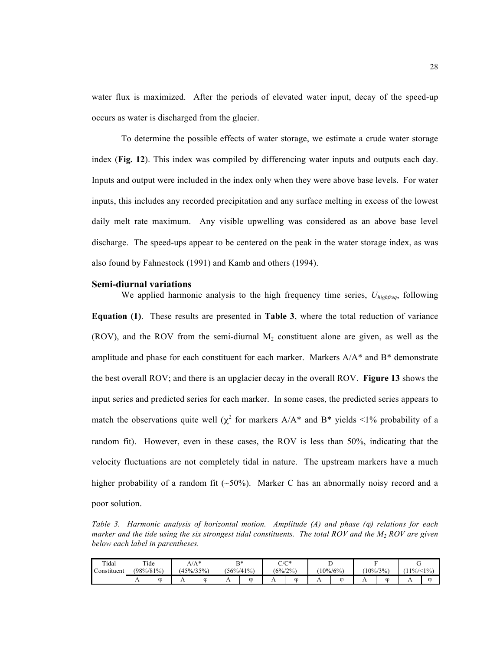water flux is maximized. After the periods of elevated water input, decay of the speed-up occurs as water is discharged from the glacier.

To determine the possible effects of water storage, we estimate a crude water storage index (**Fig. 12**). This index was compiled by differencing water inputs and outputs each day. Inputs and output were included in the index only when they were above base levels. For water inputs, this includes any recorded precipitation and any surface melting in excess of the lowest daily melt rate maximum. Any visible upwelling was considered as an above base level discharge. The speed-ups appear to be centered on the peak in the water storage index, as was also found by Fahnestock (1991) and Kamb and others (1994).

#### **Semi-diurnal variations**

We applied harmonic analysis to the high frequency time series, *Uhighfreq*, following **Equation (1)**. These results are presented in **Table 3**, where the total reduction of variance (ROV), and the ROV from the semi-diurnal  $M_2$  constituent alone are given, as well as the amplitude and phase for each constituent for each marker. Markers  $A/A^*$  and  $B^*$  demonstrate the best overall ROV; and there is an upglacier decay in the overall ROV. **Figure 13** shows the input series and predicted series for each marker. In some cases, the predicted series appears to match the observations quite well ( $\chi^2$  for markers A/A\* and B\* yields <1% probability of a random fit). However, even in these cases, the ROV is less than 50%, indicating that the velocity fluctuations are not completely tidal in nature. The upstream markers have a much higher probability of a random fit  $(\sim 50\%)$ . Marker C has an abnormally noisy record and a poor solution.

*Table 3. Harmonic analysis of horizontal motion. Amplitude (A) and phase (*ϕ*) relations for each marker and the tide using the six strongest tidal constituents. The total ROV and the M2 ROV are given below each label in parentheses.*

| Tidal       |                | Tide          |     | $A/A^*$       |                | B*            |                | $C/C^*$     | ∸              |            |          |       |                |            |
|-------------|----------------|---------------|-----|---------------|----------------|---------------|----------------|-------------|----------------|------------|----------|-------|----------------|------------|
| Constituent |                | $(98\%/81\%)$ |     | $(45\%/35\%)$ |                | $(56\%/41\%)$ |                | $(6\%/2\%)$ |                | $10\%/6\%$ | $10\%/3$ | $3\%$ |                | $1\%/<1\%$ |
|             | $\overline{1}$ | ∞             | . . | $\alpha$      | $\overline{1}$ | $\omega$      | $\overline{1}$ | ∞           | $\overline{1}$ | ∞          | . .      | m     | $\overline{1}$ | $\omega$   |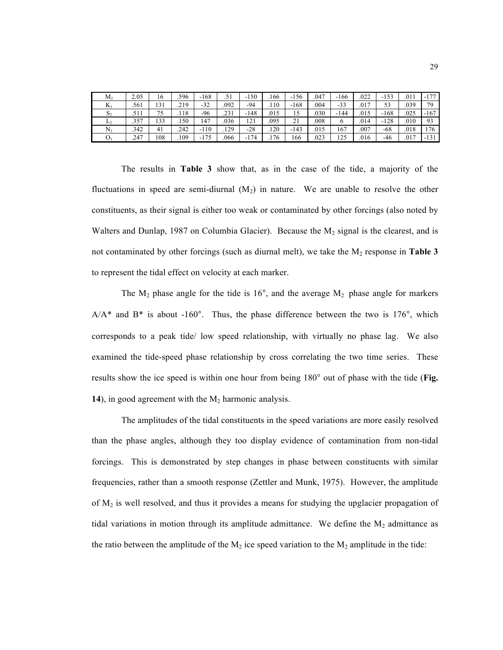| $\rm M_2$      | 2.05 | 16  | .596 | $-168$     | .51  | $-150$ | 166  | $-156$ | .047 | $-166$ | .022 | $-153$ | .011 | $-177$ |
|----------------|------|-----|------|------------|------|--------|------|--------|------|--------|------|--------|------|--------|
| T.Z<br>Δ,      | .561 | 131 | .219 | $-32$      | .092 | -94    | .110 | $-168$ | .004 | $-33$  | .017 | 53     | .039 | 79     |
| $\mathbf{D}$   | . 1  | 75  | 118  | -96        | .231 | $-148$ | .015 | 15     | .030 | $-144$ | .015 | $-168$ | .025 | $-167$ |
| L <sub>2</sub> | .357 | 133 | 150  | 147        | .036 | 121    | .095 | 21     | .008 |        | .014 | $-128$ | .010 | 93     |
| $\rm N_2$      | .342 | 41  | .242 | 110<br>- 1 | .129 | $-28$  | .120 | $-143$ | .015 | 167    | .007 | $-68$  | .018 | 176    |
| О,             | .247 | 108 | 109  | $-175$     | .066 | $-174$ | .176 | 166    | .023 | 125    | .016 | $-46$  | .017 | $-131$ |

The results in **Table 3** show that, as in the case of the tide, a majority of the fluctuations in speed are semi-diurnal  $(M_2)$  in nature. We are unable to resolve the other constituents, as their signal is either too weak or contaminated by other forcings (also noted by Walters and Dunlap, 1987 on Columbia Glacier). Because the  $M<sub>2</sub>$  signal is the clearest, and is not contaminated by other forcings (such as diurnal melt), we take the  $M_2$  response in **Table 3** to represent the tidal effect on velocity at each marker.

The  $M_2$  phase angle for the tide is 16°, and the average  $M_2$  phase angle for markers  $A/A^*$  and  $B^*$  is about -160°. Thus, the phase difference between the two is 176°, which corresponds to a peak tide/ low speed relationship, with virtually no phase lag. We also examined the tide-speed phase relationship by cross correlating the two time series. These results show the ice speed is within one hour from being 180° out of phase with the tide (**Fig.**  14), in good agreement with the M<sub>2</sub> harmonic analysis.

The amplitudes of the tidal constituents in the speed variations are more easily resolved than the phase angles, although they too display evidence of contamination from non-tidal forcings. This is demonstrated by step changes in phase between constituents with similar frequencies, rather than a smooth response (Zettler and Munk, 1975). However, the amplitude of  $M<sub>2</sub>$  is well resolved, and thus it provides a means for studying the upglacier propagation of tidal variations in motion through its amplitude admittance. We define the  $M_2$  admittance as the ratio between the amplitude of the  $M_2$  ice speed variation to the  $M_2$  amplitude in the tide: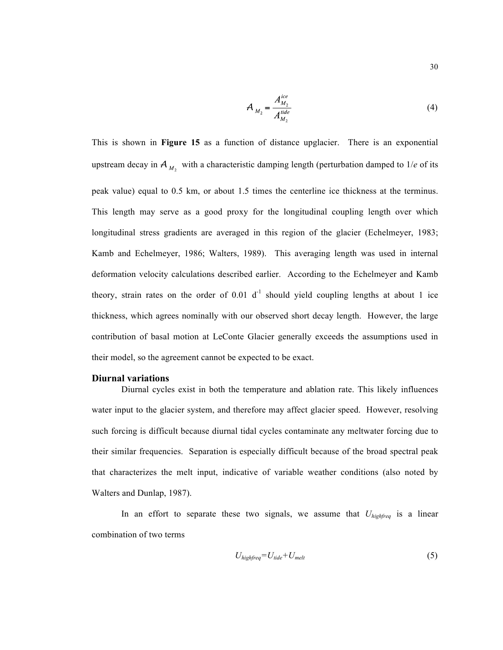$$
A_{M_2} = \frac{A_{M_2}^{ice}}{A_{M_2}^{ide}}
$$
 (4)

This is shown in **Figure 15** as a function of distance upglacier. There is an exponential upstream decay in  $A_{M_2}$  with a characteristic damping length (perturbation damped to 1/*e* of its peak value) equal to 0.5 km, or about 1.5 times the centerline ice thickness at the terminus. This length may serve as a good proxy for the longitudinal coupling length over which longitudinal stress gradients are averaged in this region of the glacier (Echelmeyer, 1983; Kamb and Echelmeyer, 1986; Walters, 1989). This averaging length was used in internal deformation velocity calculations described earlier. According to the Echelmeyer and Kamb theory, strain rates on the order of 0.01  $d<sup>-1</sup>$  should yield coupling lengths at about 1 ice thickness, which agrees nominally with our observed short decay length. However, the large contribution of basal motion at LeConte Glacier generally exceeds the assumptions used in their model, so the agreement cannot be expected to be exact.

#### **Diurnal variations**

Diurnal cycles exist in both the temperature and ablation rate. This likely influences water input to the glacier system, and therefore may affect glacier speed. However, resolving such forcing is difficult because diurnal tidal cycles contaminate any meltwater forcing due to their similar frequencies. Separation is especially difficult because of the broad spectral peak that characterizes the melt input, indicative of variable weather conditions (also noted by Walters and Dunlap, 1987).

In an effort to separate these two signals, we assume that *Uhighfreq* is a linear combination of two terms

$$
U_{\text{highfreq}} = U_{\text{tide}} + U_{\text{melt}} \tag{5}
$$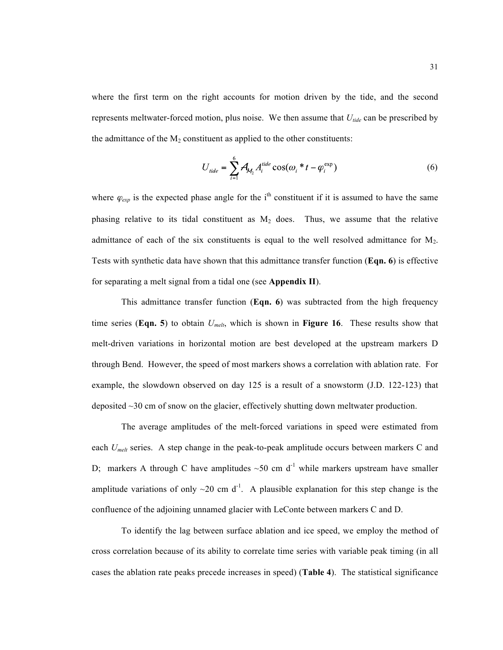where the first term on the right accounts for motion driven by the tide, and the second represents meltwater-forced motion, plus noise. We then assume that  $U_{tide}$  can be prescribed by the admittance of the  $M_2$  constituent as applied to the other constituents:

$$
U_{\text{tide}} = \sum_{i=1}^{6} \mathcal{A}_{M_2} A_i^{\text{tide}} \cos(\omega_i * t - \varphi_i^{\text{exp}})
$$
 (6)

where  $\varphi_{\text{exp}}$  is the expected phase angle for the i<sup>th</sup> constituent if it is assumed to have the same phasing relative to its tidal constituent as  $M_2$  does. Thus, we assume that the relative admittance of each of the six constituents is equal to the well resolved admittance for  $M_2$ . Tests with synthetic data have shown that this admittance transfer function (**Eqn. 6**) is effective for separating a melt signal from a tidal one (see **Appendix II**).

This admittance transfer function (**Eqn. 6**) was subtracted from the high frequency time series (**Eqn. 5**) to obtain *Umelt*, which is shown in **Figure 16**. These results show that melt-driven variations in horizontal motion are best developed at the upstream markers D through Bend. However, the speed of most markers shows a correlation with ablation rate. For example, the slowdown observed on day 125 is a result of a snowstorm (J.D. 122-123) that deposited ~30 cm of snow on the glacier, effectively shutting down meltwater production.

The average amplitudes of the melt-forced variations in speed were estimated from each *U<sub>melt</sub>* series. A step change in the peak-to-peak amplitude occurs between markers C and D; markers A through C have amplitudes  $\sim 50$  cm d<sup>-1</sup> while markers upstream have smaller amplitude variations of only  $\sim 20$  cm d<sup>-1</sup>. A plausible explanation for this step change is the confluence of the adjoining unnamed glacier with LeConte between markers C and D.

To identify the lag between surface ablation and ice speed, we employ the method of cross correlation because of its ability to correlate time series with variable peak timing (in all cases the ablation rate peaks precede increases in speed) (**Table 4**). The statistical significance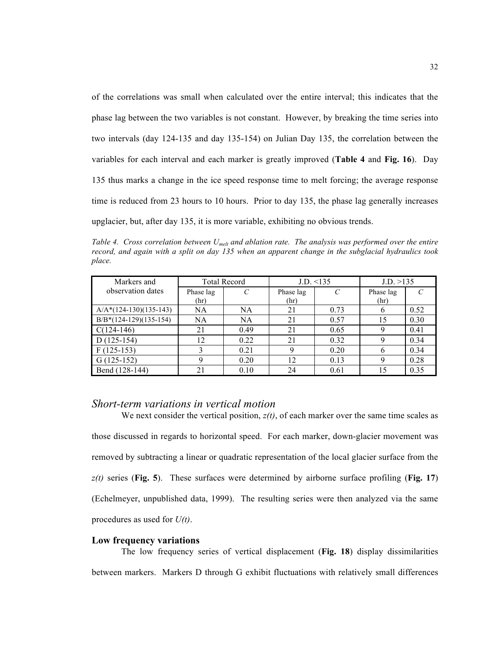of the correlations was small when calculated over the entire interval; this indicates that the phase lag between the two variables is not constant. However, by breaking the time series into two intervals (day 124-135 and day 135-154) on Julian Day 135, the correlation between the variables for each interval and each marker is greatly improved (**Table 4** and **Fig. 16**). Day 135 thus marks a change in the ice speed response time to melt forcing; the average response time is reduced from 23 hours to 10 hours. Prior to day 135, the phase lag generally increases upglacier, but, after day 135, it is more variable, exhibiting no obvious trends.

*Table 4. Cross correlation between Umelt and ablation rate. The analysis was performed over the entire record, and again with a split on day 135 when an apparent change in the subglacial hydraulics took place.*

| Markers and              |           | <b>Total Record</b> |           | $J.D. \leq 135$ | J.D. >135 |               |
|--------------------------|-----------|---------------------|-----------|-----------------|-----------|---------------|
| observation dates        | Phase lag | $\mathcal{C}$       | Phase lag | $\mathcal{C}$   | Phase lag | $\mathcal{C}$ |
|                          | (hr)      |                     | (hr)      |                 | (hr)      |               |
| $A/A*(124-130)(135-143)$ | NA        | <b>NA</b>           | 21        | 0.73            |           | 0.52          |
| $B/B*(124-129)(135-154)$ | NA        | <b>NA</b>           | 21        | 0.57            | 15        | 0.30          |
| $C(124-146)$             | 21        | 0.49                | 21        | 0.65            |           | 0.41          |
| $D(125-154)$             | 12        | 0.22                | 21        | 0.32            | Q         | 0.34          |
| $F(125-153)$             |           | 0.21                |           | 0.20            | h         | 0.34          |
| $G(125-152)$             | Q         | 0.20                | 12        | 0.13            |           | 0.28          |
| Bend (128-144)           |           | 0.10                | 24        | 0.61            |           | 0.35          |

#### *Short-term variations in vertical motion*

We next consider the vertical position,  $z(t)$ , of each marker over the same time scales as those discussed in regards to horizontal speed. For each marker, down-glacier movement was removed by subtracting a linear or quadratic representation of the local glacier surface from the *z(t)* series (**Fig. 5**). These surfaces were determined by airborne surface profiling (**Fig. 17**) (Echelmeyer, unpublished data, 1999). The resulting series were then analyzed via the same procedures as used for *U(t)*.

#### **Low frequency variations**

The low frequency series of vertical displacement (**Fig. 18**) display dissimilarities between markers. Markers D through G exhibit fluctuations with relatively small differences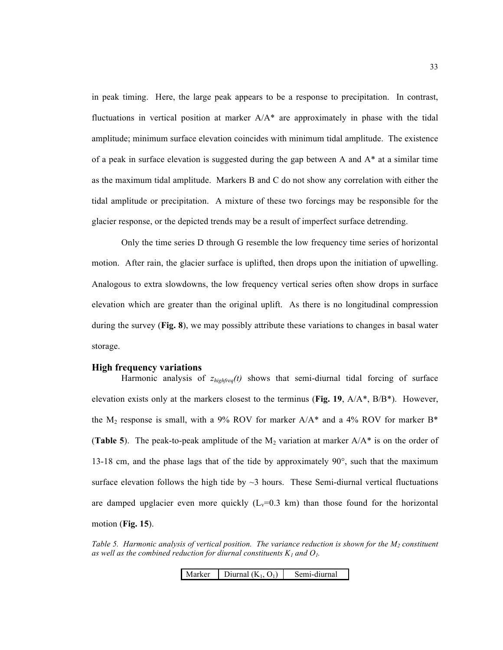in peak timing. Here, the large peak appears to be a response to precipitation. In contrast, fluctuations in vertical position at marker  $A/A^*$  are approximately in phase with the tidal amplitude; minimum surface elevation coincides with minimum tidal amplitude. The existence of a peak in surface elevation is suggested during the gap between A and  $A^*$  at a similar time as the maximum tidal amplitude. Markers B and C do not show any correlation with either the tidal amplitude or precipitation. A mixture of these two forcings may be responsible for the glacier response, or the depicted trends may be a result of imperfect surface detrending.

Only the time series D through G resemble the low frequency time series of horizontal motion. After rain, the glacier surface is uplifted, then drops upon the initiation of upwelling. Analogous to extra slowdowns, the low frequency vertical series often show drops in surface elevation which are greater than the original uplift. As there is no longitudinal compression during the survey (**Fig. 8**), we may possibly attribute these variations to changes in basal water storage.

#### **High frequency variations**

Harmonic analysis of *zhighfreq(t)* shows that semi-diurnal tidal forcing of surface elevation exists only at the markers closest to the terminus (**Fig. 19**, A/A\*, B/B\*). However, the  $M_2$  response is small, with a 9% ROV for marker  $A/A^*$  and a 4% ROV for marker B\* (**Table 5**). The peak-to-peak amplitude of the  $M_2$  variation at marker  $A/A^*$  is on the order of 13-18 cm, and the phase lags that of the tide by approximately  $90^\circ$ , such that the maximum surface elevation follows the high tide by  $\sim$ 3 hours. These Semi-diurnal vertical fluctuations are damped upglacier even more quickly  $(L_v=0.3 \text{ km})$  than those found for the horizontal motion (**Fig. 15**).

*Table 5. Harmonic analysis of vertical position. The variance reduction is shown for the M<sub>2</sub> constituent* as well as the combined reduction for diurnal constituents  $K_l$  and  $O_l$ .

Marker | Diurnal  $(K_1, O_1)$  | Semi-diurnal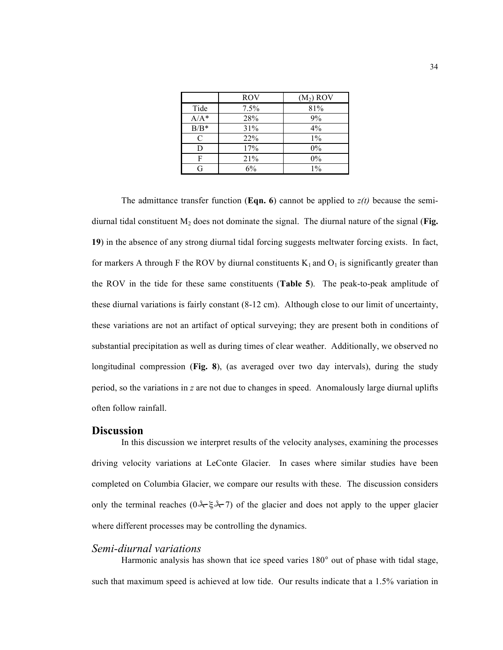|         | <b>ROV</b> | $(M_2)$ ROV |
|---------|------------|-------------|
| Tide    | 7.5%       | 81%         |
| $A/A^*$ | 28%        | 9%          |
| $B/B^*$ | 31%        | 4%          |
| C       | 22%        | $1\%$       |
| D       | 17%        | 0%          |
| F       | 21%        | 0%          |
| G       | 6%         | $1\%$       |

The admittance transfer function (**Eqn. 6**) cannot be applied to  $z(t)$  because the semidiurnal tidal constituent M2 does not dominate the signal. The diurnal nature of the signal (**Fig. 19**) in the absence of any strong diurnal tidal forcing suggests meltwater forcing exists. In fact, for markers A through F the ROV by diurnal constituents  $K_1$  and  $O_1$  is significantly greater than the ROV in the tide for these same constituents (**Table 5**). The peak-to-peak amplitude of these diurnal variations is fairly constant (8-12 cm). Although close to our limit of uncertainty, these variations are not an artifact of optical surveying; they are present both in conditions of substantial precipitation as well as during times of clear weather. Additionally, we observed no longitudinal compression (**Fig. 8**), (as averaged over two day intervals), during the study period, so the variations in *z* are not due to changes in speed. Anomalously large diurnal uplifts often follow rainfall.

#### **Discussion**

In this discussion we interpret results of the velocity analyses, examining the processes driving velocity variations at LeConte Glacier. In cases where similar studies have been completed on Columbia Glacier, we compare our results with these. The discussion considers only the terminal reaches ( $0 \rightarrow \xi \rightarrow 7$ ) of the glacier and does not apply to the upper glacier where different processes may be controlling the dynamics.

#### *Semi-diurnal variations*

Harmonic analysis has shown that ice speed varies 180° out of phase with tidal stage, such that maximum speed is achieved at low tide. Our results indicate that a 1.5% variation in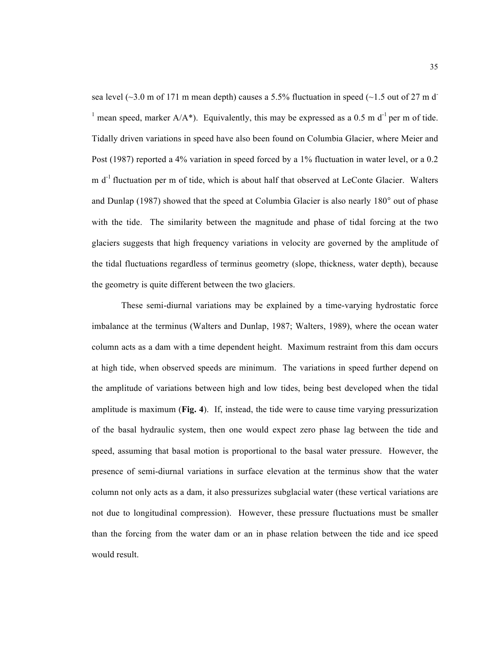sea level ( $\sim$ 3.0 m of 171 m mean depth) causes a 5.5% fluctuation in speed ( $\sim$ 1.5 out of 27 m d<sup>-</sup> <sup>1</sup> mean speed, marker  $A/A^*$ ). Equivalently, this may be expressed as a 0.5 m d<sup>-1</sup> per m of tide. Tidally driven variations in speed have also been found on Columbia Glacier, where Meier and Post (1987) reported a 4% variation in speed forced by a 1% fluctuation in water level, or a 0.2  $m d<sup>-1</sup>$  fluctuation per m of tide, which is about half that observed at LeConte Glacier. Walters and Dunlap (1987) showed that the speed at Columbia Glacier is also nearly 180° out of phase with the tide. The similarity between the magnitude and phase of tidal forcing at the two glaciers suggests that high frequency variations in velocity are governed by the amplitude of the tidal fluctuations regardless of terminus geometry (slope, thickness, water depth), because the geometry is quite different between the two glaciers.

These semi-diurnal variations may be explained by a time-varying hydrostatic force imbalance at the terminus (Walters and Dunlap, 1987; Walters, 1989), where the ocean water column acts as a dam with a time dependent height. Maximum restraint from this dam occurs at high tide, when observed speeds are minimum. The variations in speed further depend on the amplitude of variations between high and low tides, being best developed when the tidal amplitude is maximum (**Fig. 4**). If, instead, the tide were to cause time varying pressurization of the basal hydraulic system, then one would expect zero phase lag between the tide and speed, assuming that basal motion is proportional to the basal water pressure. However, the presence of semi-diurnal variations in surface elevation at the terminus show that the water column not only acts as a dam, it also pressurizes subglacial water (these vertical variations are not due to longitudinal compression). However, these pressure fluctuations must be smaller than the forcing from the water dam or an in phase relation between the tide and ice speed would result.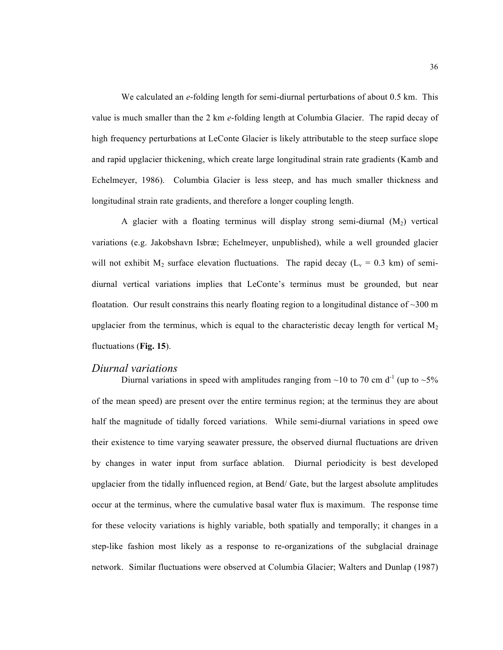We calculated an *e*-folding length for semi-diurnal perturbations of about 0.5 km. This value is much smaller than the 2 km *e*-folding length at Columbia Glacier. The rapid decay of high frequency perturbations at LeConte Glacier is likely attributable to the steep surface slope and rapid upglacier thickening, which create large longitudinal strain rate gradients (Kamb and Echelmeyer, 1986). Columbia Glacier is less steep, and has much smaller thickness and longitudinal strain rate gradients, and therefore a longer coupling length.

A glacier with a floating terminus will display strong semi-diurnal  $(M_2)$  vertical variations (e.g. Jakobshavn Isbræ; Echelmeyer, unpublished), while a well grounded glacier will not exhibit  $M_2$  surface elevation fluctuations. The rapid decay ( $L_v = 0.3$  km) of semidiurnal vertical variations implies that LeConte's terminus must be grounded, but near floatation. Our result constrains this nearly floating region to a longitudinal distance of  $\sim$ 300 m upglacier from the terminus, which is equal to the characteristic decay length for vertical  $M_2$ fluctuations (**Fig. 15**).

#### *Diurnal variations*

Diurnal variations in speed with amplitudes ranging from  $\sim$ 10 to 70 cm d<sup>-1</sup> (up to  $\sim$ 5% of the mean speed) are present over the entire terminus region; at the terminus they are about half the magnitude of tidally forced variations. While semi-diurnal variations in speed owe their existence to time varying seawater pressure, the observed diurnal fluctuations are driven by changes in water input from surface ablation. Diurnal periodicity is best developed upglacier from the tidally influenced region, at Bend/ Gate, but the largest absolute amplitudes occur at the terminus, where the cumulative basal water flux is maximum. The response time for these velocity variations is highly variable, both spatially and temporally; it changes in a step-like fashion most likely as a response to re-organizations of the subglacial drainage network. Similar fluctuations were observed at Columbia Glacier; Walters and Dunlap (1987)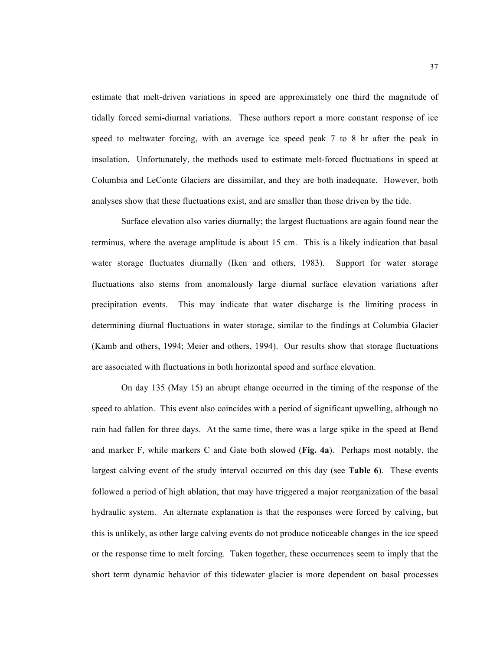estimate that melt-driven variations in speed are approximately one third the magnitude of tidally forced semi-diurnal variations. These authors report a more constant response of ice speed to meltwater forcing, with an average ice speed peak 7 to 8 hr after the peak in insolation. Unfortunately, the methods used to estimate melt-forced fluctuations in speed at Columbia and LeConte Glaciers are dissimilar, and they are both inadequate. However, both analyses show that these fluctuations exist, and are smaller than those driven by the tide.

Surface elevation also varies diurnally; the largest fluctuations are again found near the terminus, where the average amplitude is about 15 cm. This is a likely indication that basal water storage fluctuates diurnally (Iken and others, 1983). Support for water storage fluctuations also stems from anomalously large diurnal surface elevation variations after precipitation events. This may indicate that water discharge is the limiting process in determining diurnal fluctuations in water storage, similar to the findings at Columbia Glacier (Kamb and others, 1994; Meier and others, 1994). Our results show that storage fluctuations are associated with fluctuations in both horizontal speed and surface elevation.

On day 135 (May 15) an abrupt change occurred in the timing of the response of the speed to ablation. This event also coincides with a period of significant upwelling, although no rain had fallen for three days. At the same time, there was a large spike in the speed at Bend and marker F, while markers C and Gate both slowed (**Fig. 4a**). Perhaps most notably, the largest calving event of the study interval occurred on this day (see **Table 6**). These events followed a period of high ablation, that may have triggered a major reorganization of the basal hydraulic system. An alternate explanation is that the responses were forced by calving, but this is unlikely, as other large calving events do not produce noticeable changes in the ice speed or the response time to melt forcing. Taken together, these occurrences seem to imply that the short term dynamic behavior of this tidewater glacier is more dependent on basal processes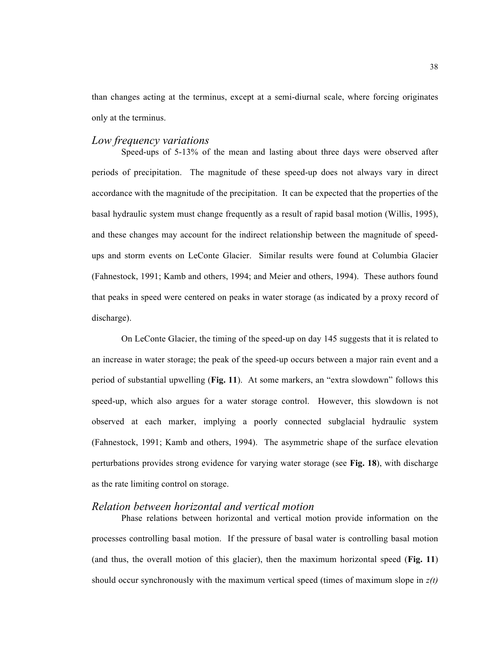than changes acting at the terminus, except at a semi-diurnal scale, where forcing originates only at the terminus.

## *Low frequency variations*

Speed-ups of 5-13% of the mean and lasting about three days were observed after periods of precipitation. The magnitude of these speed-up does not always vary in direct accordance with the magnitude of the precipitation. It can be expected that the properties of the basal hydraulic system must change frequently as a result of rapid basal motion (Willis, 1995), and these changes may account for the indirect relationship between the magnitude of speedups and storm events on LeConte Glacier. Similar results were found at Columbia Glacier (Fahnestock, 1991; Kamb and others, 1994; and Meier and others, 1994). These authors found that peaks in speed were centered on peaks in water storage (as indicated by a proxy record of discharge).

On LeConte Glacier, the timing of the speed-up on day 145 suggests that it is related to an increase in water storage; the peak of the speed-up occurs between a major rain event and a period of substantial upwelling (**Fig. 11**). At some markers, an "extra slowdown" follows this speed-up, which also argues for a water storage control. However, this slowdown is not observed at each marker, implying a poorly connected subglacial hydraulic system (Fahnestock, 1991; Kamb and others, 1994). The asymmetric shape of the surface elevation perturbations provides strong evidence for varying water storage (see **Fig. 18**), with discharge as the rate limiting control on storage.

## *Relation between horizontal and vertical motion*

Phase relations between horizontal and vertical motion provide information on the processes controlling basal motion. If the pressure of basal water is controlling basal motion (and thus, the overall motion of this glacier), then the maximum horizontal speed (**Fig. 11**) should occur synchronously with the maximum vertical speed (times of maximum slope in *z(t)*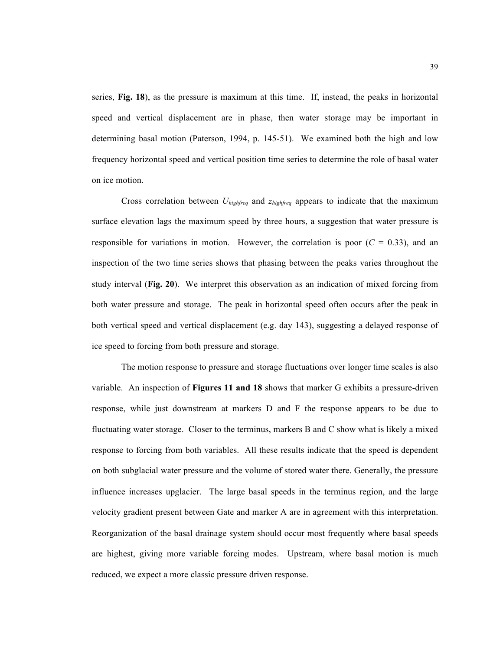series, **Fig. 18**), as the pressure is maximum at this time. If, instead, the peaks in horizontal speed and vertical displacement are in phase, then water storage may be important in determining basal motion (Paterson, 1994, p. 145-51). We examined both the high and low frequency horizontal speed and vertical position time series to determine the role of basal water on ice motion.

Cross correlation between *Uhighfreq* and *zhighfreq* appears to indicate that the maximum surface elevation lags the maximum speed by three hours, a suggestion that water pressure is responsible for variations in motion. However, the correlation is poor  $(C = 0.33)$ , and an inspection of the two time series shows that phasing between the peaks varies throughout the study interval (**Fig. 20**). We interpret this observation as an indication of mixed forcing from both water pressure and storage. The peak in horizontal speed often occurs after the peak in both vertical speed and vertical displacement (e.g. day 143), suggesting a delayed response of ice speed to forcing from both pressure and storage.

The motion response to pressure and storage fluctuations over longer time scales is also variable. An inspection of **Figures 11 and 18** shows that marker G exhibits a pressure-driven response, while just downstream at markers D and F the response appears to be due to fluctuating water storage. Closer to the terminus, markers B and C show what is likely a mixed response to forcing from both variables. All these results indicate that the speed is dependent on both subglacial water pressure and the volume of stored water there. Generally, the pressure influence increases upglacier. The large basal speeds in the terminus region, and the large velocity gradient present between Gate and marker A are in agreement with this interpretation. Reorganization of the basal drainage system should occur most frequently where basal speeds are highest, giving more variable forcing modes. Upstream, where basal motion is much reduced, we expect a more classic pressure driven response.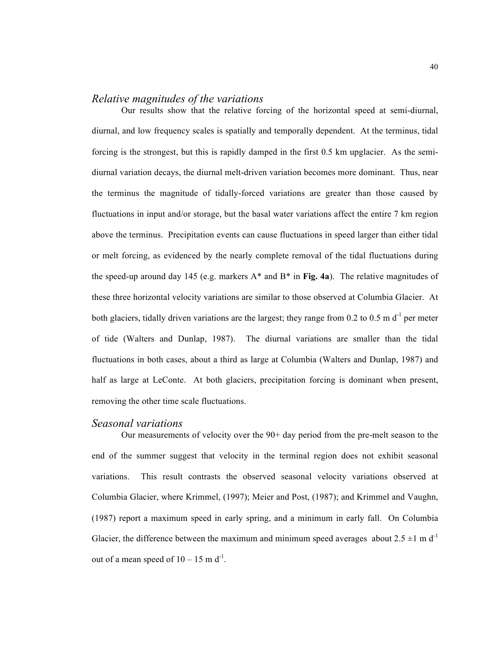## *Relative magnitudes of the variations*

Our results show that the relative forcing of the horizontal speed at semi-diurnal, diurnal, and low frequency scales is spatially and temporally dependent. At the terminus, tidal forcing is the strongest, but this is rapidly damped in the first 0.5 km upglacier. As the semidiurnal variation decays, the diurnal melt-driven variation becomes more dominant. Thus, near the terminus the magnitude of tidally-forced variations are greater than those caused by fluctuations in input and/or storage, but the basal water variations affect the entire 7 km region above the terminus. Precipitation events can cause fluctuations in speed larger than either tidal or melt forcing, as evidenced by the nearly complete removal of the tidal fluctuations during the speed-up around day 145 (e.g. markers A\* and B\* in **Fig. 4a**). The relative magnitudes of these three horizontal velocity variations are similar to those observed at Columbia Glacier. At both glaciers, tidally driven variations are the largest; they range from  $0.2$  to  $0.5$  m d<sup>-1</sup> per meter of tide (Walters and Dunlap, 1987). The diurnal variations are smaller than the tidal fluctuations in both cases, about a third as large at Columbia (Walters and Dunlap, 1987) and half as large at LeConte. At both glaciers, precipitation forcing is dominant when present, removing the other time scale fluctuations.

#### *Seasonal variations*

Our measurements of velocity over the 90+ day period from the pre-melt season to the end of the summer suggest that velocity in the terminal region does not exhibit seasonal variations. This result contrasts the observed seasonal velocity variations observed at Columbia Glacier, where Krimmel, (1997); Meier and Post, (1987); and Krimmel and Vaughn, (1987) report a maximum speed in early spring, and a minimum in early fall. On Columbia Glacier, the difference between the maximum and minimum speed averages about  $2.5 \pm 1 \text{ m d}^{-1}$ out of a mean speed of  $10 - 15$  m d<sup>-1</sup>.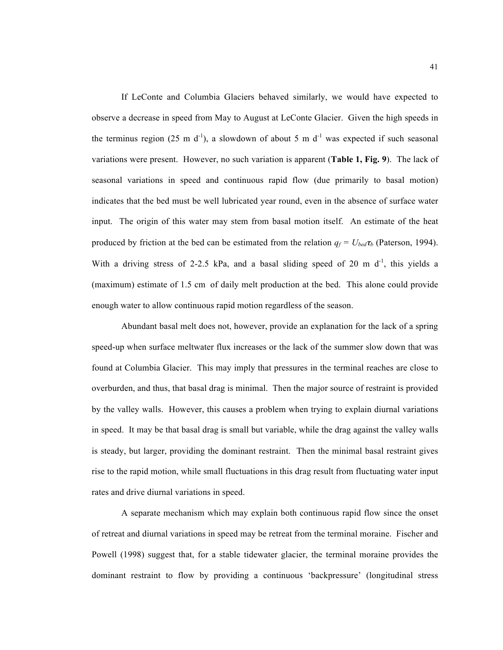If LeConte and Columbia Glaciers behaved similarly, we would have expected to observe a decrease in speed from May to August at LeConte Glacier. Given the high speeds in the terminus region (25 m  $d^{-1}$ ), a slowdown of about 5 m  $d^{-1}$  was expected if such seasonal variations were present. However, no such variation is apparent (**Table 1, Fig. 9**). The lack of seasonal variations in speed and continuous rapid flow (due primarily to basal motion) indicates that the bed must be well lubricated year round, even in the absence of surface water input. The origin of this water may stem from basal motion itself. An estimate of the heat produced by friction at the bed can be estimated from the relation  $q_f = U_{bed}\tau_b$  (Paterson, 1994). With a driving stress of 2-2.5 kPa, and a basal sliding speed of 20 m  $d^{-1}$ , this yields a (maximum) estimate of 1.5 cm of daily melt production at the bed. This alone could provide enough water to allow continuous rapid motion regardless of the season.

Abundant basal melt does not, however, provide an explanation for the lack of a spring speed-up when surface meltwater flux increases or the lack of the summer slow down that was found at Columbia Glacier. This may imply that pressures in the terminal reaches are close to overburden, and thus, that basal drag is minimal. Then the major source of restraint is provided by the valley walls. However, this causes a problem when trying to explain diurnal variations in speed. It may be that basal drag is small but variable, while the drag against the valley walls is steady, but larger, providing the dominant restraint. Then the minimal basal restraint gives rise to the rapid motion, while small fluctuations in this drag result from fluctuating water input rates and drive diurnal variations in speed.

A separate mechanism which may explain both continuous rapid flow since the onset of retreat and diurnal variations in speed may be retreat from the terminal moraine. Fischer and Powell (1998) suggest that, for a stable tidewater glacier, the terminal moraine provides the dominant restraint to flow by providing a continuous 'backpressure' (longitudinal stress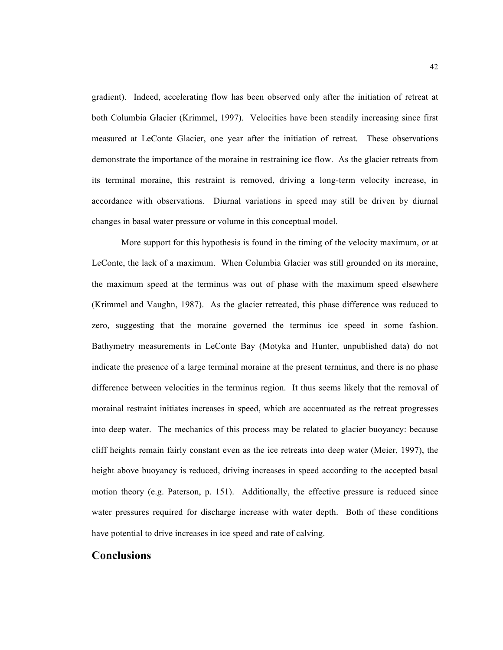gradient). Indeed, accelerating flow has been observed only after the initiation of retreat at both Columbia Glacier (Krimmel, 1997). Velocities have been steadily increasing since first measured at LeConte Glacier, one year after the initiation of retreat. These observations demonstrate the importance of the moraine in restraining ice flow. As the glacier retreats from its terminal moraine, this restraint is removed, driving a long-term velocity increase, in accordance with observations. Diurnal variations in speed may still be driven by diurnal changes in basal water pressure or volume in this conceptual model.

More support for this hypothesis is found in the timing of the velocity maximum, or at LeConte, the lack of a maximum. When Columbia Glacier was still grounded on its moraine, the maximum speed at the terminus was out of phase with the maximum speed elsewhere (Krimmel and Vaughn, 1987). As the glacier retreated, this phase difference was reduced to zero, suggesting that the moraine governed the terminus ice speed in some fashion. Bathymetry measurements in LeConte Bay (Motyka and Hunter, unpublished data) do not indicate the presence of a large terminal moraine at the present terminus, and there is no phase difference between velocities in the terminus region. It thus seems likely that the removal of morainal restraint initiates increases in speed, which are accentuated as the retreat progresses into deep water. The mechanics of this process may be related to glacier buoyancy: because cliff heights remain fairly constant even as the ice retreats into deep water (Meier, 1997), the height above buoyancy is reduced, driving increases in speed according to the accepted basal motion theory (e.g. Paterson, p. 151). Additionally, the effective pressure is reduced since water pressures required for discharge increase with water depth. Both of these conditions have potential to drive increases in ice speed and rate of calving.

## **Conclusions**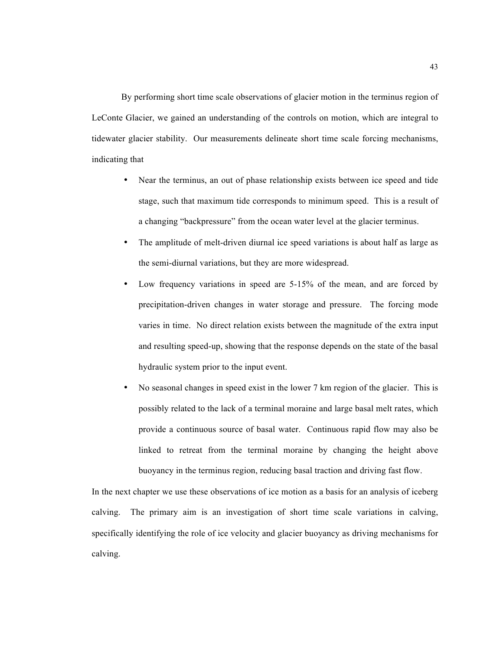By performing short time scale observations of glacier motion in the terminus region of LeConte Glacier, we gained an understanding of the controls on motion, which are integral to tidewater glacier stability. Our measurements delineate short time scale forcing mechanisms, indicating that

- Near the terminus, an out of phase relationship exists between ice speed and tide stage, such that maximum tide corresponds to minimum speed. This is a result of a changing "backpressure" from the ocean water level at the glacier terminus.
- The amplitude of melt-driven diurnal ice speed variations is about half as large as the semi-diurnal variations, but they are more widespread.
- Low frequency variations in speed are 5-15% of the mean, and are forced by precipitation-driven changes in water storage and pressure. The forcing mode varies in time. No direct relation exists between the magnitude of the extra input and resulting speed-up, showing that the response depends on the state of the basal hydraulic system prior to the input event.
- No seasonal changes in speed exist in the lower 7 km region of the glacier. This is possibly related to the lack of a terminal moraine and large basal melt rates, which provide a continuous source of basal water. Continuous rapid flow may also be linked to retreat from the terminal moraine by changing the height above buoyancy in the terminus region, reducing basal traction and driving fast flow.

In the next chapter we use these observations of ice motion as a basis for an analysis of iceberg calving. The primary aim is an investigation of short time scale variations in calving, specifically identifying the role of ice velocity and glacier buoyancy as driving mechanisms for calving.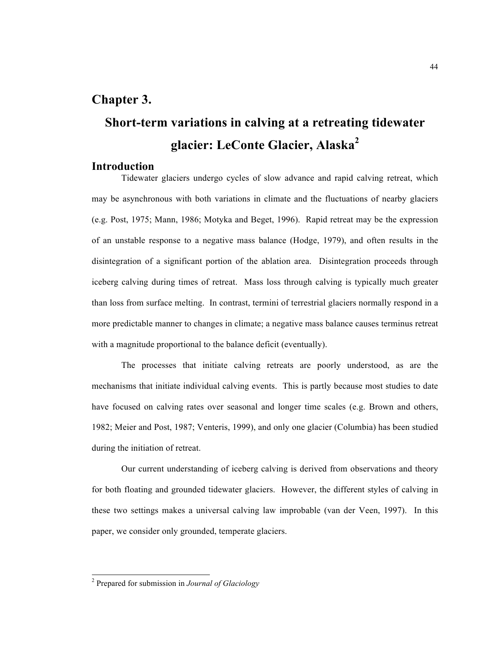# **Chapter 3.**

# **Short-term variations in calving at a retreating tidewater glacier: LeConte Glacier, Alaska<sup>2</sup>**

## **Introduction**

Tidewater glaciers undergo cycles of slow advance and rapid calving retreat, which may be asynchronous with both variations in climate and the fluctuations of nearby glaciers (e.g. Post, 1975; Mann, 1986; Motyka and Beget, 1996). Rapid retreat may be the expression of an unstable response to a negative mass balance (Hodge, 1979), and often results in the disintegration of a significant portion of the ablation area. Disintegration proceeds through iceberg calving during times of retreat. Mass loss through calving is typically much greater than loss from surface melting. In contrast, termini of terrestrial glaciers normally respond in a more predictable manner to changes in climate; a negative mass balance causes terminus retreat with a magnitude proportional to the balance deficit (eventually).

The processes that initiate calving retreats are poorly understood, as are the mechanisms that initiate individual calving events. This is partly because most studies to date have focused on calving rates over seasonal and longer time scales (e.g. Brown and others, 1982; Meier and Post, 1987; Venteris, 1999), and only one glacier (Columbia) has been studied during the initiation of retreat.

Our current understanding of iceberg calving is derived from observations and theory for both floating and grounded tidewater glaciers. However, the different styles of calving in these two settings makes a universal calving law improbable (van der Veen, 1997). In this paper, we consider only grounded, temperate glaciers.

 <sup>2</sup> Prepared for submission in *Journal of Glaciology*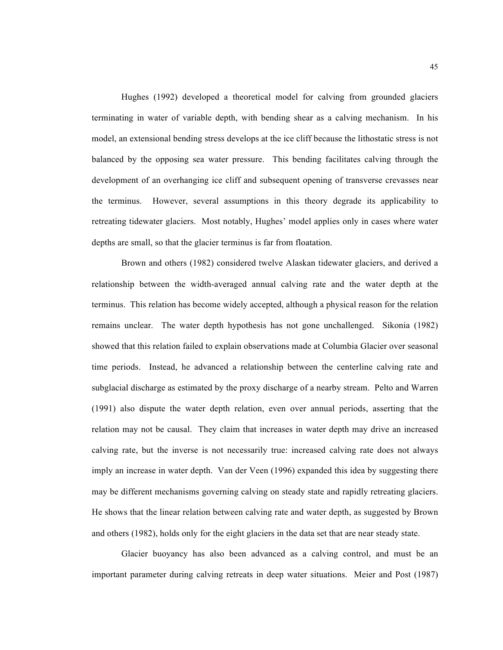Hughes (1992) developed a theoretical model for calving from grounded glaciers terminating in water of variable depth, with bending shear as a calving mechanism. In his model, an extensional bending stress develops at the ice cliff because the lithostatic stress is not balanced by the opposing sea water pressure. This bending facilitates calving through the development of an overhanging ice cliff and subsequent opening of transverse crevasses near the terminus. However, several assumptions in this theory degrade its applicability to retreating tidewater glaciers. Most notably, Hughes' model applies only in cases where water depths are small, so that the glacier terminus is far from floatation.

Brown and others (1982) considered twelve Alaskan tidewater glaciers, and derived a relationship between the width-averaged annual calving rate and the water depth at the terminus. This relation has become widely accepted, although a physical reason for the relation remains unclear. The water depth hypothesis has not gone unchallenged. Sikonia (1982) showed that this relation failed to explain observations made at Columbia Glacier over seasonal time periods. Instead, he advanced a relationship between the centerline calving rate and subglacial discharge as estimated by the proxy discharge of a nearby stream. Pelto and Warren (1991) also dispute the water depth relation, even over annual periods, asserting that the relation may not be causal. They claim that increases in water depth may drive an increased calving rate, but the inverse is not necessarily true: increased calving rate does not always imply an increase in water depth. Van der Veen (1996) expanded this idea by suggesting there may be different mechanisms governing calving on steady state and rapidly retreating glaciers. He shows that the linear relation between calving rate and water depth, as suggested by Brown and others (1982), holds only for the eight glaciers in the data set that are near steady state.

Glacier buoyancy has also been advanced as a calving control, and must be an important parameter during calving retreats in deep water situations. Meier and Post (1987)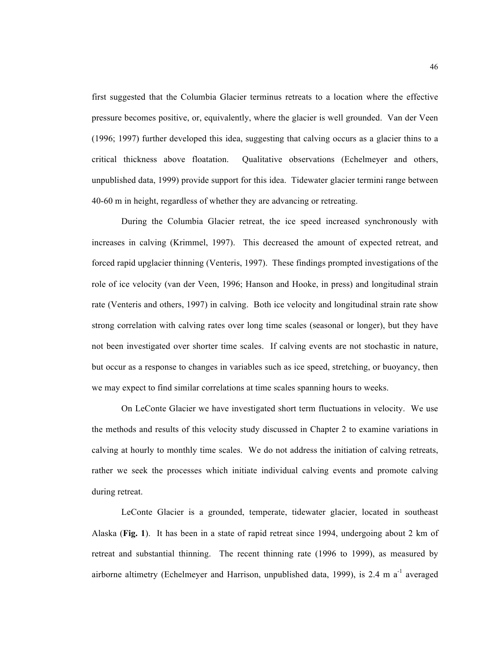first suggested that the Columbia Glacier terminus retreats to a location where the effective pressure becomes positive, or, equivalently, where the glacier is well grounded. Van der Veen (1996; 1997) further developed this idea, suggesting that calving occurs as a glacier thins to a critical thickness above floatation. Qualitative observations (Echelmeyer and others, unpublished data, 1999) provide support for this idea. Tidewater glacier termini range between 40-60 m in height, regardless of whether they are advancing or retreating.

During the Columbia Glacier retreat, the ice speed increased synchronously with increases in calving (Krimmel, 1997). This decreased the amount of expected retreat, and forced rapid upglacier thinning (Venteris, 1997). These findings prompted investigations of the role of ice velocity (van der Veen, 1996; Hanson and Hooke, in press) and longitudinal strain rate (Venteris and others, 1997) in calving. Both ice velocity and longitudinal strain rate show strong correlation with calving rates over long time scales (seasonal or longer), but they have not been investigated over shorter time scales. If calving events are not stochastic in nature, but occur as a response to changes in variables such as ice speed, stretching, or buoyancy, then we may expect to find similar correlations at time scales spanning hours to weeks.

On LeConte Glacier we have investigated short term fluctuations in velocity. We use the methods and results of this velocity study discussed in Chapter 2 to examine variations in calving at hourly to monthly time scales. We do not address the initiation of calving retreats, rather we seek the processes which initiate individual calving events and promote calving during retreat.

LeConte Glacier is a grounded, temperate, tidewater glacier, located in southeast Alaska (**Fig. 1**). It has been in a state of rapid retreat since 1994, undergoing about 2 km of retreat and substantial thinning. The recent thinning rate (1996 to 1999), as measured by airborne altimetry (Echelmeyer and Harrison, unpublished data, 1999), is  $2.4 \text{ m a}^{-1}$  averaged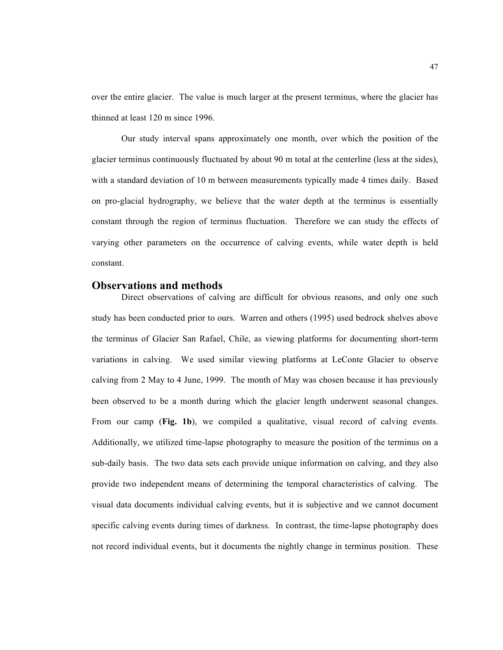over the entire glacier. The value is much larger at the present terminus, where the glacier has thinned at least 120 m since 1996.

Our study interval spans approximately one month, over which the position of the glacier terminus continuously fluctuated by about 90 m total at the centerline (less at the sides), with a standard deviation of 10 m between measurements typically made 4 times daily. Based on pro-glacial hydrography, we believe that the water depth at the terminus is essentially constant through the region of terminus fluctuation. Therefore we can study the effects of varying other parameters on the occurrence of calving events, while water depth is held constant.

## **Observations and methods**

Direct observations of calving are difficult for obvious reasons, and only one such study has been conducted prior to ours. Warren and others (1995) used bedrock shelves above the terminus of Glacier San Rafael, Chile, as viewing platforms for documenting short-term variations in calving. We used similar viewing platforms at LeConte Glacier to observe calving from 2 May to 4 June, 1999. The month of May was chosen because it has previously been observed to be a month during which the glacier length underwent seasonal changes. From our camp (**Fig. 1b**), we compiled a qualitative, visual record of calving events. Additionally, we utilized time-lapse photography to measure the position of the terminus on a sub-daily basis. The two data sets each provide unique information on calving, and they also provide two independent means of determining the temporal characteristics of calving. The visual data documents individual calving events, but it is subjective and we cannot document specific calving events during times of darkness. In contrast, the time-lapse photography does not record individual events, but it documents the nightly change in terminus position. These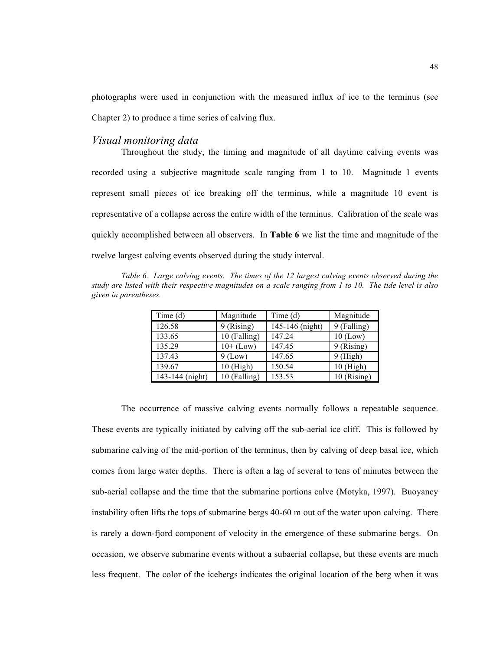photographs were used in conjunction with the measured influx of ice to the terminus (see Chapter 2) to produce a time series of calving flux.

## *Visual monitoring data*

Throughout the study, the timing and magnitude of all daytime calving events was recorded using a subjective magnitude scale ranging from 1 to 10. Magnitude 1 events represent small pieces of ice breaking off the terminus, while a magnitude 10 event is representative of a collapse across the entire width of the terminus. Calibration of the scale was quickly accomplished between all observers. In **Table 6** we list the time and magnitude of the twelve largest calving events observed during the study interval.

*Table 6. Large calving events. The times of the 12 largest calving events observed during the study are listed with their respective magnitudes on a scale ranging from 1 to 10. The tide level is also given in parentheses.*

| Time(d)         | Magnitude    | Time(d)         | Magnitude     |
|-----------------|--------------|-----------------|---------------|
| 126.58          | 9 (Rising)   | 145-146 (night) | 9 (Falling)   |
| 133.65          | 10 (Falling) | 147.24          | $10$ (Low)    |
| 135.29          | $10+$ (Low)  | 147.45          | 9 (Rising)    |
| 137.43          | $9$ (Low)    | 147.65          | $9$ (High)    |
| 139.67          | $10$ (High)  | 150.54          | 10 (High)     |
| 143-144 (night) | 10 (Falling) | 153.53          | $10$ (Rising) |

The occurrence of massive calving events normally follows a repeatable sequence. These events are typically initiated by calving off the sub-aerial ice cliff. This is followed by submarine calving of the mid-portion of the terminus, then by calving of deep basal ice, which comes from large water depths. There is often a lag of several to tens of minutes between the sub-aerial collapse and the time that the submarine portions calve (Motyka, 1997). Buoyancy instability often lifts the tops of submarine bergs 40-60 m out of the water upon calving. There is rarely a down-fjord component of velocity in the emergence of these submarine bergs. On occasion, we observe submarine events without a subaerial collapse, but these events are much less frequent. The color of the icebergs indicates the original location of the berg when it was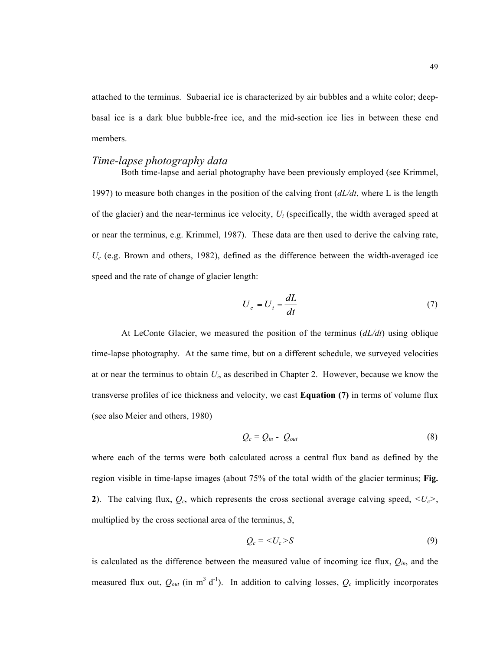attached to the terminus. Subaerial ice is characterized by air bubbles and a white color; deepbasal ice is a dark blue bubble-free ice, and the mid-section ice lies in between these end members.

#### *Time-lapse photography data*

Both time-lapse and aerial photography have been previously employed (see Krimmel, 1997) to measure both changes in the position of the calving front (*dL/dt*, where L is the length of the glacier) and the near-terminus ice velocity, *Ui* (specifically, the width averaged speed at or near the terminus, e.g. Krimmel, 1987). These data are then used to derive the calving rate,  $U_c$  (e.g. Brown and others, 1982), defined as the difference between the width-averaged ice speed and the rate of change of glacier length:

$$
U_c = U_i - \frac{dL}{dt} \tag{7}
$$

At LeConte Glacier, we measured the position of the terminus (*dL/dt*) using oblique time-lapse photography. At the same time, but on a different schedule, we surveyed velocities at or near the terminus to obtain *Ui*, as described in Chapter 2. However, because we know the transverse profiles of ice thickness and velocity, we cast **Equation (7)** in terms of volume flux (see also Meier and others, 1980)

$$
Q_c = Q_{in} - Q_{out} \tag{8}
$$

where each of the terms were both calculated across a central flux band as defined by the region visible in time-lapse images (about 75% of the total width of the glacier terminus; **Fig. 2**). The calving flux,  $Q_c$ , which represents the cross sectional average calving speed,  $\langle U_c \rangle$ , multiplied by the cross sectional area of the terminus, *S*,

$$
Q_c = \langle U_c \rangle S \tag{9}
$$

is calculated as the difference between the measured value of incoming ice flux,  $Q_{in}$ , and the measured flux out,  $Q_{out}$  (in m<sup>3</sup> d<sup>-1</sup>). In addition to calving losses,  $Q_c$  implicitly incorporates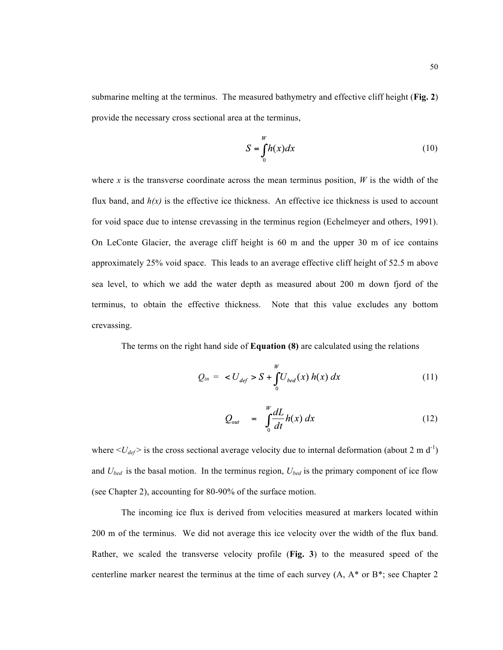submarine melting at the terminus. The measured bathymetry and effective cliff height (**Fig. 2**) provide the necessary cross sectional area at the terminus,

$$
S = \int_{0}^{W} h(x)dx
$$
 (10)

where *x* is the transverse coordinate across the mean terminus position,  $W$  is the width of the flux band, and  $h(x)$  is the effective ice thickness. An effective ice thickness is used to account for void space due to intense crevassing in the terminus region (Echelmeyer and others, 1991). On LeConte Glacier, the average cliff height is 60 m and the upper 30 m of ice contains approximately 25% void space. This leads to an average effective cliff height of 52.5 m above sea level, to which we add the water depth as measured about 200 m down fjord of the terminus, to obtain the effective thickness. Note that this value excludes any bottom crevassing.

The terms on the right hand side of **Equation (8)** are calculated using the relations

$$
Q_{in} = \langle U_{def} \rangle S + \int_{0}^{W} U_{bed}(x) h(x) dx \tag{11}
$$

$$
Q_{out} = \int_{0}^{w} \frac{dL}{dt} h(x) dx
$$
 (12)

where  $\langle U_{def} \rangle$  is the cross sectional average velocity due to internal deformation (about 2 m d<sup>-1</sup>) and *Ubed* is the basal motion. In the terminus region, *Ubed* is the primary component of ice flow (see Chapter 2), accounting for 80-90% of the surface motion.

The incoming ice flux is derived from velocities measured at markers located within 200 m of the terminus. We did not average this ice velocity over the width of the flux band. Rather, we scaled the transverse velocity profile (**Fig. 3**) to the measured speed of the centerline marker nearest the terminus at the time of each survey  $(A, A^*$  or  $B^*$ ; see Chapter 2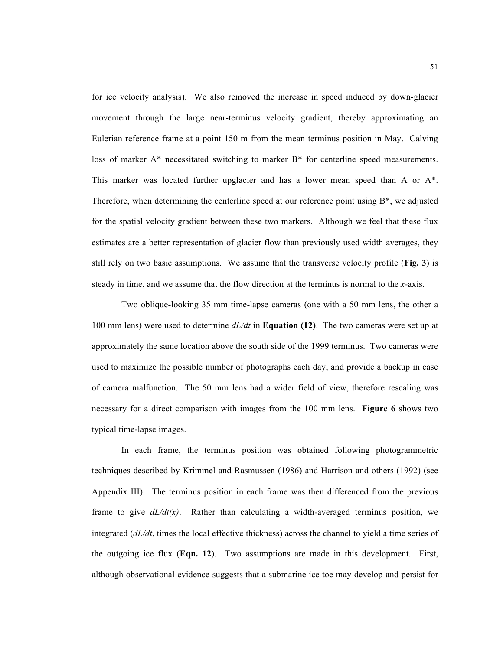for ice velocity analysis). We also removed the increase in speed induced by down-glacier movement through the large near-terminus velocity gradient, thereby approximating an Eulerian reference frame at a point 150 m from the mean terminus position in May. Calving loss of marker A\* necessitated switching to marker B\* for centerline speed measurements. This marker was located further upglacier and has a lower mean speed than A or A\*. Therefore, when determining the centerline speed at our reference point using  $B^*$ , we adjusted for the spatial velocity gradient between these two markers. Although we feel that these flux estimates are a better representation of glacier flow than previously used width averages, they still rely on two basic assumptions. We assume that the transverse velocity profile (**Fig. 3**) is steady in time, and we assume that the flow direction at the terminus is normal to the *x*-axis.

Two oblique-looking 35 mm time-lapse cameras (one with a 50 mm lens, the other a 100 mm lens) were used to determine *dL/dt* in **Equation (12)**. The two cameras were set up at approximately the same location above the south side of the 1999 terminus. Two cameras were used to maximize the possible number of photographs each day, and provide a backup in case of camera malfunction. The 50 mm lens had a wider field of view, therefore rescaling was necessary for a direct comparison with images from the 100 mm lens. **Figure 6** shows two typical time-lapse images.

In each frame, the terminus position was obtained following photogrammetric techniques described by Krimmel and Rasmussen (1986) and Harrison and others (1992) (see Appendix III). The terminus position in each frame was then differenced from the previous frame to give  $dL/dt(x)$ . Rather than calculating a width-averaged terminus position, we integrated (*dL/dt*, times the local effective thickness) across the channel to yield a time series of the outgoing ice flux (**Eqn. 12**). Two assumptions are made in this development. First, although observational evidence suggests that a submarine ice toe may develop and persist for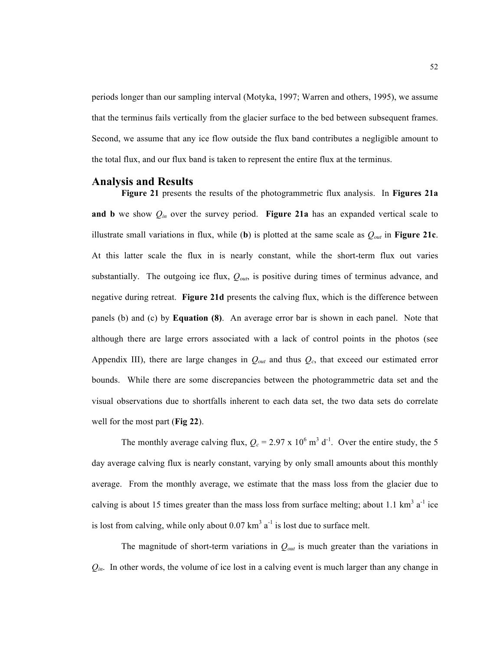periods longer than our sampling interval (Motyka, 1997; Warren and others, 1995), we assume that the terminus fails vertically from the glacier surface to the bed between subsequent frames. Second, we assume that any ice flow outside the flux band contributes a negligible amount to the total flux, and our flux band is taken to represent the entire flux at the terminus.

## **Analysis and Results**

**Figure 21** presents the results of the photogrammetric flux analysis. In **Figures 21a and b** we show *Qin* over the survey period. **Figure 21a** has an expanded vertical scale to illustrate small variations in flux, while (**b**) is plotted at the same scale as *Qout* in **Figure 21c**. At this latter scale the flux in is nearly constant, while the short-term flux out varies substantially. The outgoing ice flux,  $Q_{out}$ , is positive during times of terminus advance, and negative during retreat. **Figure 21d** presents the calving flux, which is the difference between panels (b) and (c) by **Equation (8)**. An average error bar is shown in each panel. Note that although there are large errors associated with a lack of control points in the photos (see Appendix III), there are large changes in  $Q_{out}$  and thus  $Q_c$ , that exceed our estimated error bounds. While there are some discrepancies between the photogrammetric data set and the visual observations due to shortfalls inherent to each data set, the two data sets do correlate well for the most part (**Fig 22**).

The monthly average calving flux,  $Q_c = 2.97 \times 10^6 \text{ m}^3 \text{ d}^{-1}$ . Over the entire study, the 5 day average calving flux is nearly constant, varying by only small amounts about this monthly average. From the monthly average, we estimate that the mass loss from the glacier due to calving is about 15 times greater than the mass loss from surface melting; about 1.1  $\text{km}^3$  a<sup>-1</sup> ice is lost from calving, while only about  $0.07 \text{ km}^3$  a<sup>-1</sup> is lost due to surface melt.

The magnitude of short-term variations in  $Q_{out}$  is much greater than the variations in  $Q_{in}$ . In other words, the volume of ice lost in a calving event is much larger than any change in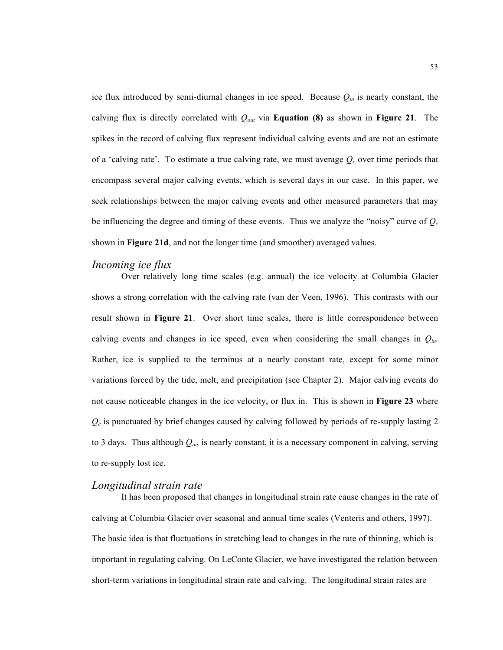ice flux introduced by semi-diurnal changes in ice speed. Because  $Q_{in}$  is nearly constant, the calving flux is directly correlated with  $Q_{out}$  via **Equation (8)** as shown in **Figure 21**. The spikes in the record of calving flux represent individual calving events and are not an estimate of a 'calving rate'. To estimate a true calving rate, we must average  $Q_c$  over time periods that encompass several major calving events, which is several days in our case. In this paper, we seek relationships between the major calving events and other measured parameters that may be influencing the degree and timing of these events. Thus we analyze the "noisy" curve of  $Q_c$ shown in **Figure 21d**, and not the longer time (and smoother) averaged values.

## *Incoming ice flux*

Over relatively long time scales (e.g. annual) the ice velocity at Columbia Glacier shows a strong correlation with the calving rate (van der Veen, 1996). This contrasts with our result shown in **Figure 21**. Over short time scales, there is little correspondence between calving events and changes in ice speed, even when considering the small changes in *Qin.* Rather, ice is supplied to the terminus at a nearly constant rate, except for some minor variations forced by the tide, melt, and precipitation (see Chapter 2). Major calving events do not cause noticeable changes in the ice velocity, or flux in. This is shown in **Figure 23** where  $Q_c$  is punctuated by brief changes caused by calving followed by periods of re-supply lasting 2 to 3 days. Thus although  $Q_{in}$ , is nearly constant, it is a necessary component in calving, serving to re-supply lost ice.

## *Longitudinal strain rate*

It has been proposed that changes in longitudinal strain rate cause changes in the rate of calving at Columbia Glacier over seasonal and annual time scales (Venteris and others, 1997). The basic idea is that fluctuations in stretching lead to changes in the rate of thinning, which is important in regulating calving. On LeConte Glacier, we have investigated the relation between short-term variations in longitudinal strain rate and calving. The longitudinal strain rates are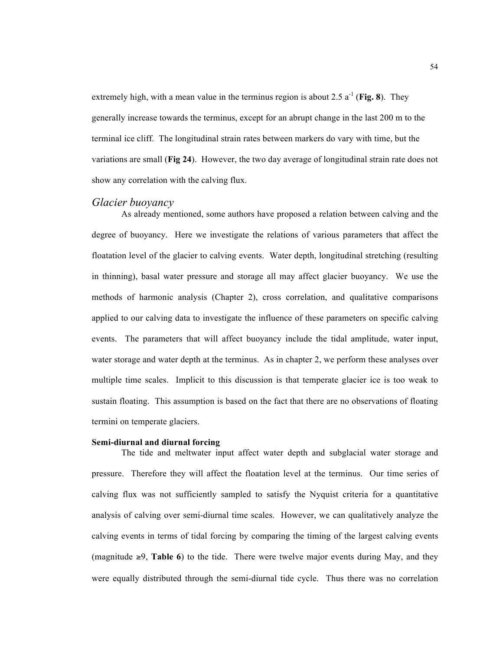extremely high, with a mean value in the terminus region is about 2.5  $a^{-1}$  (**Fig. 8**). They generally increase towards the terminus, except for an abrupt change in the last 200 m to the terminal ice cliff. The longitudinal strain rates between markers do vary with time, but the variations are small (**Fig 24**). However, the two day average of longitudinal strain rate does not show any correlation with the calving flux.

## *Glacier buoyancy*

As already mentioned, some authors have proposed a relation between calving and the degree of buoyancy. Here we investigate the relations of various parameters that affect the floatation level of the glacier to calving events. Water depth, longitudinal stretching (resulting in thinning), basal water pressure and storage all may affect glacier buoyancy. We use the methods of harmonic analysis (Chapter 2), cross correlation, and qualitative comparisons applied to our calving data to investigate the influence of these parameters on specific calving events. The parameters that will affect buoyancy include the tidal amplitude, water input, water storage and water depth at the terminus. As in chapter 2, we perform these analyses over multiple time scales. Implicit to this discussion is that temperate glacier ice is too weak to sustain floating. This assumption is based on the fact that there are no observations of floating termini on temperate glaciers.

#### **Semi-diurnal and diurnal forcing**

The tide and meltwater input affect water depth and subglacial water storage and pressure. Therefore they will affect the floatation level at the terminus. Our time series of calving flux was not sufficiently sampled to satisfy the Nyquist criteria for a quantitative analysis of calving over semi-diurnal time scales. However, we can qualitatively analyze the calving events in terms of tidal forcing by comparing the timing of the largest calving events (magnitude  $≥9$ , **Table 6**) to the tide. There were twelve major events during May, and they were equally distributed through the semi-diurnal tide cycle. Thus there was no correlation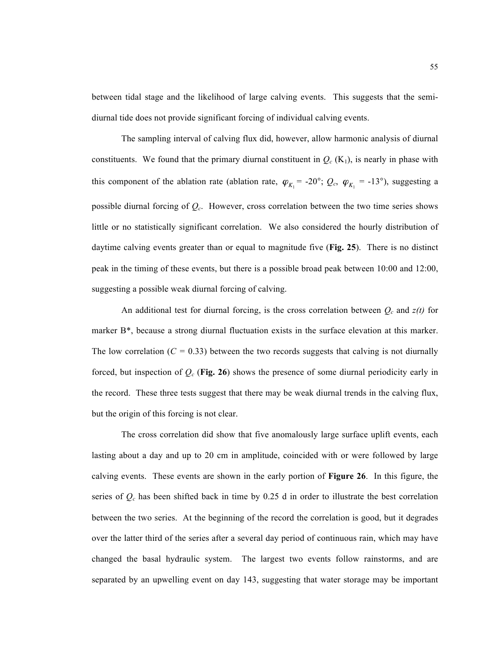between tidal stage and the likelihood of large calving events. This suggests that the semidiurnal tide does not provide significant forcing of individual calving events.

The sampling interval of calving flux did, however, allow harmonic analysis of diurnal constituents. We found that the primary diurnal constituent in  $Q_c$  (K<sub>1</sub>), is nearly in phase with this component of the ablation rate (ablation rate,  $\varphi_{K_1} = -20^\circ$ ;  $Q_c$ ,  $\varphi_{K_1} = -13^\circ$ ), suggesting a possible diurnal forcing of *Qc*. However, cross correlation between the two time series shows little or no statistically significant correlation. We also considered the hourly distribution of daytime calving events greater than or equal to magnitude five (**Fig. 25**). There is no distinct peak in the timing of these events, but there is a possible broad peak between 10:00 and 12:00, suggesting a possible weak diurnal forcing of calving.

An additional test for diurnal forcing, is the cross correlation between  $Q_c$  and  $z(t)$  for marker B\*, because a strong diurnal fluctuation exists in the surface elevation at this marker. The low correlation  $(C = 0.33)$  between the two records suggests that calving is not diurnally forced, but inspection of *Qc* (**Fig. 26**) shows the presence of some diurnal periodicity early in the record. These three tests suggest that there may be weak diurnal trends in the calving flux, but the origin of this forcing is not clear.

The cross correlation did show that five anomalously large surface uplift events, each lasting about a day and up to 20 cm in amplitude, coincided with or were followed by large calving events. These events are shown in the early portion of **Figure 26**. In this figure, the series of *Qc* has been shifted back in time by 0.25 d in order to illustrate the best correlation between the two series. At the beginning of the record the correlation is good, but it degrades over the latter third of the series after a several day period of continuous rain, which may have changed the basal hydraulic system. The largest two events follow rainstorms, and are separated by an upwelling event on day 143, suggesting that water storage may be important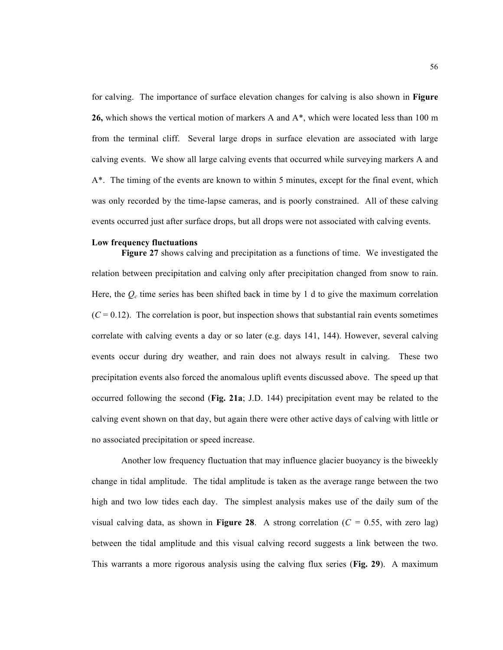for calving. The importance of surface elevation changes for calving is also shown in **Figure 26,** which shows the vertical motion of markers A and A\*, which were located less than 100 m from the terminal cliff. Several large drops in surface elevation are associated with large calving events. We show all large calving events that occurred while surveying markers A and A\*. The timing of the events are known to within 5 minutes, except for the final event, which was only recorded by the time-lapse cameras, and is poorly constrained. All of these calving events occurred just after surface drops, but all drops were not associated with calving events.

#### **Low frequency fluctuations**

**Figure 27** shows calving and precipitation as a functions of time. We investigated the relation between precipitation and calving only after precipitation changed from snow to rain. Here, the  $Q_c$  time series has been shifted back in time by 1 d to give the maximum correlation  $(C = 0.12)$ . The correlation is poor, but inspection shows that substantial rain events sometimes correlate with calving events a day or so later (e.g. days 141, 144). However, several calving events occur during dry weather, and rain does not always result in calving. These two precipitation events also forced the anomalous uplift events discussed above. The speed up that occurred following the second (**Fig. 21a**; J.D. 144) precipitation event may be related to the calving event shown on that day, but again there were other active days of calving with little or no associated precipitation or speed increase.

Another low frequency fluctuation that may influence glacier buoyancy is the biweekly change in tidal amplitude. The tidal amplitude is taken as the average range between the two high and two low tides each day. The simplest analysis makes use of the daily sum of the visual calving data, as shown in **Figure 28**. A strong correlation  $(C = 0.55$ , with zero lag) between the tidal amplitude and this visual calving record suggests a link between the two. This warrants a more rigorous analysis using the calving flux series (**Fig. 29**). A maximum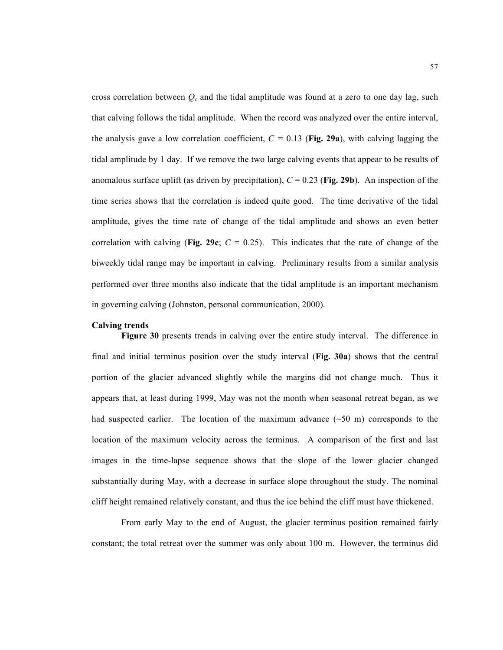cross correlation between  $Q_c$  and the tidal amplitude was found at a zero to one day lag, such that calving follows the tidal amplitude. When the record was analyzed over the entire interval, the analysis gave a low correlation coefficient,  $C = 0.13$  (Fig. 29a), with calving lagging the tidal amplitude by 1 day. If we remove the two large calving events that appear to be results of anomalous surface uplift (as driven by precipitation),  $C = 0.23$  (Fig. 29b). An inspection of the time series shows that the correlation is indeed quite good. The time derivative of the tidal amplitude, gives the time rate of change of the tidal amplitude and shows an even better correlation with calving (**Fig. 29c**;  $C = 0.25$ ). This indicates that the rate of change of the biweekly tidal range may be important in calving. Preliminary results from a similar analysis performed over three months also indicate that the tidal amplitude is an important mechanism in governing calving (Johnston, personal communication, 2000).

## **Calving trends**

**Figure 30** presents trends in calving over the entire study interval. The difference in final and initial terminus position over the study interval (**Fig. 30a**) shows that the central portion of the glacier advanced slightly while the margins did not change much. Thus it appears that, at least during 1999, May was not the month when seasonal retreat began, as we had suspected earlier. The location of the maximum advance  $(\sim 50 \text{ m})$  corresponds to the location of the maximum velocity across the terminus. A comparison of the first and last images in the time-lapse sequence shows that the slope of the lower glacier changed substantially during May, with a decrease in surface slope throughout the study. The nominal cliff height remained relatively constant, and thus the ice behind the cliff must have thickened.

From early May to the end of August, the glacier terminus position remained fairly constant; the total retreat over the summer was only about 100 m. However, the terminus did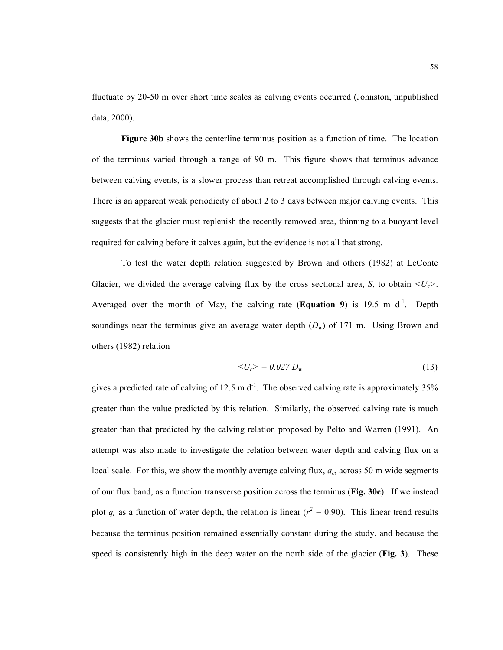fluctuate by 20-50 m over short time scales as calving events occurred (Johnston, unpublished data, 2000).

**Figure 30b** shows the centerline terminus position as a function of time. The location of the terminus varied through a range of 90 m. This figure shows that terminus advance between calving events, is a slower process than retreat accomplished through calving events. There is an apparent weak periodicity of about 2 to 3 days between major calving events. This suggests that the glacier must replenish the recently removed area, thinning to a buoyant level required for calving before it calves again, but the evidence is not all that strong.

To test the water depth relation suggested by Brown and others (1982) at LeConte Glacier, we divided the average calving flux by the cross sectional area, *S*, to obtain  $\langle U_c \rangle$ . Averaged over the month of May, the calving rate (**Equation 9**) is 19.5 m  $d^{-1}$ . Depth soundings near the terminus give an average water depth  $(D_w)$  of 171 m. Using Brown and others (1982) relation

$$
\langle U_c \rangle = 0.027 D_w \tag{13}
$$

gives a predicted rate of calving of 12.5 m  $d^{-1}$ . The observed calving rate is approximately 35% greater than the value predicted by this relation. Similarly, the observed calving rate is much greater than that predicted by the calving relation proposed by Pelto and Warren (1991). An attempt was also made to investigate the relation between water depth and calving flux on a local scale. For this, we show the monthly average calving flux,  $q_c$ , across 50 m wide segments of our flux band, as a function transverse position across the terminus (**Fig. 30c**). If we instead plot  $q_c$  as a function of water depth, the relation is linear  $(r^2 = 0.90)$ . This linear trend results because the terminus position remained essentially constant during the study, and because the speed is consistently high in the deep water on the north side of the glacier (**Fig. 3**). These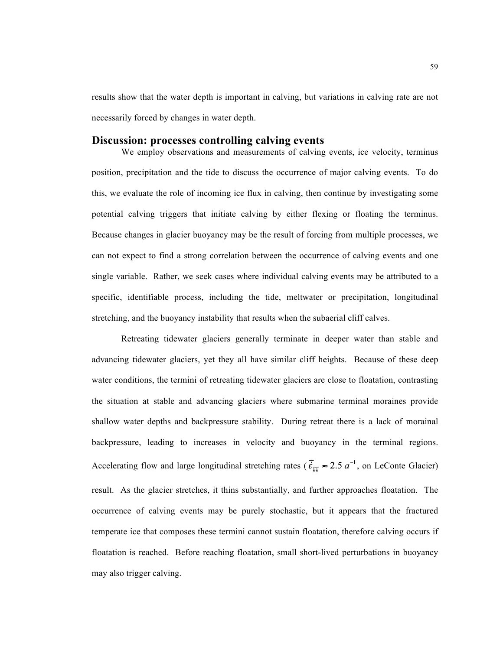results show that the water depth is important in calving, but variations in calving rate are not necessarily forced by changes in water depth.

#### **Discussion: processes controlling calving events**

We employ observations and measurements of calving events, ice velocity, terminus position, precipitation and the tide to discuss the occurrence of major calving events. To do this, we evaluate the role of incoming ice flux in calving, then continue by investigating some potential calving triggers that initiate calving by either flexing or floating the terminus. Because changes in glacier buoyancy may be the result of forcing from multiple processes, we can not expect to find a strong correlation between the occurrence of calving events and one single variable. Rather, we seek cases where individual calving events may be attributed to a specific, identifiable process, including the tide, meltwater or precipitation, longitudinal stretching, and the buoyancy instability that results when the subaerial cliff calves.

Retreating tidewater glaciers generally terminate in deeper water than stable and advancing tidewater glaciers, yet they all have similar cliff heights. Because of these deep water conditions, the termini of retreating tidewater glaciers are close to floatation, contrasting the situation at stable and advancing glaciers where submarine terminal moraines provide shallow water depths and backpressure stability. During retreat there is a lack of morainal backpressure, leading to increases in velocity and buoyancy in the terminal regions. Accelerating flow and large longitudinal stretching rates ( $\vec{\xi}_{\xi\xi} \approx 2.5 a^{-1}$ , on LeConte Glacier) result. As the glacier stretches, it thins substantially, and further approaches floatation. The occurrence of calving events may be purely stochastic, but it appears that the fractured temperate ice that composes these termini cannot sustain floatation, therefore calving occurs if floatation is reached. Before reaching floatation, small short-lived perturbations in buoyancy may also trigger calving.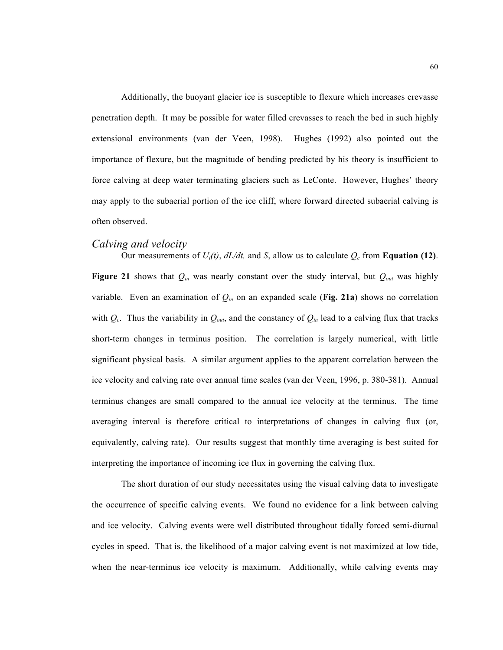Additionally, the buoyant glacier ice is susceptible to flexure which increases crevasse penetration depth. It may be possible for water filled crevasses to reach the bed in such highly extensional environments (van der Veen, 1998). Hughes (1992) also pointed out the importance of flexure, but the magnitude of bending predicted by his theory is insufficient to force calving at deep water terminating glaciers such as LeConte. However, Hughes' theory may apply to the subaerial portion of the ice cliff, where forward directed subaerial calving is often observed.

## *Calving and velocity*

Our measurements of  $U_i(t)$ ,  $dL/dt$ , and *S*, allow us to calculate  $Q_c$  from **Equation (12)**. **Figure 21** shows that  $Q_{in}$  was nearly constant over the study interval, but  $Q_{out}$  was highly variable. Even an examination of  $Q_{in}$  on an expanded scale (Fig. 21a) shows no correlation with  $Q_c$ . Thus the variability in  $Q_{out}$ , and the constancy of  $Q_{in}$  lead to a calving flux that tracks short-term changes in terminus position. The correlation is largely numerical, with little significant physical basis. A similar argument applies to the apparent correlation between the ice velocity and calving rate over annual time scales (van der Veen, 1996, p. 380-381). Annual terminus changes are small compared to the annual ice velocity at the terminus. The time averaging interval is therefore critical to interpretations of changes in calving flux (or, equivalently, calving rate). Our results suggest that monthly time averaging is best suited for interpreting the importance of incoming ice flux in governing the calving flux.

The short duration of our study necessitates using the visual calving data to investigate the occurrence of specific calving events. We found no evidence for a link between calving and ice velocity. Calving events were well distributed throughout tidally forced semi-diurnal cycles in speed. That is, the likelihood of a major calving event is not maximized at low tide, when the near-terminus ice velocity is maximum. Additionally, while calving events may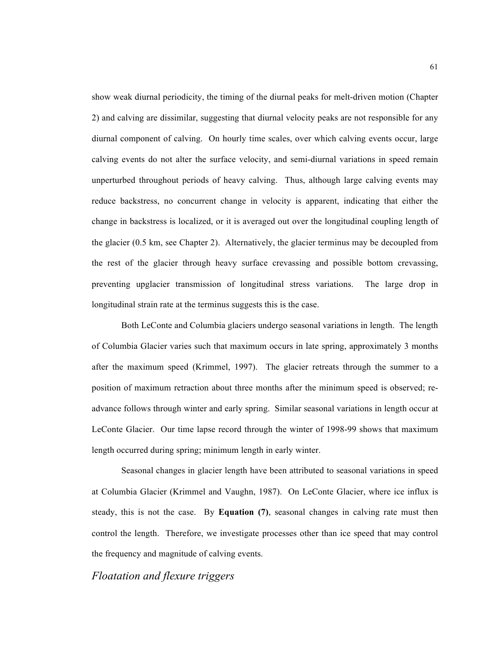show weak diurnal periodicity, the timing of the diurnal peaks for melt-driven motion (Chapter 2) and calving are dissimilar, suggesting that diurnal velocity peaks are not responsible for any diurnal component of calving. On hourly time scales, over which calving events occur, large calving events do not alter the surface velocity, and semi-diurnal variations in speed remain unperturbed throughout periods of heavy calving. Thus, although large calving events may reduce backstress, no concurrent change in velocity is apparent, indicating that either the change in backstress is localized, or it is averaged out over the longitudinal coupling length of the glacier (0.5 km, see Chapter 2). Alternatively, the glacier terminus may be decoupled from the rest of the glacier through heavy surface crevassing and possible bottom crevassing, preventing upglacier transmission of longitudinal stress variations. The large drop in longitudinal strain rate at the terminus suggests this is the case.

Both LeConte and Columbia glaciers undergo seasonal variations in length. The length of Columbia Glacier varies such that maximum occurs in late spring, approximately 3 months after the maximum speed (Krimmel, 1997). The glacier retreats through the summer to a position of maximum retraction about three months after the minimum speed is observed; readvance follows through winter and early spring. Similar seasonal variations in length occur at LeConte Glacier. Our time lapse record through the winter of 1998-99 shows that maximum length occurred during spring; minimum length in early winter.

Seasonal changes in glacier length have been attributed to seasonal variations in speed at Columbia Glacier (Krimmel and Vaughn, 1987). On LeConte Glacier, where ice influx is steady, this is not the case. By **Equation (7)**, seasonal changes in calving rate must then control the length. Therefore, we investigate processes other than ice speed that may control the frequency and magnitude of calving events.

## *Floatation and flexure triggers*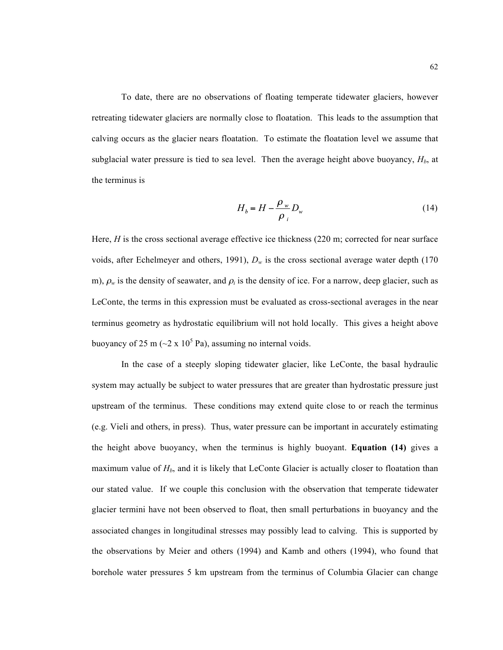To date, there are no observations of floating temperate tidewater glaciers, however retreating tidewater glaciers are normally close to floatation. This leads to the assumption that calving occurs as the glacier nears floatation. To estimate the floatation level we assume that subglacial water pressure is tied to sea level. Then the average height above buoyancy,  $H_b$ , at the terminus is

$$
H_b = H - \frac{\rho_w}{\rho_i} D_w \tag{14}
$$

Here, *H* is the cross sectional average effective ice thickness (220 m; corrected for near surface voids, after Echelmeyer and others, 1991),  $D_w$  is the cross sectional average water depth (170) m),  $\rho_w$  is the density of seawater, and  $\rho_i$  is the density of ice. For a narrow, deep glacier, such as LeConte, the terms in this expression must be evaluated as cross-sectional averages in the near terminus geometry as hydrostatic equilibrium will not hold locally. This gives a height above buoyancy of 25 m ( $\sim$ 2 x 10<sup>5</sup> Pa), assuming no internal voids.

In the case of a steeply sloping tidewater glacier, like LeConte, the basal hydraulic system may actually be subject to water pressures that are greater than hydrostatic pressure just upstream of the terminus. These conditions may extend quite close to or reach the terminus (e.g. Vieli and others, in press). Thus, water pressure can be important in accurately estimating the height above buoyancy, when the terminus is highly buoyant. **Equation (14)** gives a maximum value of  $H_b$ , and it is likely that LeConte Glacier is actually closer to floatation than our stated value. If we couple this conclusion with the observation that temperate tidewater glacier termini have not been observed to float, then small perturbations in buoyancy and the associated changes in longitudinal stresses may possibly lead to calving. This is supported by the observations by Meier and others (1994) and Kamb and others (1994), who found that borehole water pressures 5 km upstream from the terminus of Columbia Glacier can change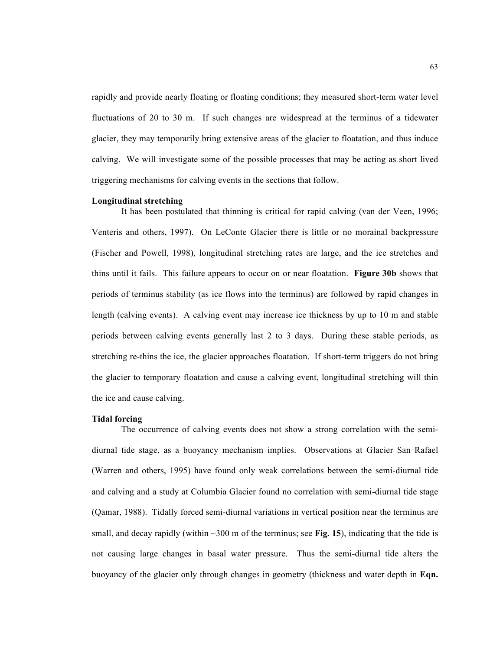rapidly and provide nearly floating or floating conditions; they measured short-term water level fluctuations of 20 to 30 m. If such changes are widespread at the terminus of a tidewater glacier, they may temporarily bring extensive areas of the glacier to floatation, and thus induce calving. We will investigate some of the possible processes that may be acting as short lived triggering mechanisms for calving events in the sections that follow.

#### **Longitudinal stretching**

It has been postulated that thinning is critical for rapid calving (van der Veen, 1996; Venteris and others, 1997). On LeConte Glacier there is little or no morainal backpressure (Fischer and Powell, 1998), longitudinal stretching rates are large, and the ice stretches and thins until it fails. This failure appears to occur on or near floatation. **Figure 30b** shows that periods of terminus stability (as ice flows into the terminus) are followed by rapid changes in length (calving events). A calving event may increase ice thickness by up to 10 m and stable periods between calving events generally last 2 to 3 days. During these stable periods, as stretching re-thins the ice, the glacier approaches floatation. If short-term triggers do not bring the glacier to temporary floatation and cause a calving event, longitudinal stretching will thin the ice and cause calving.

#### **Tidal forcing**

The occurrence of calving events does not show a strong correlation with the semidiurnal tide stage, as a buoyancy mechanism implies. Observations at Glacier San Rafael (Warren and others, 1995) have found only weak correlations between the semi-diurnal tide and calving and a study at Columbia Glacier found no correlation with semi-diurnal tide stage (Qamar, 1988). Tidally forced semi-diurnal variations in vertical position near the terminus are small, and decay rapidly (within  $\sim$ 300 m of the terminus; see **Fig. 15**), indicating that the tide is not causing large changes in basal water pressure. Thus the semi-diurnal tide alters the buoyancy of the glacier only through changes in geometry (thickness and water depth in **Eqn.**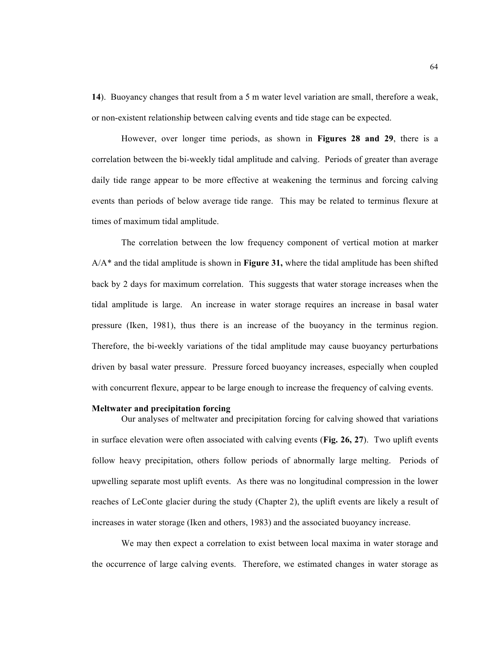**14**). Buoyancy changes that result from a 5 m water level variation are small, therefore a weak, or non-existent relationship between calving events and tide stage can be expected.

However, over longer time periods, as shown in **Figures 28 and 29**, there is a correlation between the bi-weekly tidal amplitude and calving. Periods of greater than average daily tide range appear to be more effective at weakening the terminus and forcing calving events than periods of below average tide range. This may be related to terminus flexure at times of maximum tidal amplitude.

The correlation between the low frequency component of vertical motion at marker A/A\* and the tidal amplitude is shown in **Figure 31,** where the tidal amplitude has been shifted back by 2 days for maximum correlation. This suggests that water storage increases when the tidal amplitude is large. An increase in water storage requires an increase in basal water pressure (Iken, 1981), thus there is an increase of the buoyancy in the terminus region. Therefore, the bi-weekly variations of the tidal amplitude may cause buoyancy perturbations driven by basal water pressure. Pressure forced buoyancy increases, especially when coupled with concurrent flexure, appear to be large enough to increase the frequency of calving events.

#### **Meltwater and precipitation forcing**

Our analyses of meltwater and precipitation forcing for calving showed that variations in surface elevation were often associated with calving events (**Fig. 26, 27**). Two uplift events follow heavy precipitation, others follow periods of abnormally large melting. Periods of upwelling separate most uplift events. As there was no longitudinal compression in the lower reaches of LeConte glacier during the study (Chapter 2), the uplift events are likely a result of increases in water storage (Iken and others, 1983) and the associated buoyancy increase.

We may then expect a correlation to exist between local maxima in water storage and the occurrence of large calving events. Therefore, we estimated changes in water storage as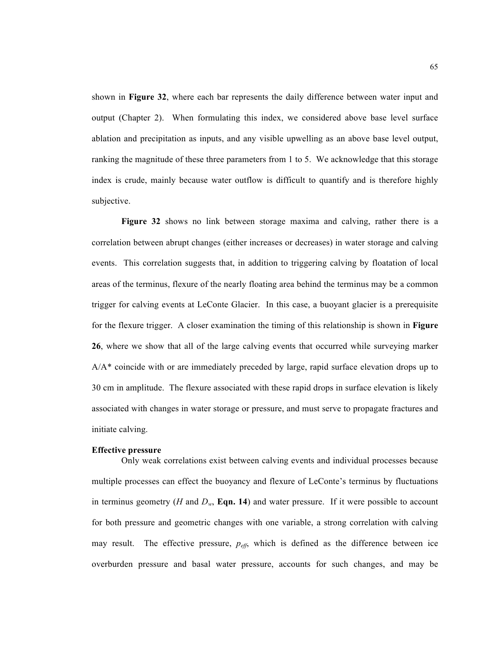shown in **Figure 32**, where each bar represents the daily difference between water input and output (Chapter 2). When formulating this index, we considered above base level surface ablation and precipitation as inputs, and any visible upwelling as an above base level output, ranking the magnitude of these three parameters from 1 to 5. We acknowledge that this storage index is crude, mainly because water outflow is difficult to quantify and is therefore highly subjective.

**Figure 32** shows no link between storage maxima and calving, rather there is a correlation between abrupt changes (either increases or decreases) in water storage and calving events. This correlation suggests that, in addition to triggering calving by floatation of local areas of the terminus, flexure of the nearly floating area behind the terminus may be a common trigger for calving events at LeConte Glacier. In this case, a buoyant glacier is a prerequisite for the flexure trigger. A closer examination the timing of this relationship is shown in **Figure 26**, where we show that all of the large calving events that occurred while surveying marker A/A\* coincide with or are immediately preceded by large, rapid surface elevation drops up to 30 cm in amplitude. The flexure associated with these rapid drops in surface elevation is likely associated with changes in water storage or pressure, and must serve to propagate fractures and initiate calving.

#### **Effective pressure**

Only weak correlations exist between calving events and individual processes because multiple processes can effect the buoyancy and flexure of LeConte's terminus by fluctuations in terminus geometry (*H* and  $D_w$ , **Eqn. 14**) and water pressure. If it were possible to account for both pressure and geometric changes with one variable, a strong correlation with calving may result. The effective pressure,  $p_{\text{eff}}$ , which is defined as the difference between ice overburden pressure and basal water pressure, accounts for such changes, and may be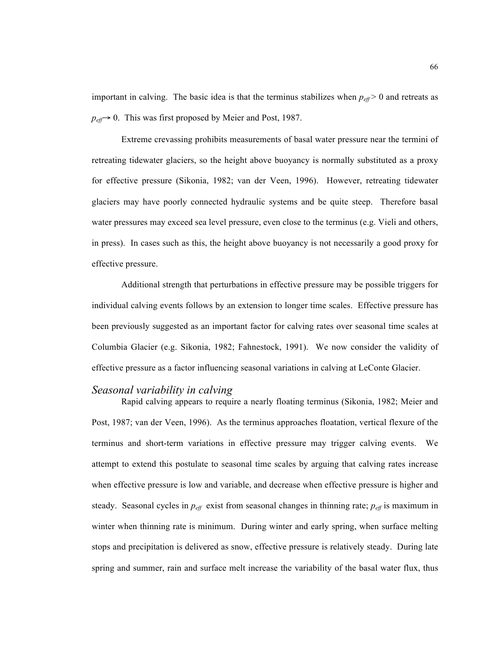important in calving. The basic idea is that the terminus stabilizes when  $p_{\text{eff}} > 0$  and retreats as  $p_{\text{eff}} \rightarrow 0$ . This was first proposed by Meier and Post, 1987.

Extreme crevassing prohibits measurements of basal water pressure near the termini of retreating tidewater glaciers, so the height above buoyancy is normally substituted as a proxy for effective pressure (Sikonia, 1982; van der Veen, 1996). However, retreating tidewater glaciers may have poorly connected hydraulic systems and be quite steep. Therefore basal water pressures may exceed sea level pressure, even close to the terminus (e.g. Vieli and others, in press). In cases such as this, the height above buoyancy is not necessarily a good proxy for effective pressure.

Additional strength that perturbations in effective pressure may be possible triggers for individual calving events follows by an extension to longer time scales. Effective pressure has been previously suggested as an important factor for calving rates over seasonal time scales at Columbia Glacier (e.g. Sikonia, 1982; Fahnestock, 1991). We now consider the validity of effective pressure as a factor influencing seasonal variations in calving at LeConte Glacier.

## *Seasonal variability in calving*

Rapid calving appears to require a nearly floating terminus (Sikonia, 1982; Meier and Post, 1987; van der Veen, 1996). As the terminus approaches floatation, vertical flexure of the terminus and short-term variations in effective pressure may trigger calving events. We attempt to extend this postulate to seasonal time scales by arguing that calving rates increase when effective pressure is low and variable, and decrease when effective pressure is higher and steady. Seasonal cycles in *peff* exist from seasonal changes in thinning rate; *peff* is maximum in winter when thinning rate is minimum. During winter and early spring, when surface melting stops and precipitation is delivered as snow, effective pressure is relatively steady. During late spring and summer, rain and surface melt increase the variability of the basal water flux, thus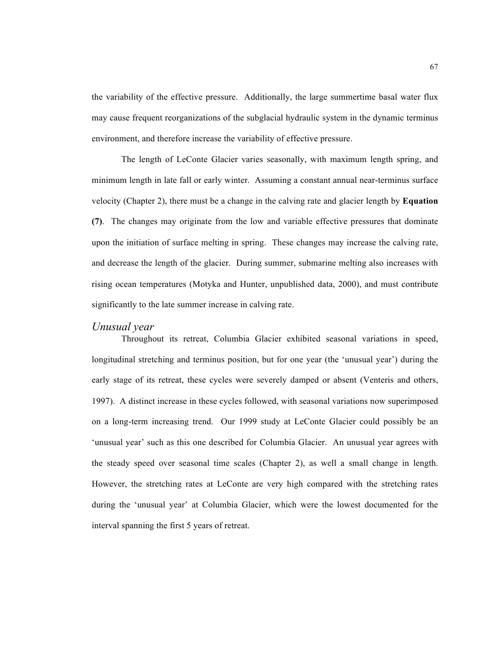the variability of the effective pressure. Additionally, the large summertime basal water flux may cause frequent reorganizations of the subglacial hydraulic system in the dynamic terminus environment, and therefore increase the variability of effective pressure.

The length of LeConte Glacier varies seasonally, with maximum length spring, and minimum length in late fall or early winter. Assuming a constant annual near-terminus surface velocity (Chapter 2), there must be a change in the calving rate and glacier length by **Equation (7)**. The changes may originate from the low and variable effective pressures that dominate upon the initiation of surface melting in spring. These changes may increase the calving rate, and decrease the length of the glacier. During summer, submarine melting also increases with rising ocean temperatures (Motyka and Hunter, unpublished data, 2000), and must contribute significantly to the late summer increase in calving rate.

## *Unusual year*

Throughout its retreat, Columbia Glacier exhibited seasonal variations in speed, longitudinal stretching and terminus position, but for one year (the 'unusual year') during the early stage of its retreat, these cycles were severely damped or absent (Venteris and others, 1997). A distinct increase in these cycles followed, with seasonal variations now superimposed on a long-term increasing trend. Our 1999 study at LeConte Glacier could possibly be an 'unusual year' such as this one described for Columbia Glacier. An unusual year agrees with the steady speed over seasonal time scales (Chapter 2), as well a small change in length. However, the stretching rates at LeConte are very high compared with the stretching rates during the 'unusual year' at Columbia Glacier, which were the lowest documented for the interval spanning the first 5 years of retreat.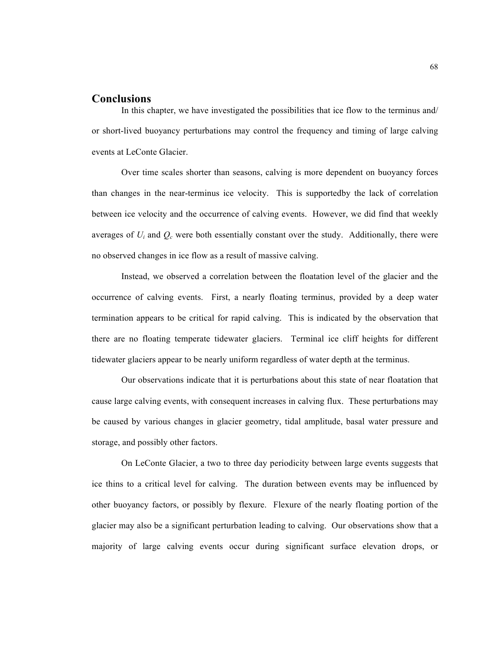## **Conclusions**

In this chapter, we have investigated the possibilities that ice flow to the terminus and/ or short-lived buoyancy perturbations may control the frequency and timing of large calving events at LeConte Glacier.

Over time scales shorter than seasons, calving is more dependent on buoyancy forces than changes in the near-terminus ice velocity. This is supportedby the lack of correlation between ice velocity and the occurrence of calving events. However, we did find that weekly averages of  $U_i$  and  $Q_c$  were both essentially constant over the study. Additionally, there were no observed changes in ice flow as a result of massive calving.

Instead, we observed a correlation between the floatation level of the glacier and the occurrence of calving events. First, a nearly floating terminus, provided by a deep water termination appears to be critical for rapid calving. This is indicated by the observation that there are no floating temperate tidewater glaciers. Terminal ice cliff heights for different tidewater glaciers appear to be nearly uniform regardless of water depth at the terminus.

Our observations indicate that it is perturbations about this state of near floatation that cause large calving events, with consequent increases in calving flux. These perturbations may be caused by various changes in glacier geometry, tidal amplitude, basal water pressure and storage, and possibly other factors.

On LeConte Glacier, a two to three day periodicity between large events suggests that ice thins to a critical level for calving. The duration between events may be influenced by other buoyancy factors, or possibly by flexure. Flexure of the nearly floating portion of the glacier may also be a significant perturbation leading to calving. Our observations show that a majority of large calving events occur during significant surface elevation drops, or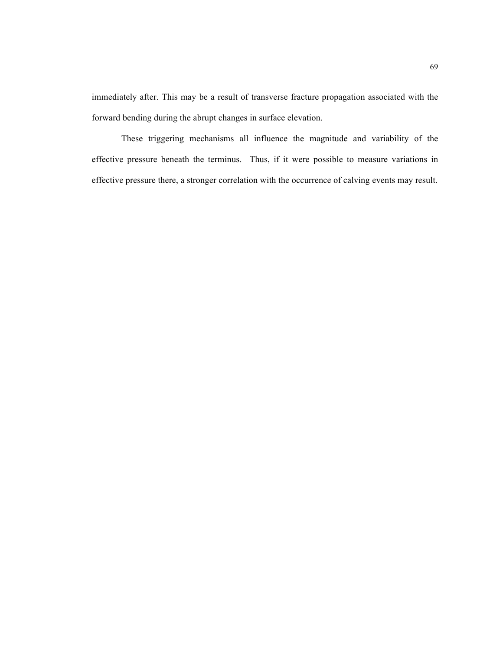immediately after. This may be a result of transverse fracture propagation associated with the forward bending during the abrupt changes in surface elevation.

These triggering mechanisms all influence the magnitude and variability of the effective pressure beneath the terminus. Thus, if it were possible to measure variations in effective pressure there, a stronger correlation with the occurrence of calving events may result.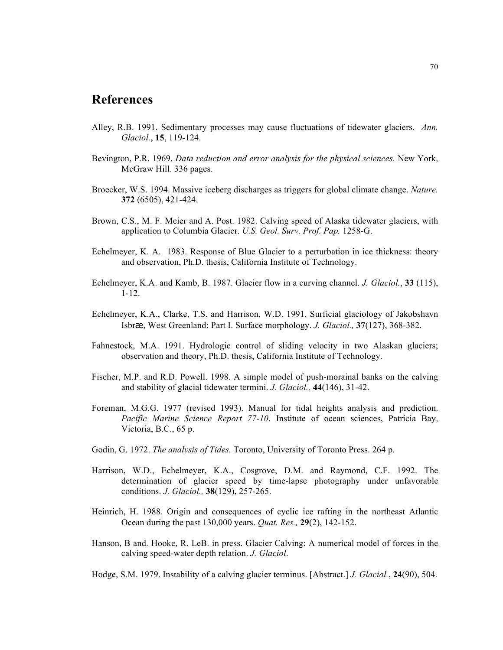# **References**

- Alley, R.B. 1991. Sedimentary processes may cause fluctuations of tidewater glaciers. *Ann. Glaciol.*, **15**, 119-124.
- Bevington, P.R. 1969. *Data reduction and error analysis for the physical sciences.* New York, McGraw Hill. 336 pages.
- Broecker, W.S. 1994. Massive iceberg discharges as triggers for global climate change. *Nature.*  **372** (6505), 421-424.
- Brown, C.S., M. F. Meier and A. Post. 1982. Calving speed of Alaska tidewater glaciers, with application to Columbia Glacier. *U.S. Geol. Surv. Prof. Pap.* 1258-G.
- Echelmeyer, K. A. 1983. Response of Blue Glacier to a perturbation in ice thickness: theory and observation, Ph.D. thesis, California Institute of Technology.
- Echelmeyer, K.A. and Kamb, B. 1987. Glacier flow in a curving channel. *J. Glaciol.*, **33** (115), 1-12.
- Echelmeyer, K.A., Clarke, T.S. and Harrison, W.D. 1991. Surficial glaciology of Jakobshavn Isbræ, West Greenland: Part I. Surface morphology. *J. Glaciol.,* **37**(127), 368-382.
- Fahnestock, M.A. 1991. Hydrologic control of sliding velocity in two Alaskan glaciers; observation and theory, Ph.D. thesis, California Institute of Technology.
- Fischer, M.P. and R.D. Powell. 1998. A simple model of push-morainal banks on the calving and stability of glacial tidewater termini. *J. Glaciol.,* **44**(146), 31-42.
- Foreman, M.G.G. 1977 (revised 1993). Manual for tidal heights analysis and prediction. *Pacific Marine Science Report 77-10*. Institute of ocean sciences, Patricia Bay, Victoria, B.C., 65 p.
- Godin, G. 1972. *The analysis of Tides.* Toronto, University of Toronto Press. 264 p.
- Harrison, W.D., Echelmeyer, K.A., Cosgrove, D.M. and Raymond, C.F. 1992. The determination of glacier speed by time-lapse photography under unfavorable conditions. *J. Glaciol.,* **38**(129), 257-265.
- Heinrich, H. 1988. Origin and consequences of cyclic ice rafting in the northeast Atlantic Ocean during the past 130,000 years. *Quat. Res.,* **29**(2), 142-152.
- Hanson, B and. Hooke, R. LeB. in press. Glacier Calving: A numerical model of forces in the calving speed-water depth relation. *J. Glaciol*.

Hodge, S.M. 1979. Instability of a calving glacier terminus. [Abstract.] *J. Glaciol.*, **24**(90), 504.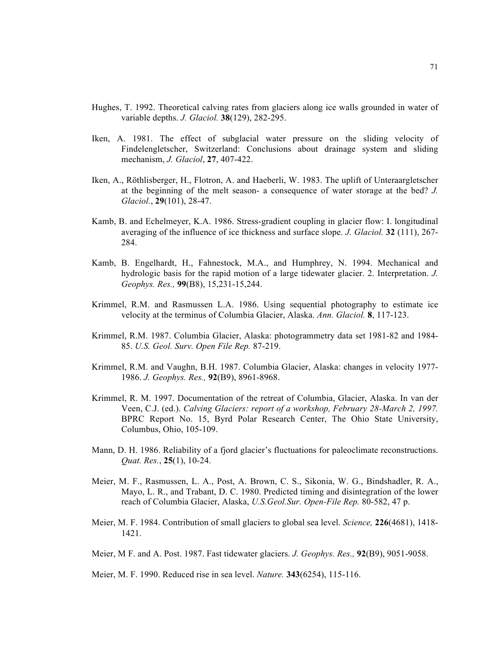- Hughes, T. 1992. Theoretical calving rates from glaciers along ice walls grounded in water of variable depths. *J. Glaciol.* **38**(129), 282-295.
- Iken, A. 1981. The effect of subglacial water pressure on the sliding velocity of Findelengletscher, Switzerland: Conclusions about drainage system and sliding mechanism, *J. Glaciol*, **27**, 407-422.
- Iken, A., Röthlisberger, H., Flotron, A. and Haeberli, W. 1983. The uplift of Unteraargletscher at the beginning of the melt season- a consequence of water storage at the bed? *J. Glaciol.*, **29**(101), 28-47.
- Kamb, B. and Echelmeyer, K.A. 1986. Stress-gradient coupling in glacier flow: I. longitudinal averaging of the influence of ice thickness and surface slope. *J. Glaciol.* **32** (111), 267- 284.
- Kamb, B. Engelhardt, H., Fahnestock, M.A., and Humphrey, N. 1994. Mechanical and hydrologic basis for the rapid motion of a large tidewater glacier. 2. Interpretation. *J. Geophys. Res.,* **99**(B8), 15,231-15,244.
- Krimmel, R.M. and Rasmussen L.A. 1986. Using sequential photography to estimate ice velocity at the terminus of Columbia Glacier, Alaska. *Ann. Glaciol.* **8**, 117-123.
- Krimmel, R.M. 1987. Columbia Glacier, Alaska: photogrammetry data set 1981-82 and 1984- 85. *U.S. Geol. Surv. Open File Rep.* 87-219.
- Krimmel, R.M. and Vaughn, B.H. 1987. Columbia Glacier, Alaska: changes in velocity 1977- 1986. *J. Geophys. Res.,* **92**(B9), 8961-8968.
- Krimmel, R. M. 1997. Documentation of the retreat of Columbia, Glacier, Alaska. In van der Veen, C.J. (ed.). *Calving Glaciers: report of a workshop, February 28-March 2, 1997.* BPRC Report No. 15, Byrd Polar Research Center, The Ohio State University, Columbus, Ohio, 105-109.
- Mann, D. H. 1986. Reliability of a fjord glacier's fluctuations for paleoclimate reconstructions. *Quat. Res.*, **25**(1), 10-24.
- Meier, M. F., Rasmussen, L. A., Post, A. Brown, C. S., Sikonia, W. G., Bindshadler, R. A., Mayo, L. R., and Trabant, D. C. 1980. Predicted timing and disintegration of the lower reach of Columbia Glacier, Alaska, *U.S.Geol.Sur. Open-File Rep.* 80-582, 47 p.
- Meier, M. F. 1984. Contribution of small glaciers to global sea level. *Science,* **226**(4681), 1418- 1421.
- Meier, M F. and A. Post. 1987. Fast tidewater glaciers. *J. Geophys. Res.,* **92**(B9), 9051-9058.

Meier, M. F. 1990. Reduced rise in sea level. *Nature.* **343**(6254), 115-116.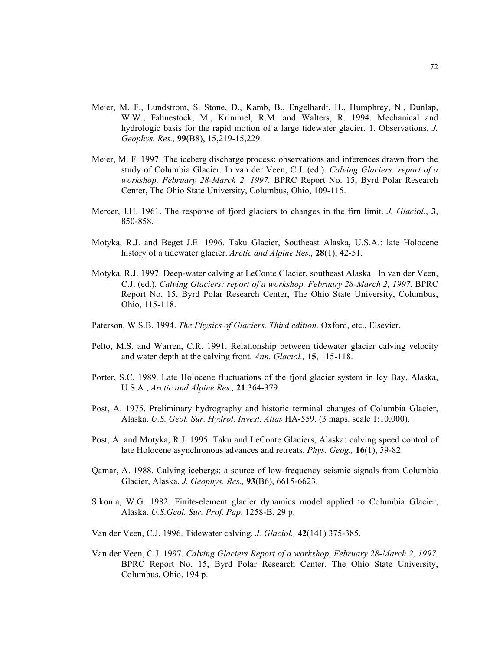- Meier, M. F., Lundstrom, S. Stone, D., Kamb, B., Engelhardt, H., Humphrey, N., Dunlap, W.W., Fahnestock, M., Krimmel, R.M. and Walters, R. 1994. Mechanical and hydrologic basis for the rapid motion of a large tidewater glacier. 1. Observations. *J. Geophys. Res.,* **99**(B8), 15,219-15,229.
- Meier, M. F. 1997. The iceberg discharge process: observations and inferences drawn from the study of Columbia Glacier. In van der Veen, C.J. (ed.). *Calving Glaciers: report of a workshop, February 28-March 2, 1997.* BPRC Report No. 15, Byrd Polar Research Center, The Ohio State University, Columbus, Ohio, 109-115.
- Mercer, J.H. 1961. The response of fjord glaciers to changes in the firn limit. *J. Glaciol.*, **3**, 850-858.
- Motyka, R.J. and Beget J.E. 1996. Taku Glacier, Southeast Alaska, U.S.A.: late Holocene history of a tidewater glacier. *Arctic and Alpine Res.,* **28**(1), 42-51.
- Motyka, R.J. 1997. Deep-water calving at LeConte Glacier, southeast Alaska. In van der Veen, C.J. (ed.). *Calving Glaciers: report of a workshop, February 28-March 2, 1997.* BPRC Report No. 15, Byrd Polar Research Center, The Ohio State University, Columbus, Ohio, 115-118.
- Paterson, W.S.B. 1994. *The Physics of Glaciers. Third edition.* Oxford, etc., Elsevier.
- Pelto, M.S. and Warren, C.R. 1991. Relationship between tidewater glacier calving velocity and water depth at the calving front. *Ann. Glaciol.,* **15**, 115-118.
- Porter, S.C. 1989. Late Holocene fluctuations of the fjord glacier system in Icy Bay, Alaska, U.S.A., *Arctic and Alpine Res.,* **21** 364-379.
- Post, A. 1975. Preliminary hydrography and historic terminal changes of Columbia Glacier, Alaska. *U.S. Geol. Sur. Hydrol. Invest. Atlas* HA-559. (3 maps, scale 1:10,000).
- Post, A. and Motyka, R.J. 1995. Taku and LeConte Glaciers, Alaska: calving speed control of late Holocene asynchronous advances and retreats. *Phys. Geog.,* **16**(1), 59-82.
- Qamar, A. 1988. Calving icebergs: a source of low-frequency seismic signals from Columbia Glacier, Alaska. *J. Geophys. Res.,* **93**(B6), 6615-6623.
- Sikonia, W.G. 1982. Finite-element glacier dynamics model applied to Columbia Glacier, Alaska. *U.S.Geol. Sur. Prof. Pap*. 1258-B, 29 p.
- Van der Veen, C.J. 1996. Tidewater calving. *J. Glaciol.,* **42**(141) 375-385.
- Van der Veen, C.J. 1997. *Calving Glaciers Report of a workshop, February 28-March 2, 1997.* BPRC Report No. 15, Byrd Polar Research Center, The Ohio State University, Columbus, Ohio, 194 p.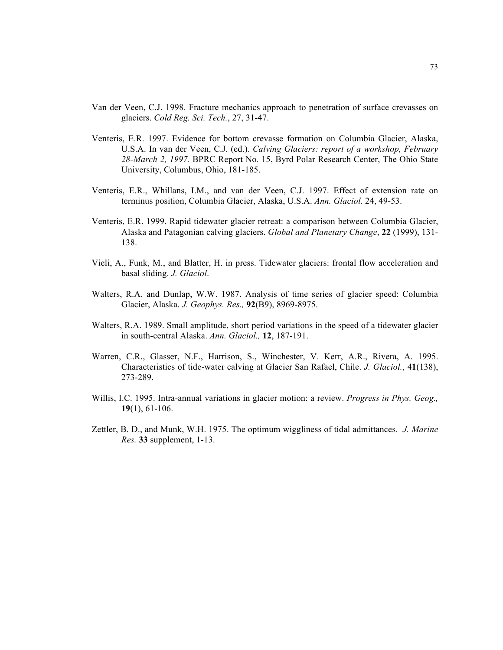- Van der Veen, C.J. 1998. Fracture mechanics approach to penetration of surface crevasses on glaciers. *Cold Reg. Sci. Tech.*, 27, 31-47.
- Venteris, E.R. 1997. Evidence for bottom crevasse formation on Columbia Glacier, Alaska, U.S.A. In van der Veen, C.J. (ed.). *Calving Glaciers: report of a workshop, February 28-March 2, 1997.* BPRC Report No. 15, Byrd Polar Research Center, The Ohio State University, Columbus, Ohio, 181-185.
- Venteris, E.R., Whillans, I.M., and van der Veen, C.J. 1997. Effect of extension rate on terminus position, Columbia Glacier, Alaska, U.S.A. *Ann. Glaciol.* 24, 49-53.
- Venteris, E.R. 1999. Rapid tidewater glacier retreat: a comparison between Columbia Glacier, Alaska and Patagonian calving glaciers. *Global and Planetary Change*, **22** (1999), 131- 138.
- Vieli, A., Funk, M., and Blatter, H. in press. Tidewater glaciers: frontal flow acceleration and basal sliding. *J. Glaciol*.
- Walters, R.A. and Dunlap, W.W. 1987. Analysis of time series of glacier speed: Columbia Glacier, Alaska. *J. Geophys. Res.,* **92**(B9), 8969-8975.
- Walters, R.A. 1989. Small amplitude, short period variations in the speed of a tidewater glacier in south-central Alaska. *Ann. Glaciol.,* **12**, 187-191.
- Warren, C.R., Glasser, N.F., Harrison, S., Winchester, V. Kerr, A.R., Rivera, A. 1995. Characteristics of tide-water calving at Glacier San Rafael, Chile. *J. Glaciol.*, **41**(138), 273-289.
- Willis, I.C. 1995. Intra-annual variations in glacier motion: a review. *Progress in Phys. Geog.,*  **19**(1), 61-106.
- Zettler, B. D., and Munk, W.H. 1975. The optimum wiggliness of tidal admittances. *J. Marine Res.* **33** supplement, 1-13.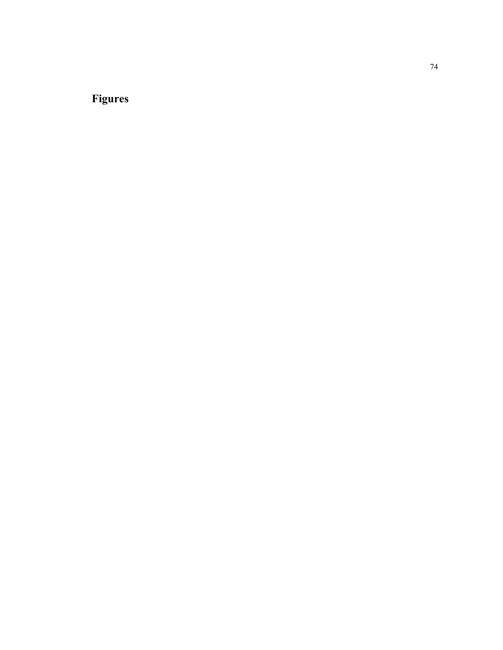# **Figures**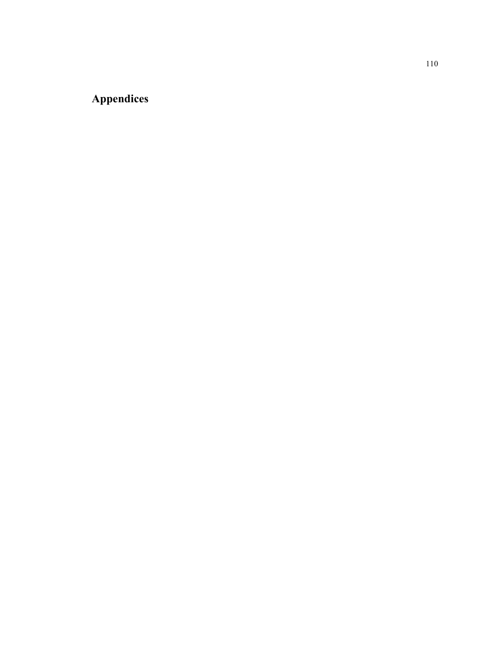## **Appendices**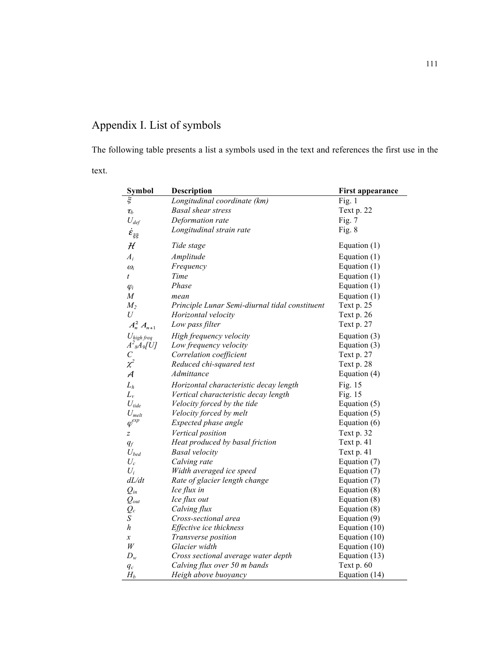## Appendix I. List of symbols

The following table presents a list a symbols used in the text and references the first use in the

text.

| Symbol                       | Description                                    | <b>First appearance</b> |
|------------------------------|------------------------------------------------|-------------------------|
| $\xi$                        | Longitudinal coordinate (km)                   | Fig. 1                  |
| $\tau_b$                     | <b>Basal</b> shear stress                      | Text p. 22              |
| $U_{def}$                    | Deformation rate                               | Fig. $7$                |
| $\dot{\mathcal{E}}_{\xi\xi}$ | Longitudinal strain rate                       | Fig. $8$                |
|                              |                                                |                         |
| $\mathcal H$                 | Tide stage                                     | Equation $(1)$          |
| $A_i$                        | Amplitude                                      | Equation (1)            |
| $\omega_i$                   | Frequency                                      | Equation $(1)$          |
| t                            | Time                                           | Equation $(1)$          |
| $\varphi_i$                  | Phase                                          | Equation $(1)$          |
| M                            | mean                                           | Equation $(1)$          |
| $M_2$                        | Principle Lunar Semi-diurnal tidal constituent | Text p. 25              |
| $\boldsymbol{U}$             | Horizontal velocity                            | Text p. 26              |
| $A_n^2 A_{n+1}$              | Low pass filter                                | Text p. 27              |
| $U_{\text{high freq}}$       | High frequency velocity                        | Equation $(3)$          |
| $A^2$ s $A$ o[U]             | Low frequency velocity                         | Equation $(3)$          |
| $\mathcal{C}_{\mathcal{C}}$  | Correlation coefficient                        | Text p. 27              |
| $\chi^2$                     | Reduced chi-squared test                       | Text p. 28              |
| $\mathcal A$                 | Admittance                                     | Equation (4)            |
| $L_h$                        | Horizontal characteristic decay length         | Fig. 15                 |
| $L_{\nu}$                    | Vertical characteristic decay length           | Fig. 15                 |
| $U_{\it tide}$               | Velocity forced by the tide                    | Equation $(5)$          |
| $U_{melt}$                   | Velocity forced by melt                        | Equation $(5)$          |
| $\varphi^{exp}$              | Expected phase angle                           | Equation $(6)$          |
| $\boldsymbol{Z}$             | Vertical position                              | Text p. 32              |
| $q_f$                        | Heat produced by basal friction                | Text p. 41              |
| $U_{bed}$                    | <b>Basal</b> velocity                          | Text p. 41              |
| $U_c$                        | Calving rate                                   | Equation (7)            |
| $U_i$                        | Width averaged ice speed                       | Equation (7)            |
| dL/dt                        | Rate of glacier length change                  | Equation (7)            |
| $Q_{in}$                     | Ice flux in                                    | Equation $(8)$          |
| $Q_{out}$                    | Ice flux out                                   | Equation $(8)$          |
| $Q_c$                        | Calving flux                                   | Equation (8)            |
| S                            | Cross-sectional area                           | Equation $(9)$          |
| h                            | Effective ice thickness                        | Equation (10)           |
| $\boldsymbol{\mathcal{X}}$   | Transverse position                            | Equation (10)           |
| W                            | Glacier width                                  | Equation (10)           |
| $D_w$                        | Cross sectional average water depth            | Equation $(13)$         |
| $q_c$                        | Calving flux over 50 m bands                   | Text p. 60              |
| $H_b$                        | Heigh above buoyancy                           | Equation (14)           |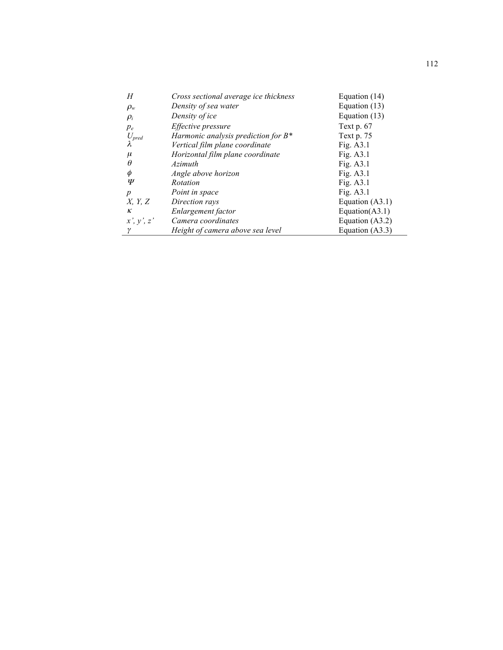| Н                | Cross sectional average ice thickness  | Equation (14)     |
|------------------|----------------------------------------|-------------------|
| $\rho_w$         | Density of sea water                   | Equation (13)     |
| $\rho_i$         | Density of ice                         | Equation (13)     |
| $p_e$            | Effective pressure                     | Text $p.67$       |
| $U_{pred}$       | Harmonic analysis prediction for $B^*$ | Text p. 75        |
|                  | Vertical film plane coordinate         | Fig. $A3.1$       |
| $\mu$            | Horizontal film plane coordinate       | Fig. $A3.1$       |
| θ                | Azimuth                                | Fig. A3.1         |
| φ                | Angle above horizon                    | Fig. $A3.1$       |
| Ψ                | Rotation                               | Fig. $A3.1$       |
| $\boldsymbol{p}$ | Point in space                         | Fig. $A3.1$       |
| X, Y, Z          | Direction rays                         | Equation (A3.1)   |
| К                | Enlargement factor                     | Equation $(A3.1)$ |
| x', y', z'       | Camera coordinates                     | Equation $(A3.2)$ |
| γ                | Height of camera above sea level       | Equation $(A3.3)$ |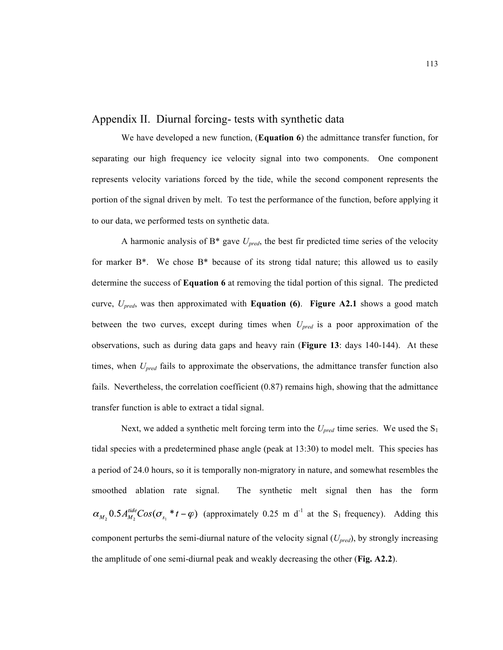#### Appendix II. Diurnal forcing- tests with synthetic data

We have developed a new function, (**Equation 6**) the admittance transfer function, for separating our high frequency ice velocity signal into two components. One component represents velocity variations forced by the tide, while the second component represents the portion of the signal driven by melt. To test the performance of the function, before applying it to our data, we performed tests on synthetic data.

A harmonic analysis of  $B^*$  gave  $U_{pred}$ , the best fir predicted time series of the velocity for marker  $B^*$ . We chose  $B^*$  because of its strong tidal nature; this allowed us to easily determine the success of **Equation 6** at removing the tidal portion of this signal. The predicted curve, *Upred*, was then approximated with **Equation (6)**. **Figure A2.1** shows a good match between the two curves, except during times when *Upred* is a poor approximation of the observations, such as during data gaps and heavy rain (**Figure 13**: days 140-144). At these times, when *Upred* fails to approximate the observations, the admittance transfer function also fails. Nevertheless, the correlation coefficient (0.87) remains high, showing that the admittance transfer function is able to extract a tidal signal.

Next, we added a synthetic melt forcing term into the  $U_{pred}$  time series. We used the  $S_1$ tidal species with a predetermined phase angle (peak at 13:30) to model melt. This species has a period of 24.0 hours, so it is temporally non-migratory in nature, and somewhat resembles the smoothed ablation rate signal. The synthetic melt signal then has the form (approximately  $0.25$  m d<sup>-1</sup> at the S<sub>1</sub> frequency). Adding this component perturbs the semi-diurnal nature of the velocity signal (*Upred*), by strongly increasing the amplitude of one semi-diurnal peak and weakly decreasing the other (**Fig. A2.2**).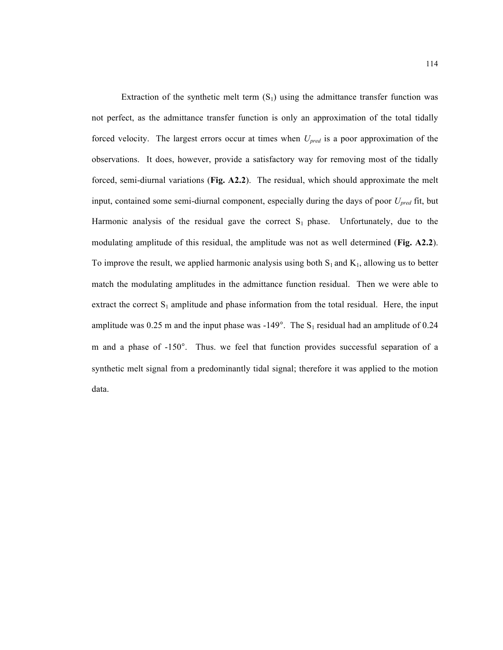Extraction of the synthetic melt term  $(S_1)$  using the admittance transfer function was not perfect, as the admittance transfer function is only an approximation of the total tidally forced velocity. The largest errors occur at times when *Upred* is a poor approximation of the observations. It does, however, provide a satisfactory way for removing most of the tidally forced, semi-diurnal variations (**Fig. A2.2**). The residual, which should approximate the melt input, contained some semi-diurnal component, especially during the days of poor *Upred* fit, but Harmonic analysis of the residual gave the correct  $S_1$  phase. Unfortunately, due to the modulating amplitude of this residual, the amplitude was not as well determined (**Fig. A2.2**). To improve the result, we applied harmonic analysis using both  $S_1$  and  $K_1$ , allowing us to better match the modulating amplitudes in the admittance function residual. Then we were able to extract the correct  $S_1$  amplitude and phase information from the total residual. Here, the input amplitude was 0.25 m and the input phase was -149°. The  $S_1$  residual had an amplitude of 0.24 m and a phase of -150°. Thus. we feel that function provides successful separation of a synthetic melt signal from a predominantly tidal signal; therefore it was applied to the motion data.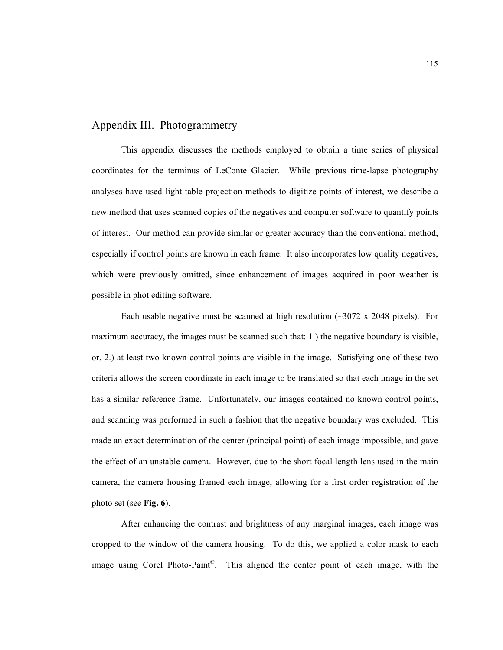#### Appendix III. Photogrammetry

This appendix discusses the methods employed to obtain a time series of physical coordinates for the terminus of LeConte Glacier. While previous time-lapse photography analyses have used light table projection methods to digitize points of interest, we describe a new method that uses scanned copies of the negatives and computer software to quantify points of interest. Our method can provide similar or greater accuracy than the conventional method, especially if control points are known in each frame. It also incorporates low quality negatives, which were previously omitted, since enhancement of images acquired in poor weather is possible in phot editing software.

Each usable negative must be scanned at high resolution  $(\sim 3072 \times 2048)$  pixels). For maximum accuracy, the images must be scanned such that: 1.) the negative boundary is visible, or, 2.) at least two known control points are visible in the image. Satisfying one of these two criteria allows the screen coordinate in each image to be translated so that each image in the set has a similar reference frame. Unfortunately, our images contained no known control points, and scanning was performed in such a fashion that the negative boundary was excluded. This made an exact determination of the center (principal point) of each image impossible, and gave the effect of an unstable camera. However, due to the short focal length lens used in the main camera, the camera housing framed each image, allowing for a first order registration of the photo set (see **Fig. 6**).

After enhancing the contrast and brightness of any marginal images, each image was cropped to the window of the camera housing. To do this, we applied a color mask to each image using Corel Photo-Paint©. This aligned the center point of each image, with the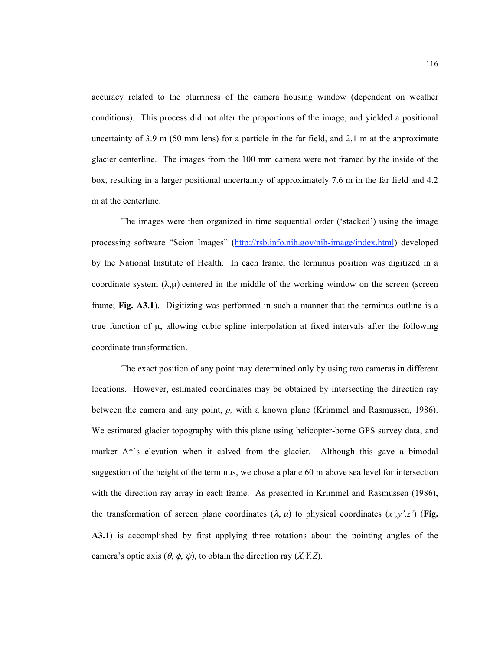accuracy related to the blurriness of the camera housing window (dependent on weather conditions). This process did not alter the proportions of the image, and yielded a positional uncertainty of 3.9 m (50 mm lens) for a particle in the far field, and 2.1 m at the approximate glacier centerline. The images from the 100 mm camera were not framed by the inside of the box, resulting in a larger positional uncertainty of approximately 7.6 m in the far field and 4.2 m at the centerline.

The images were then organized in time sequential order ('stacked') using the image processing software "Scion Images" (http://rsb.info.nih.gov/nih-image/index.html) developed by the National Institute of Health. In each frame, the terminus position was digitized in a coordinate system  $(\lambda,\mu)$  centered in the middle of the working window on the screen (screen frame; **Fig. A3.1**). Digitizing was performed in such a manner that the terminus outline is a true function of  $\mu$ , allowing cubic spline interpolation at fixed intervals after the following coordinate transformation.

The exact position of any point may determined only by using two cameras in different locations. However, estimated coordinates may be obtained by intersecting the direction ray between the camera and any point, *p,* with a known plane (Krimmel and Rasmussen, 1986). We estimated glacier topography with this plane using helicopter-borne GPS survey data, and marker A\*'s elevation when it calved from the glacier. Although this gave a bimodal suggestion of the height of the terminus, we chose a plane 60 m above sea level for intersection with the direction ray array in each frame. As presented in Krimmel and Rasmussen (1986), the transformation of screen plane coordinates  $(\lambda, \mu)$  to physical coordinates  $(x', y', z')$  (Fig. **A3.1**) is accomplished by first applying three rotations about the pointing angles of the camera's optic axis  $(\theta, \phi, \psi)$ , to obtain the direction ray  $(X, Y, Z)$ .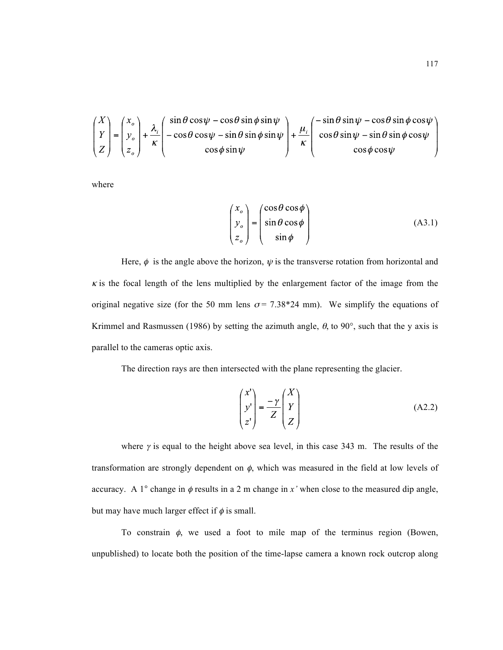$$
\begin{pmatrix} X \\ Y \\ Z \end{pmatrix} = \begin{pmatrix} x_o \\ y_o \\ z_o \end{pmatrix} + \frac{\lambda_i}{\kappa} \begin{pmatrix} \sin \theta \cos \psi - \cos \theta \sin \phi \sin \psi \\ -\cos \theta \cos \psi - \sin \theta \sin \phi \sin \psi \\ \cos \phi \sin \psi \end{pmatrix} + \frac{\mu_i}{\kappa} \begin{pmatrix} -\sin \theta \sin \psi - \cos \theta \sin \phi \cos \psi \\ \cos \theta \sin \psi - \sin \theta \sin \phi \cos \psi \\ \cos \phi \cos \psi \end{pmatrix}
$$

where

$$
\begin{pmatrix} x_o \\ y_o \\ z_o \end{pmatrix} = \begin{pmatrix} \cos \theta \cos \phi \\ \sin \theta \cos \phi \\ \sin \phi \end{pmatrix}
$$
 (A3.1)

Here,  $\phi$  is the angle above the horizon,  $\psi$  is the transverse rotation from horizontal and  $\kappa$  is the focal length of the lens multiplied by the enlargement factor of the image from the original negative size (for the 50 mm lens  $\sigma$  = 7.38\*24 mm). We simplify the equations of Krimmel and Rasmussen (1986) by setting the azimuth angle,  $\theta$ , to 90°, such that the y axis is parallel to the cameras optic axis.

The direction rays are then intersected with the plane representing the glacier.

$$
\begin{pmatrix} x' \\ y' \\ z' \end{pmatrix} = \frac{-\gamma}{Z} \begin{pmatrix} X \\ Y \\ Z \end{pmatrix}
$$
 (A2.2)

where  $\gamma$  is equal to the height above sea level, in this case 343 m. The results of the transformation are strongly dependent on  $\phi$ , which was measured in the field at low levels of accuracy. A  $1^{\circ}$  change in  $\phi$  results in a 2 m change in *x'* when close to the measured dip angle, but may have much larger effect if  $\phi$  is small.

To constrain  $\phi$ , we used a foot to mile map of the terminus region (Bowen, unpublished) to locate both the position of the time-lapse camera a known rock outcrop along